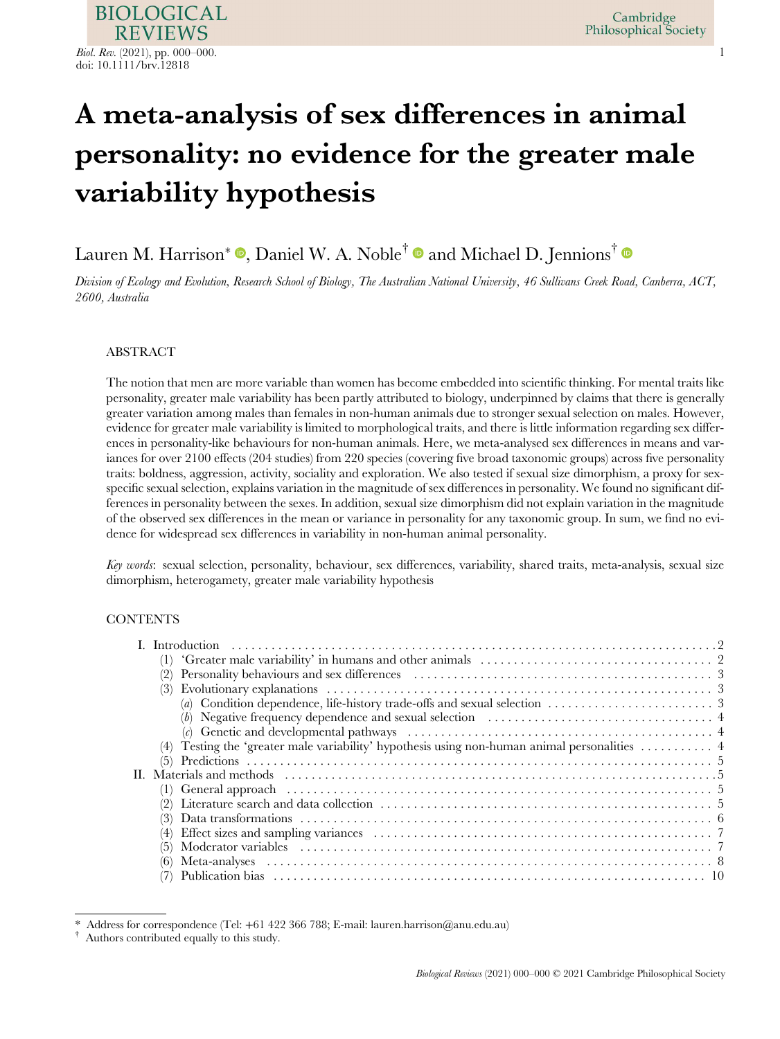# A meta-analysis of sex differences in animal personality: no evidence for the greater male variability hypothesis

# Lauren M. Harrison $^*$   $\mathbf{\bullet}$ , Daniel W. A. Noble $^\dagger$   $\mathbf{\bullet}$  and Michael D. Jennions $^\dagger$

Division of Ecology and Evolution, Research School of Biology, The Australian National University, 46 Sullivans Creek Road, Canberra, ACT, 2600, Australia

# ABSTRACT

The notion that men are more variable than women has become embedded into scientific thinking. For mental traits like personality, greater male variability has been partly attributed to biology, underpinned by claims that there is generally greater variation among males than females in non-human animals due to stronger sexual selection on males. However, evidence for greater male variability is limited to morphological traits, and there is little information regarding sex differences in personality-like behaviours for non-human animals. Here, we meta-analysed sex differences in means and variances for over 2100 effects (204 studies) from 220 species (covering five broad taxonomic groups) across five personality traits: boldness, aggression, activity, sociality and exploration. We also tested if sexual size dimorphism, a proxy for sexspecific sexual selection, explains variation in the magnitude of sex differences in personality. We found no significant differences in personality between the sexes. In addition, sexual size dimorphism did not explain variation in the magnitude of the observed sex differences in the mean or variance in personality for any taxonomic group. In sum, we find no evidence for widespread sex differences in variability in non-human animal personality.

Key words: sexual selection, personality, behaviour, sex differences, variability, shared traits, meta-analysis, sexual size dimorphism, heterogamety, greater male variability hypothesis

# **CONTENTS**

| (2)                                                                                                                                 |
|-------------------------------------------------------------------------------------------------------------------------------------|
|                                                                                                                                     |
| (a) Condition dependence, life-history trade-offs and sexual selection $\dots\dots\dots\dots\dots\dots\dots$                        |
| (b) Negative frequency dependence and sexual selection $\dots\dots\dots\dots\dots\dots\dots\dots\dots\dots\dots$                    |
| (c) Genetic and developmental pathways $\ldots \ldots \ldots \ldots \ldots \ldots \ldots \ldots \ldots \ldots \ldots \ldots \ldots$ |
| Testing the 'greater male variability' hypothesis using non-human animal personalities  4                                           |
| (5)                                                                                                                                 |
|                                                                                                                                     |
|                                                                                                                                     |
|                                                                                                                                     |
| (3)                                                                                                                                 |
| $\left( 4\right)$                                                                                                                   |
|                                                                                                                                     |
| (6)                                                                                                                                 |
|                                                                                                                                     |

Address for correspondence (Tel:  $+61\,422\,366\,788$ ; E-mail: lauren.harrison@anu.edu.au)

<sup>†</sup> Authors contributed equally to this study.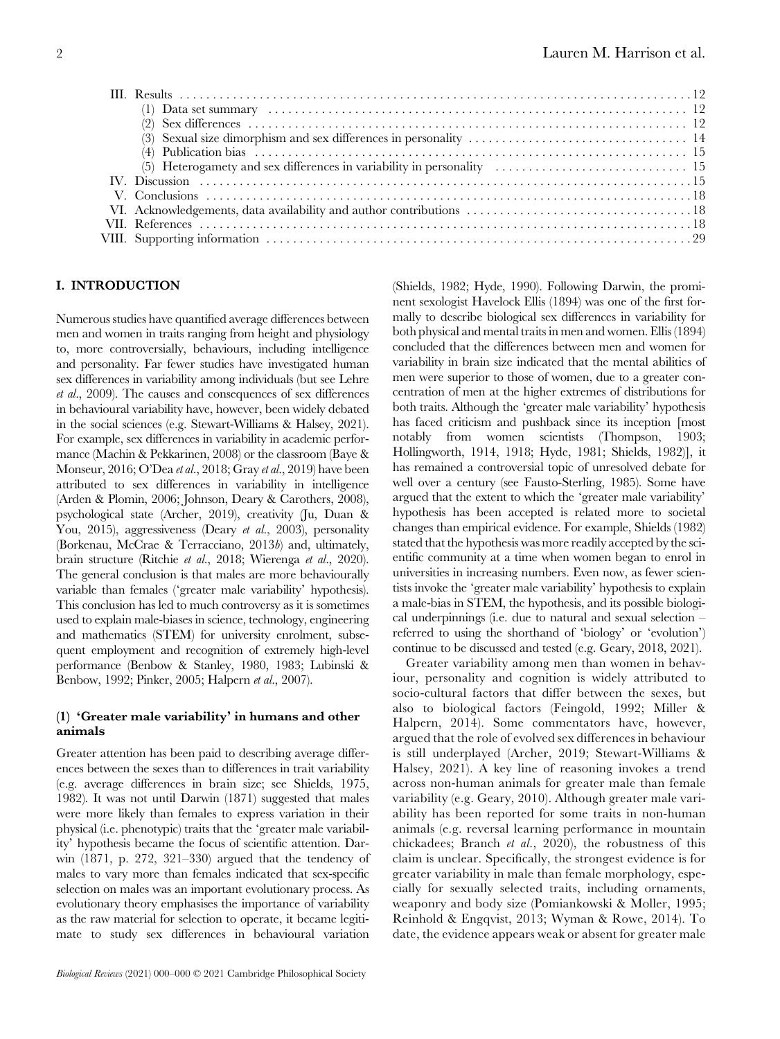# I. INTRODUCTION

Numerous studies have quantified average differences between men and women in traits ranging from height and physiology to, more controversially, behaviours, including intelligence and personality. Far fewer studies have investigated human sex differences in variability among individuals (but see Lehre et al., 2009). The causes and consequences of sex differences in behavioural variability have, however, been widely debated in the social sciences (e.g. Stewart-Williams & Halsey, 2021). For example, sex differences in variability in academic performance (Machin & Pekkarinen, 2008) or the classroom (Baye & Monseur, 2016; O'Dea et al., 2018; Gray et al., 2019) have been attributed to sex differences in variability in intelligence (Arden & Plomin, 2006; Johnson, Deary & Carothers, 2008), psychological state (Archer, 2019), creativity (Ju, Duan & You, 2015), aggressiveness (Deary et al., 2003), personality (Borkenau, McCrae & Terracciano, 2013b) and, ultimately, brain structure (Ritchie et al., 2018; Wierenga et al., 2020). The general conclusion is that males are more behaviourally variable than females ('greater male variability' hypothesis). This conclusion has led to much controversy as it is sometimes used to explain male-biases in science, technology, engineering and mathematics (STEM) for university enrolment, subsequent employment and recognition of extremely high-level performance (Benbow & Stanley, 1980, 1983; Lubinski & Benbow, 1992; Pinker, 2005; Halpern et al., 2007).

# (1) 'Greater male variability' in humans and other animals

Greater attention has been paid to describing average differences between the sexes than to differences in trait variability (e.g. average differences in brain size; see Shields, 1975, 1982). It was not until Darwin (1871) suggested that males were more likely than females to express variation in their physical (i.e. phenotypic) traits that the 'greater male variability' hypothesis became the focus of scientific attention. Darwin (1871, p. 272, 321–330) argued that the tendency of males to vary more than females indicated that sex-specific selection on males was an important evolutionary process. As evolutionary theory emphasises the importance of variability as the raw material for selection to operate, it became legitimate to study sex differences in behavioural variation

(Shields, 1982; Hyde, 1990). Following Darwin, the prominent sexologist Havelock Ellis (1894) was one of the first formally to describe biological sex differences in variability for both physical and mental traits in men and women. Ellis (1894) concluded that the differences between men and women for variability in brain size indicated that the mental abilities of men were superior to those of women, due to a greater concentration of men at the higher extremes of distributions for both traits. Although the 'greater male variability' hypothesis has faced criticism and pushback since its inception [most notably from women scientists (Thompson, 1903; Hollingworth, 1914, 1918; Hyde, 1981; Shields, 1982)], it has remained a controversial topic of unresolved debate for well over a century (see Fausto-Sterling, 1985). Some have argued that the extent to which the 'greater male variability' hypothesis has been accepted is related more to societal changes than empirical evidence. For example, Shields (1982) stated that the hypothesis was more readily accepted by the scientific community at a time when women began to enrol in universities in increasing numbers. Even now, as fewer scientists invoke the 'greater male variability' hypothesis to explain a male-bias in STEM, the hypothesis, and its possible biological underpinnings (i.e. due to natural and sexual selection – referred to using the shorthand of 'biology' or 'evolution') continue to be discussed and tested (e.g. Geary, 2018, 2021).

Greater variability among men than women in behaviour, personality and cognition is widely attributed to socio-cultural factors that differ between the sexes, but also to biological factors (Feingold, 1992; Miller & Halpern, 2014). Some commentators have, however, argued that the role of evolved sex differences in behaviour is still underplayed (Archer, 2019; Stewart-Williams & Halsey, 2021). A key line of reasoning invokes a trend across non-human animals for greater male than female variability (e.g. Geary, 2010). Although greater male variability has been reported for some traits in non-human animals (e.g. reversal learning performance in mountain chickadees; Branch et al., 2020), the robustness of this claim is unclear. Specifically, the strongest evidence is for greater variability in male than female morphology, especially for sexually selected traits, including ornaments, weaponry and body size (Pomiankowski & Moller, 1995; Reinhold & Engqvist, 2013; Wyman & Rowe, 2014). To date, the evidence appears weak or absent for greater male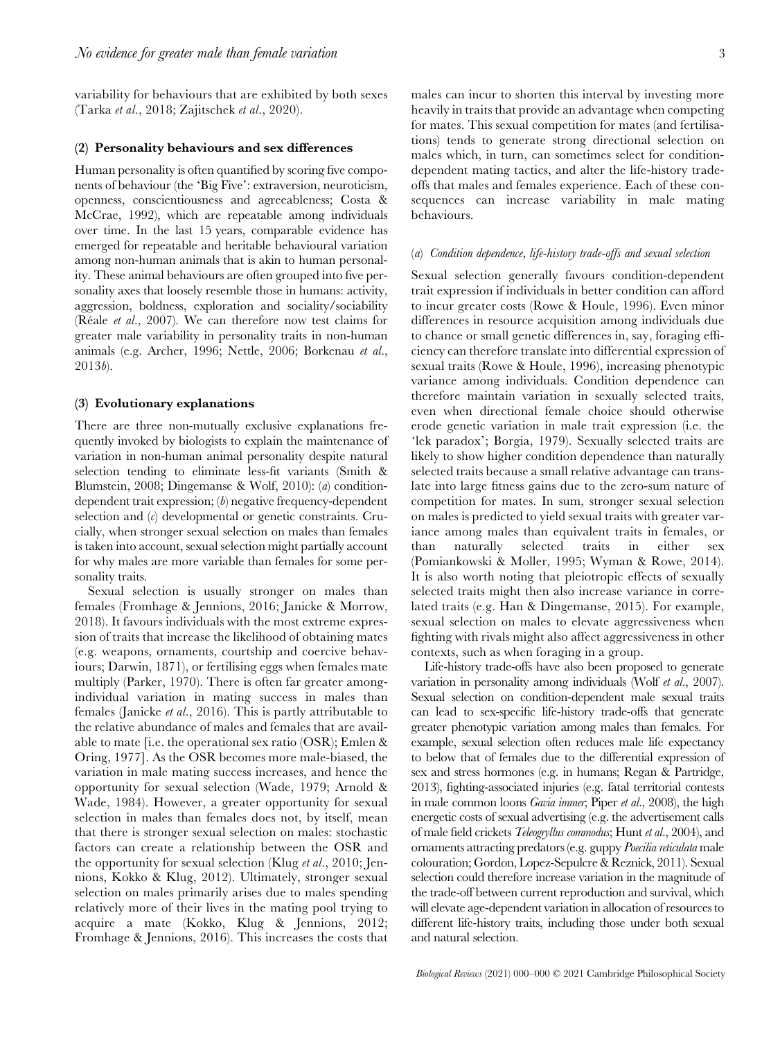variability for behaviours that are exhibited by both sexes (Tarka et al., 2018; Zajitschek et al., 2020).

#### (2) Personality behaviours and sex differences

Human personality is often quantified by scoring five components of behaviour (the 'Big Five': extraversion, neuroticism, openness, conscientiousness and agreeableness; Costa & McCrae, 1992), which are repeatable among individuals over time. In the last 15 years, comparable evidence has emerged for repeatable and heritable behavioural variation among non-human animals that is akin to human personality. These animal behaviours are often grouped into five personality axes that loosely resemble those in humans: activity, aggression, boldness, exploration and sociality/sociability (Réale et al., 2007). We can therefore now test claims for greater male variability in personality traits in non-human animals (e.g. Archer, 1996; Nettle, 2006; Borkenau et al., 2013b).

#### (3) Evolutionary explanations

There are three non-mutually exclusive explanations frequently invoked by biologists to explain the maintenance of variation in non-human animal personality despite natural selection tending to eliminate less-fit variants (Smith & Blumstein, 2008; Dingemanse & Wolf, 2010): (a) conditiondependent trait expression; (b) negative frequency-dependent selection and  $(c)$  developmental or genetic constraints. Crucially, when stronger sexual selection on males than females is taken into account, sexual selection might partially account for why males are more variable than females for some personality traits.

Sexual selection is usually stronger on males than females (Fromhage & Jennions, 2016; Janicke & Morrow, 2018). It favours individuals with the most extreme expression of traits that increase the likelihood of obtaining mates (e.g. weapons, ornaments, courtship and coercive behaviours; Darwin, 1871), or fertilising eggs when females mate multiply (Parker, 1970). There is often far greater amongindividual variation in mating success in males than females (Janicke et al., 2016). This is partly attributable to the relative abundance of males and females that are available to mate [i.e. the operational sex ratio (OSR); Emlen & Oring, 1977]. As the OSR becomes more male-biased, the variation in male mating success increases, and hence the opportunity for sexual selection (Wade, 1979; Arnold & Wade, 1984). However, a greater opportunity for sexual selection in males than females does not, by itself, mean that there is stronger sexual selection on males: stochastic factors can create a relationship between the OSR and the opportunity for sexual selection (Klug et al., 2010; Jennions, Kokko & Klug, 2012). Ultimately, stronger sexual selection on males primarily arises due to males spending relatively more of their lives in the mating pool trying to acquire a mate (Kokko, Klug & Jennions, 2012; Fromhage & Jennions, 2016). This increases the costs that

males can incur to shorten this interval by investing more heavily in traits that provide an advantage when competing for mates. This sexual competition for mates (and fertilisations) tends to generate strong directional selection on males which, in turn, can sometimes select for conditiondependent mating tactics, and alter the life-history tradeoffs that males and females experience. Each of these consequences can increase variability in male mating behaviours.

#### (a) Condition dependence, life-history trade-offs and sexual selection

Sexual selection generally favours condition-dependent trait expression if individuals in better condition can afford to incur greater costs (Rowe & Houle, 1996). Even minor differences in resource acquisition among individuals due to chance or small genetic differences in, say, foraging efficiency can therefore translate into differential expression of sexual traits (Rowe & Houle, 1996), increasing phenotypic variance among individuals. Condition dependence can therefore maintain variation in sexually selected traits, even when directional female choice should otherwise erode genetic variation in male trait expression (i.e. the 'lek paradox'; Borgia, 1979). Sexually selected traits are likely to show higher condition dependence than naturally selected traits because a small relative advantage can translate into large fitness gains due to the zero-sum nature of competition for mates. In sum, stronger sexual selection on males is predicted to yield sexual traits with greater variance among males than equivalent traits in females, or than naturally selected traits in either sex (Pomiankowski & Moller, 1995; Wyman & Rowe, 2014). It is also worth noting that pleiotropic effects of sexually selected traits might then also increase variance in correlated traits (e.g. Han & Dingemanse, 2015). For example, sexual selection on males to elevate aggressiveness when fighting with rivals might also affect aggressiveness in other contexts, such as when foraging in a group.

Life-history trade-offs have also been proposed to generate variation in personality among individuals (Wolf et al., 2007). Sexual selection on condition-dependent male sexual traits can lead to sex-specific life-history trade-offs that generate greater phenotypic variation among males than females. For example, sexual selection often reduces male life expectancy to below that of females due to the differential expression of sex and stress hormones (e.g. in humans; Regan & Partridge, 2013), fighting-associated injuries (e.g. fatal territorial contests in male common loons Gavia immer; Piper et al., 2008), the high energetic costs of sexual advertising (e.g. the advertisement calls of male field crickets Teleogryllus commodus; Hunt et al., 2004), and ornaments attracting predators (e.g. guppy Poecilia reticulata male colouration; Gordon, Lopez-Sepulcre & Reznick, 2011). Sexual selection could therefore increase variation in the magnitude of the trade-off between current reproduction and survival, which will elevate age-dependent variation in allocation of resources to different life-history traits, including those under both sexual and natural selection.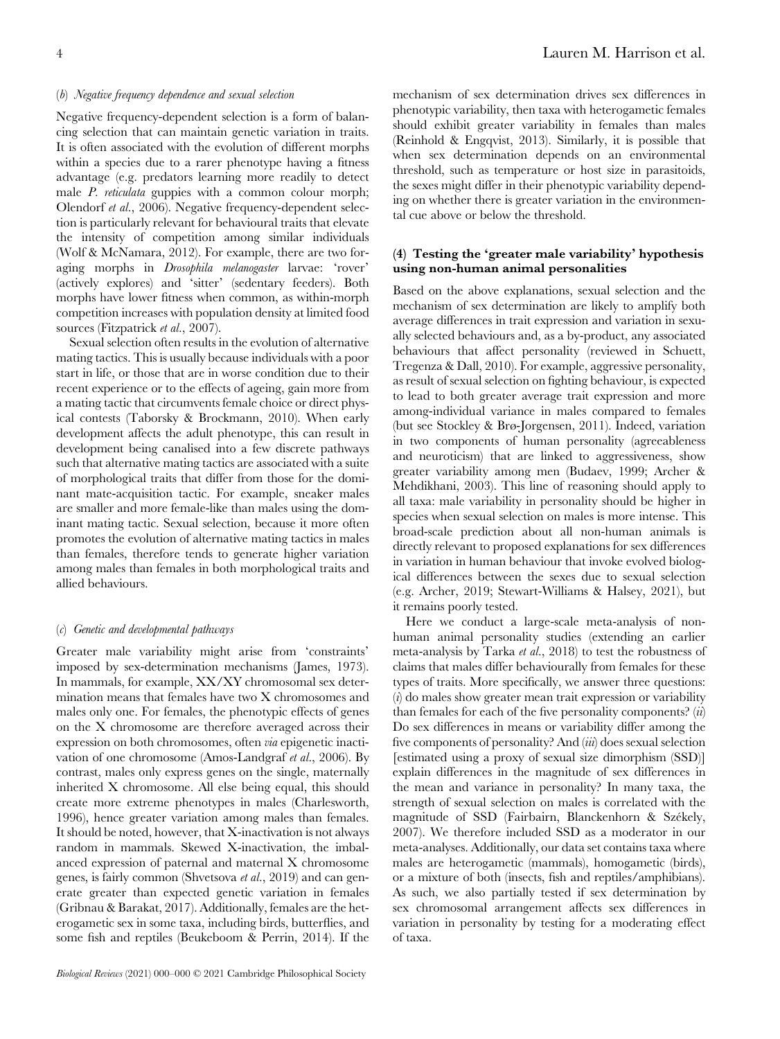# (b) Negative frequency dependence and sexual selection

Negative frequency-dependent selection is a form of balancing selection that can maintain genetic variation in traits. It is often associated with the evolution of different morphs within a species due to a rarer phenotype having a fitness advantage (e.g. predators learning more readily to detect male P. reticulata guppies with a common colour morph; Olendorf et al., 2006). Negative frequency-dependent selection is particularly relevant for behavioural traits that elevate the intensity of competition among similar individuals (Wolf & McNamara, 2012). For example, there are two foraging morphs in Drosophila melanogaster larvae: 'rover' (actively explores) and 'sitter' (sedentary feeders). Both morphs have lower fitness when common, as within-morph competition increases with population density at limited food sources (Fitzpatrick et al., 2007).

Sexual selection often results in the evolution of alternative mating tactics. This is usually because individuals with a poor start in life, or those that are in worse condition due to their recent experience or to the effects of ageing, gain more from a mating tactic that circumvents female choice or direct physical contests (Taborsky & Brockmann, 2010). When early development affects the adult phenotype, this can result in development being canalised into a few discrete pathways such that alternative mating tactics are associated with a suite of morphological traits that differ from those for the dominant mate-acquisition tactic. For example, sneaker males are smaller and more female-like than males using the dominant mating tactic. Sexual selection, because it more often promotes the evolution of alternative mating tactics in males than females, therefore tends to generate higher variation among males than females in both morphological traits and allied behaviours.

#### (c) Genetic and developmental pathways

Greater male variability might arise from 'constraints' imposed by sex-determination mechanisms (James, 1973). In mammals, for example, XX/XY chromosomal sex determination means that females have two X chromosomes and males only one. For females, the phenotypic effects of genes on the X chromosome are therefore averaged across their expression on both chromosomes, often via epigenetic inactivation of one chromosome (Amos-Landgraf et al., 2006). By contrast, males only express genes on the single, maternally inherited X chromosome. All else being equal, this should create more extreme phenotypes in males (Charlesworth, 1996), hence greater variation among males than females. It should be noted, however, that X-inactivation is not always random in mammals. Skewed X-inactivation, the imbalanced expression of paternal and maternal X chromosome genes, is fairly common (Shvetsova et al., 2019) and can generate greater than expected genetic variation in females (Gribnau & Barakat, 2017). Additionally, females are the heterogametic sex in some taxa, including birds, butterflies, and some fish and reptiles (Beukeboom & Perrin, 2014). If the mechanism of sex determination drives sex differences in phenotypic variability, then taxa with heterogametic females should exhibit greater variability in females than males (Reinhold & Engqvist, 2013). Similarly, it is possible that when sex determination depends on an environmental threshold, such as temperature or host size in parasitoids, the sexes might differ in their phenotypic variability depending on whether there is greater variation in the environmental cue above or below the threshold.

# (4) Testing the 'greater male variability' hypothesis using non-human animal personalities

Based on the above explanations, sexual selection and the mechanism of sex determination are likely to amplify both average differences in trait expression and variation in sexually selected behaviours and, as a by-product, any associated behaviours that affect personality (reviewed in Schuett, Tregenza & Dall, 2010). For example, aggressive personality, as result of sexual selection on fighting behaviour, is expected to lead to both greater average trait expression and more among-individual variance in males compared to females (but see Stockley & Brø-Jorgensen, 2011). Indeed, variation in two components of human personality (agreeableness and neuroticism) that are linked to aggressiveness, show greater variability among men (Budaev, 1999; Archer & Mehdikhani, 2003). This line of reasoning should apply to all taxa: male variability in personality should be higher in species when sexual selection on males is more intense. This broad-scale prediction about all non-human animals is directly relevant to proposed explanations for sex differences in variation in human behaviour that invoke evolved biological differences between the sexes due to sexual selection (e.g. Archer, 2019; Stewart-Williams & Halsey, 2021), but it remains poorly tested.

Here we conduct a large-scale meta-analysis of nonhuman animal personality studies (extending an earlier meta-analysis by Tarka et al., 2018) to test the robustness of claims that males differ behaviourally from females for these types of traits. More specifically, we answer three questions: (i) do males show greater mean trait expression or variability than females for each of the five personality components?  $(ii)$ Do sex differences in means or variability differ among the five components of personality? And (iii) does sexual selection [estimated using a proxy of sexual size dimorphism (SSD)] explain differences in the magnitude of sex differences in the mean and variance in personality? In many taxa, the strength of sexual selection on males is correlated with the magnitude of SSD (Fairbairn, Blanckenhorn & Székely, 2007). We therefore included SSD as a moderator in our meta-analyses. Additionally, our data set contains taxa where males are heterogametic (mammals), homogametic (birds), or a mixture of both (insects, fish and reptiles/amphibians). As such, we also partially tested if sex determination by sex chromosomal arrangement affects sex differences in variation in personality by testing for a moderating effect of taxa.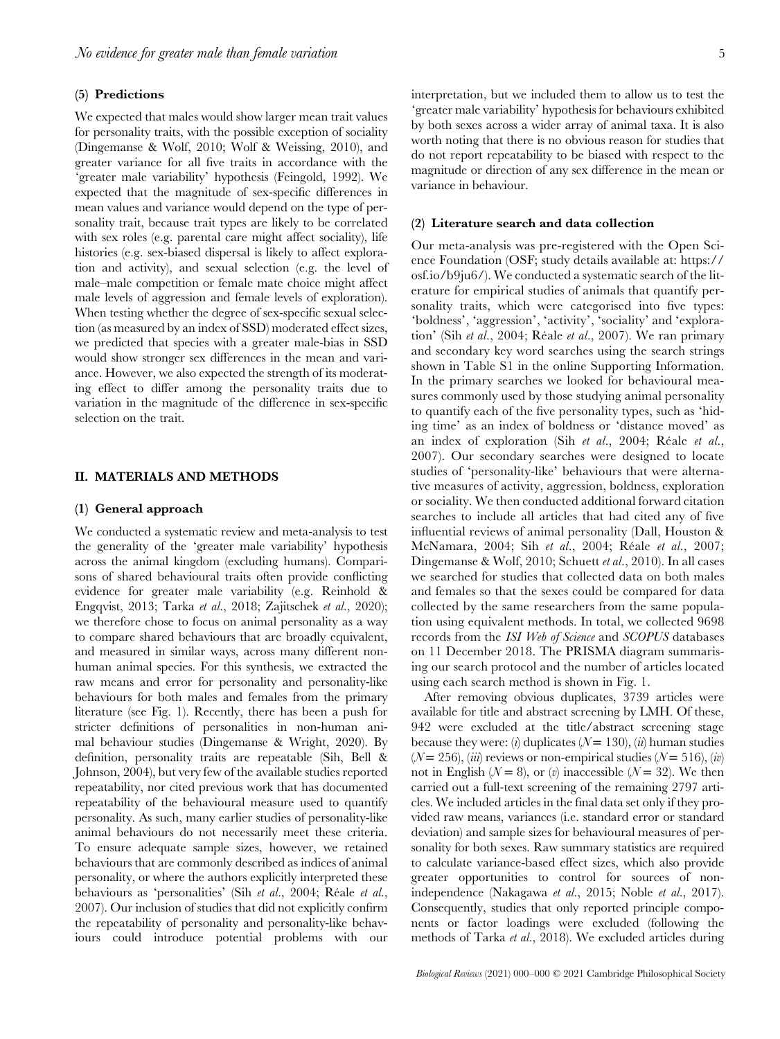#### (5) Predictions

We expected that males would show larger mean trait values for personality traits, with the possible exception of sociality (Dingemanse & Wolf, 2010; Wolf & Weissing, 2010), and greater variance for all five traits in accordance with the 'greater male variability' hypothesis (Feingold, 1992). We expected that the magnitude of sex-specific differences in mean values and variance would depend on the type of personality trait, because trait types are likely to be correlated with sex roles (e.g. parental care might affect sociality), life histories (e.g. sex-biased dispersal is likely to affect exploration and activity), and sexual selection (e.g. the level of male–male competition or female mate choice might affect male levels of aggression and female levels of exploration). When testing whether the degree of sex-specific sexual selection (as measured by an index of SSD) moderated effect sizes, we predicted that species with a greater male-bias in SSD would show stronger sex differences in the mean and variance. However, we also expected the strength of its moderating effect to differ among the personality traits due to variation in the magnitude of the difference in sex-specific selection on the trait.

# II. MATERIALS AND METHODS

# (1) General approach

We conducted a systematic review and meta-analysis to test the generality of the 'greater male variability' hypothesis across the animal kingdom (excluding humans). Comparisons of shared behavioural traits often provide conflicting evidence for greater male variability (e.g. Reinhold & Engqvist, 2013; Tarka et al., 2018; Zajitschek et al., 2020); we therefore chose to focus on animal personality as a way to compare shared behaviours that are broadly equivalent, and measured in similar ways, across many different nonhuman animal species. For this synthesis, we extracted the raw means and error for personality and personality-like behaviours for both males and females from the primary literature (see Fig. 1). Recently, there has been a push for stricter definitions of personalities in non-human animal behaviour studies (Dingemanse & Wright, 2020). By definition, personality traits are repeatable (Sih, Bell & Johnson, 2004), but very few of the available studies reported repeatability, nor cited previous work that has documented repeatability of the behavioural measure used to quantify personality. As such, many earlier studies of personality-like animal behaviours do not necessarily meet these criteria. To ensure adequate sample sizes, however, we retained behaviours that are commonly described as indices of animal personality, or where the authors explicitly interpreted these behaviours as 'personalities' (Sih et al., 2004; Réale et al., 2007). Our inclusion of studies that did not explicitly confirm the repeatability of personality and personality-like behaviours could introduce potential problems with our interpretation, but we included them to allow us to test the 'greater male variability' hypothesis for behaviours exhibited by both sexes across a wider array of animal taxa. It is also worth noting that there is no obvious reason for studies that do not report repeatability to be biased with respect to the magnitude or direction of any sex difference in the mean or variance in behaviour.

#### (2) Literature search and data collection

Our meta-analysis was pre-registered with the Open Science Foundation (OSF; study details available at: https:// osf.io/b9ju6/). We conducted a systematic search of the literature for empirical studies of animals that quantify personality traits, which were categorised into five types: 'boldness', 'aggression', 'activity', 'sociality' and 'exploration' (Sih et al., 2004; Réale et al., 2007). We ran primary and secondary key word searches using the search strings shown in Table S1 in the online Supporting Information. In the primary searches we looked for behavioural measures commonly used by those studying animal personality to quantify each of the five personality types, such as 'hiding time' as an index of boldness or 'distance moved' as an index of exploration (Sih et al., 2004; Réale et al., 2007). Our secondary searches were designed to locate studies of 'personality-like' behaviours that were alternative measures of activity, aggression, boldness, exploration or sociality. We then conducted additional forward citation searches to include all articles that had cited any of five influential reviews of animal personality (Dall, Houston & McNamara, 2004; Sih et al., 2004; Réale et al., 2007; Dingemanse & Wolf, 2010; Schuett et al., 2010). In all cases we searched for studies that collected data on both males and females so that the sexes could be compared for data collected by the same researchers from the same population using equivalent methods. In total, we collected 9698 records from the ISI Web of Science and SCOPUS databases on 11 December 2018. The PRISMA diagram summarising our search protocol and the number of articles located using each search method is shown in Fig. 1.

After removing obvious duplicates, 3739 articles were available for title and abstract screening by LMH. Of these, 942 were excluded at the title/abstract screening stage because they were: (i) duplicates ( $N = 130$ ), (ii) human studies  $(N = 256)$ , (*iii*) reviews or non-empirical studies  $(N = 516)$ , *(iv)* not in English ( $\mathcal{N} = 8$ ), or (v) inaccessible ( $\mathcal{N} = 32$ ). We then carried out a full-text screening of the remaining 2797 articles. We included articles in the final data set only if they provided raw means, variances (i.e. standard error or standard deviation) and sample sizes for behavioural measures of personality for both sexes. Raw summary statistics are required to calculate variance-based effect sizes, which also provide greater opportunities to control for sources of nonindependence (Nakagawa et al., 2015; Noble et al., 2017). Consequently, studies that only reported principle components or factor loadings were excluded (following the methods of Tarka et al., 2018). We excluded articles during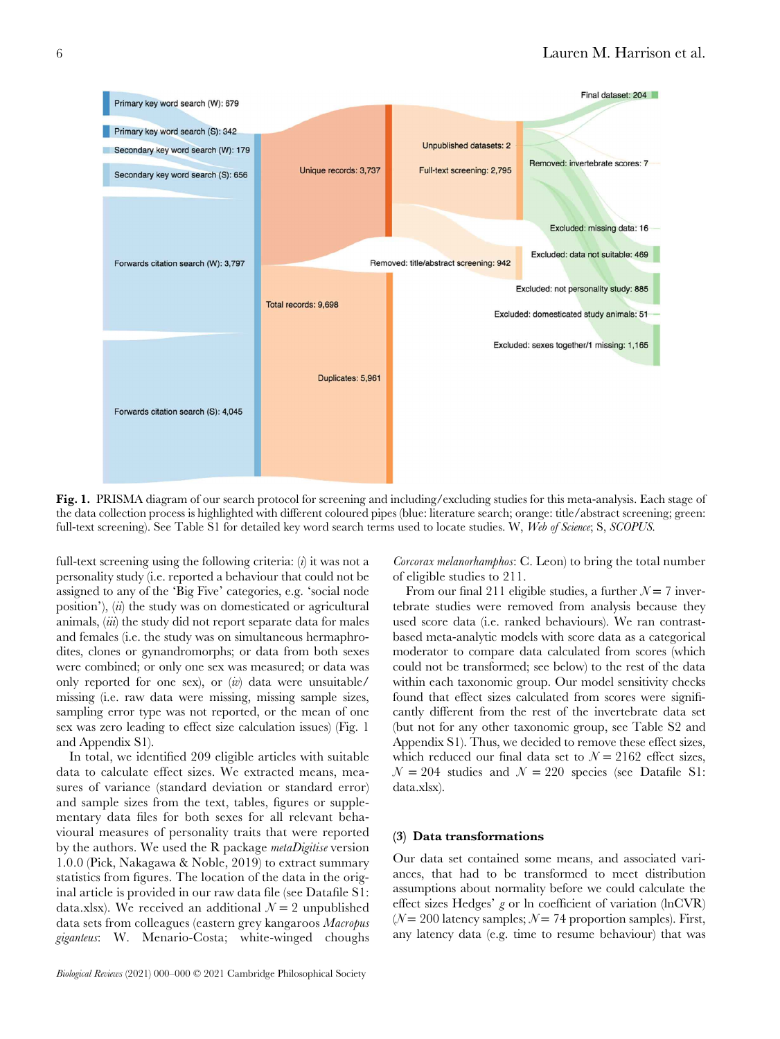

Fig. 1. PRISMA diagram of our search protocol for screening and including/excluding studies for this meta-analysis. Each stage of the data collection process is highlighted with different coloured pipes (blue: literature search; orange: title/abstract screening; green: full-text screening). See Table S1 for detailed key word search terms used to locate studies. W, Web of Science; S, SCOPUS.

full-text screening using the following criteria:  $(i)$  it was not a personality study (i.e. reported a behaviour that could not be assigned to any of the 'Big Five' categories, e.g. 'social node position'),  $\langle ii \rangle$  the study was on domesticated or agricultural animals, *(iii)* the study did not report separate data for males and females (i.e. the study was on simultaneous hermaphrodites, clones or gynandromorphs; or data from both sexes were combined; or only one sex was measured; or data was only reported for one sex), or  $(iv)$  data were unsuitable/ missing (i.e. raw data were missing, missing sample sizes, sampling error type was not reported, or the mean of one sex was zero leading to effect size calculation issues) (Fig. 1 and Appendix S1).

In total, we identified 209 eligible articles with suitable data to calculate effect sizes. We extracted means, measures of variance (standard deviation or standard error) and sample sizes from the text, tables, figures or supplementary data files for both sexes for all relevant behavioural measures of personality traits that were reported by the authors. We used the R package *metaDigitise* version 1.0.0 (Pick, Nakagawa & Noble, 2019) to extract summary statistics from figures. The location of the data in the original article is provided in our raw data file (see Datafile S1: data.xlsx). We received an additional  $\mathcal{N} = 2$  unpublished data sets from colleagues (eastern grey kangaroos Macropus giganteus: W. Menario-Costa; white-winged choughs

Corcorax melanorhamphos: C. Leon) to bring the total number of eligible studies to 211.

From our final 211 eligible studies, a further  $N = 7$  invertebrate studies were removed from analysis because they used score data (i.e. ranked behaviours). We ran contrastbased meta-analytic models with score data as a categorical moderator to compare data calculated from scores (which could not be transformed; see below) to the rest of the data within each taxonomic group. Our model sensitivity checks found that effect sizes calculated from scores were significantly different from the rest of the invertebrate data set (but not for any other taxonomic group, see Table S2 and Appendix S1). Thus, we decided to remove these effect sizes, which reduced our final data set to  $N = 2162$  effect sizes,  $N = 204$  studies and  $N = 220$  species (see Datafile S1: data.xlsx).

#### (3) Data transformations

Our data set contained some means, and associated variances, that had to be transformed to meet distribution assumptions about normality before we could calculate the effect sizes Hedges' g or ln coefficient of variation (lnCVR) ( $N = 200$  latency samples;  $N = 74$  proportion samples). First, any latency data (e.g. time to resume behaviour) that was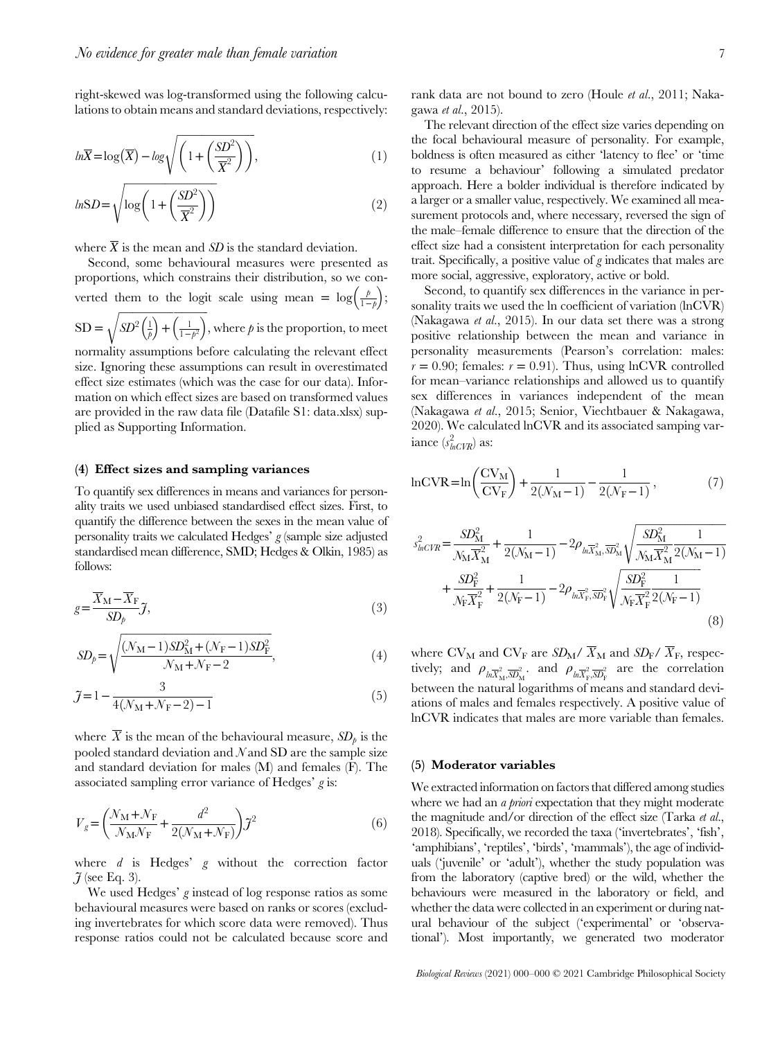right-skewed was log-transformed using the following calculations to obtain means and standard deviations, respectively:

$$
ln\overline{X} = log(\overline{X}) - log\sqrt{\left(1 + \left(\frac{SD^2}{\overline{X}^2}\right)\right)},
$$
\n(1)

$$
lnSD = \sqrt{log\left(1 + \left(\frac{SD^2}{\overline{X}^2}\right)\right)}
$$
\n(2)

where  $\overline{X}$  is the mean and *SD* is the standard deviation.

Second, some behavioural measures were presented as proportions, which constrains their distribution, so we converted them to the logit scale using mean =  $\log\left(\frac{p}{1-p}\right)$ ;  $SD = \sqrt{SD^2\left(\frac{1}{\rho}\right) + \left(\frac{1}{1-\rho^2}\right)}$ , where  $\rho$  is the proportion, to meet normality assumptions before calculating the relevant effect

size. Ignoring these assumptions can result in overestimated effect size estimates (which was the case for our data). Information on which effect sizes are based on transformed values are provided in the raw data file (Datafile S1: data.xlsx) supplied as Supporting Information.

#### (4) Effect sizes and sampling variances

To quantify sex differences in means and variances for personality traits we used unbiased standardised effect sizes. First, to quantify the difference between the sexes in the mean value of personality traits we calculated Hedges'  $g$  (sample size adjusted standardised mean difference, SMD; Hedges & Olkin, 1985) as follows:

$$
g = \frac{\overline{X}_{\rm M} - \overline{X}_{\rm F}}{SD_p} \tilde{J},\tag{3}
$$

$$
SD_p = \sqrt{\frac{(\mathcal{N}_{\rm M} - 1)SD_{\rm M}^2 + (\mathcal{N}_{\rm F} - 1)SD_{\rm F}^2}{\mathcal{N}_{\rm M} + \mathcal{N}_{\rm F} - 2}},\tag{4}
$$

$$
\mathcal{J} = 1 - \frac{3}{4(N_M + N_F - 2) - 1} \tag{5}
$$

where  $\overline{X}$  is the mean of the behavioural measure,  $SD_{\rho}$  is the pooled standard deviation and  $N$  and SD are the sample size and standard deviation for males (M) and females (F). The associated sampling error variance of Hedges' g is:

$$
V_g = \left(\frac{\mathcal{N}_{\rm M} + \mathcal{N}_{\rm F}}{\mathcal{N}_{\rm M} \mathcal{N}_{\rm F}} + \frac{d^2}{2(\mathcal{N}_{\rm M} + \mathcal{N}_{\rm F})}\right) \tilde{\jmath}^2 \tag{6}
$$

where  $d$  is Hedges'  $g$  without the correction factor  $\tilde{J}$  (see Eq. 3).

We used Hedges' g instead of log response ratios as some behavioural measures were based on ranks or scores (excluding invertebrates for which score data were removed). Thus response ratios could not be calculated because score and

rank data are not bound to zero (Houle et al., 2011; Nakagawa et al., 2015).

The relevant direction of the effect size varies depending on the focal behavioural measure of personality. For example, boldness is often measured as either 'latency to flee' or 'time to resume a behaviour' following a simulated predator approach. Here a bolder individual is therefore indicated by a larger or a smaller value, respectively. We examined all measurement protocols and, where necessary, reversed the sign of the male–female difference to ensure that the direction of the effect size had a consistent interpretation for each personality trait. Specifically, a positive value of g indicates that males are more social, aggressive, exploratory, active or bold.

Second, to quantify sex differences in the variance in personality traits we used the ln coefficient of variation (lnCVR) (Nakagawa et al., 2015). In our data set there was a strong positive relationship between the mean and variance in personality measurements (Pearson's correlation: males:  $r = 0.90$ ; females:  $r = 0.91$ ). Thus, using lnCVR controlled for mean–variance relationships and allowed us to quantify sex differences in variances independent of the mean (Nakagawa et al., 2015; Senior, Viechtbauer & Nakagawa, 2020). We calculated lnCVR and its associated samping variance  $(s_{lnCVR}^2)$  as:

$$
\ln \text{CVR} = \ln \left( \frac{\text{CV}_M}{\text{CV}_F} \right) + \frac{1}{2(\mathcal{N}_M - 1)} - \frac{1}{2(\mathcal{N}_F - 1)},\tag{7}
$$

$$
s_{lnCVR}^{2} = \frac{SD_{\rm M}^{2}}{N_{\rm M}\overline{X}_{\rm M}^{2}} + \frac{1}{2(N_{\rm M}-1)} - 2\rho_{ln\overline{X}_{\rm M}^{2}, \overline{SD}_{\rm M}^{2}} \sqrt{\frac{SD_{\rm M}^{2}}{N_{\rm M}\overline{X}_{\rm M}^{2}} \frac{1}{2(N_{\rm M}-1)}} + \frac{SD_{\rm F}^{2}}{N_{\rm F}\overline{X}_{\rm F}^{2}} + \frac{1}{2(N_{\rm F}-1)} - 2\rho_{ln\overline{X}_{\rm F}^{2}, \overline{SD}_{\rm F}^{2}} \sqrt{\frac{SD_{\rm F}^{2}}{N_{\rm F}\overline{X}_{\rm F}^{2}} \frac{1}{2(N_{\rm F}-1)}} \tag{8}
$$

where  $CV_M$  and  $CV_F$  are  $SD_M / \overline{X}_M$  and  $SD_F / \overline{X}_F$ , respectively; and  $\rho_{ln \overline{X}_h^2, \overline{S} D_M^2}$ , and  $\rho_{ln \overline{X}_h^2, \overline{S} D_F^2}$  are the correlation between the natural logarithms of means and standard deviations of males and females respectively. A positive value of lnCVR indicates that males are more variable than females.

#### (5) Moderator variables

We extracted information on factors that differed among studies where we had an *a priori* expectation that they might moderate the magnitude and/or direction of the effect size (Tarka et al., 2018). Specifically, we recorded the taxa ('invertebrates', 'fish', 'amphibians', 'reptiles', 'birds', 'mammals'), the age of individuals ('juvenile' or 'adult'), whether the study population was from the laboratory (captive bred) or the wild, whether the behaviours were measured in the laboratory or field, and whether the data were collected in an experiment or during natural behaviour of the subject ('experimental' or 'observational'). Most importantly, we generated two moderator

Biological Reviews (2021) 000–000 © 2021 Cambridge Philosophical Society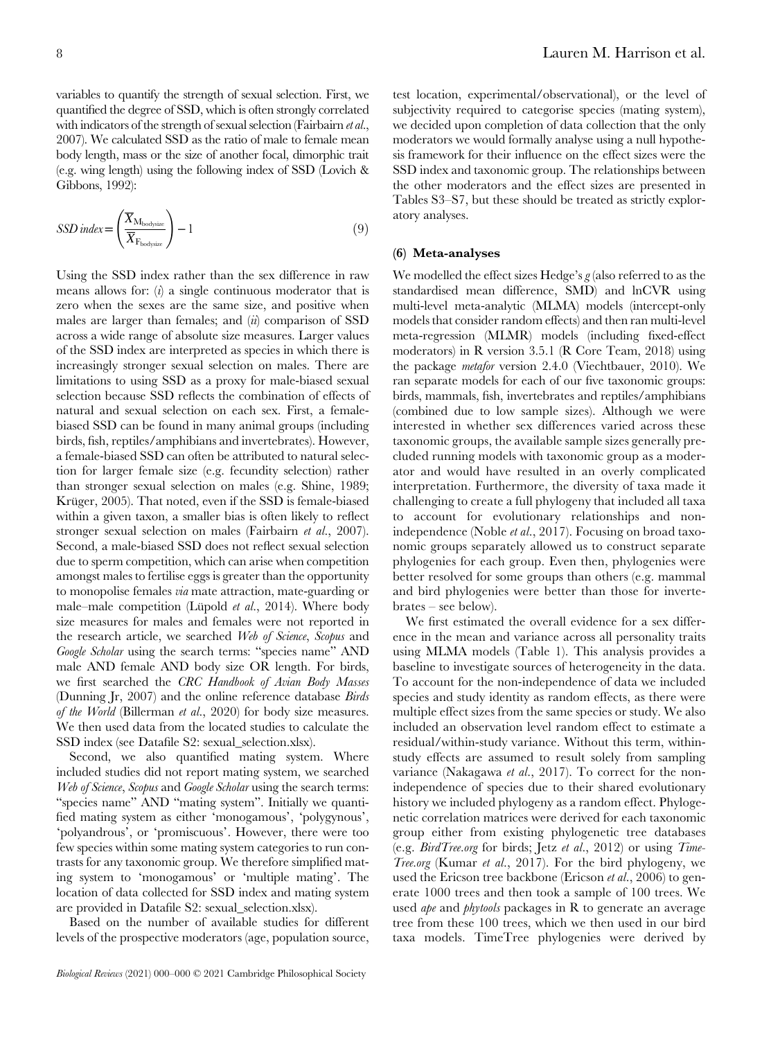variables to quantify the strength of sexual selection. First, we quantified the degree of SSD, which is often strongly correlated with indicators of the strength of sexual selection (Fairbairn et al., 2007). We calculated SSD as the ratio of male to female mean body length, mass or the size of another focal, dimorphic trait (e.g. wing length) using the following index of SSD (Lovich & Gibbons, 1992):

$$
SSD\text{ index} = \left(\frac{\overline{X}_{\text{M}_{\text{bodysize}}}}{\overline{X}_{\text{F}_{\text{bodysize}}}}\right) - 1\tag{9}
$$

Using the SSD index rather than the sex difference in raw means allows for:  $(i)$  a single continuous moderator that is zero when the sexes are the same size, and positive when males are larger than females; and  $(ii)$  comparison of SSD across a wide range of absolute size measures. Larger values of the SSD index are interpreted as species in which there is increasingly stronger sexual selection on males. There are limitations to using SSD as a proxy for male-biased sexual selection because SSD reflects the combination of effects of natural and sexual selection on each sex. First, a femalebiased SSD can be found in many animal groups (including birds, fish, reptiles/amphibians and invertebrates). However, a female-biased SSD can often be attributed to natural selection for larger female size (e.g. fecundity selection) rather than stronger sexual selection on males (e.g. Shine, 1989; Krüger, 2005). That noted, even if the SSD is female-biased within a given taxon, a smaller bias is often likely to reflect stronger sexual selection on males (Fairbairn et al., 2007). Second, a male-biased SSD does not reflect sexual selection due to sperm competition, which can arise when competition amongst males to fertilise eggs is greater than the opportunity to monopolise females via mate attraction, mate-guarding or male–male competition (Lüpold et al., 2014). Where body size measures for males and females were not reported in the research article, we searched Web of Science, Scopus and Google Scholar using the search terms: "species name" AND male AND female AND body size OR length. For birds, we first searched the CRC Handbook of Avian Body Masses (Dunning Jr, 2007) and the online reference database Birds of the World (Billerman et al., 2020) for body size measures. We then used data from the located studies to calculate the SSD index (see Datafile S2: sexual\_selection.xlsx).

Second, we also quantified mating system. Where included studies did not report mating system, we searched Web of Science, Scopus and Google Scholar using the search terms: "species name" AND "mating system". Initially we quantified mating system as either 'monogamous', 'polygynous', 'polyandrous', or 'promiscuous'. However, there were too few species within some mating system categories to run contrasts for any taxonomic group. We therefore simplified mating system to 'monogamous' or 'multiple mating'. The location of data collected for SSD index and mating system are provided in Datafile S2: sexual\_selection.xlsx).

Based on the number of available studies for different levels of the prospective moderators (age, population source, test location, experimental/observational), or the level of subjectivity required to categorise species (mating system), we decided upon completion of data collection that the only moderators we would formally analyse using a null hypothesis framework for their influence on the effect sizes were the SSD index and taxonomic group. The relationships between the other moderators and the effect sizes are presented in Tables S3–S7, but these should be treated as strictly exploratory analyses.

#### (6) Meta-analyses

We modelled the effect sizes Hedge's  $g$  (also referred to as the standardised mean difference, SMD) and lnCVR using multi-level meta-analytic (MLMA) models (intercept-only models that consider random effects) and then ran multi-level meta-regression (MLMR) models (including fixed-effect moderators) in R version 3.5.1 (R Core Team, 2018) using the package metafor version 2.4.0 (Viechtbauer, 2010). We ran separate models for each of our five taxonomic groups: birds, mammals, fish, invertebrates and reptiles/amphibians (combined due to low sample sizes). Although we were interested in whether sex differences varied across these taxonomic groups, the available sample sizes generally precluded running models with taxonomic group as a moderator and would have resulted in an overly complicated interpretation. Furthermore, the diversity of taxa made it challenging to create a full phylogeny that included all taxa to account for evolutionary relationships and nonindependence (Noble et al., 2017). Focusing on broad taxonomic groups separately allowed us to construct separate phylogenies for each group. Even then, phylogenies were better resolved for some groups than others (e.g. mammal and bird phylogenies were better than those for invertebrates – see below).

We first estimated the overall evidence for a sex difference in the mean and variance across all personality traits using MLMA models (Table 1). This analysis provides a baseline to investigate sources of heterogeneity in the data. To account for the non-independence of data we included species and study identity as random effects, as there were multiple effect sizes from the same species or study. We also included an observation level random effect to estimate a residual/within-study variance. Without this term, withinstudy effects are assumed to result solely from sampling variance (Nakagawa et al., 2017). To correct for the nonindependence of species due to their shared evolutionary history we included phylogeny as a random effect. Phylogenetic correlation matrices were derived for each taxonomic group either from existing phylogenetic tree databases (e.g. BirdTree.org for birds; Jetz et al., 2012) or using Time-Tree.org (Kumar et al., 2017). For the bird phylogeny, we used the Ericson tree backbone (Ericson et al., 2006) to generate 1000 trees and then took a sample of 100 trees. We used *ape* and *phytools* packages in R to generate an average tree from these 100 trees, which we then used in our bird taxa models. TimeTree phylogenies were derived by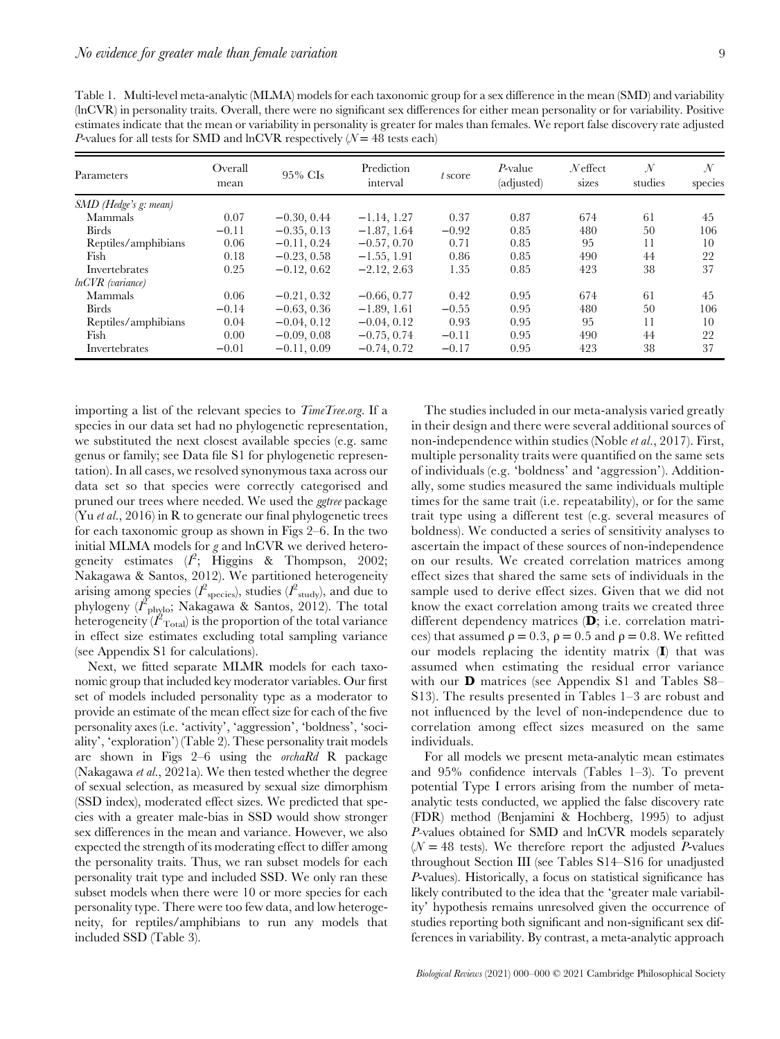| P-values for all tests for SMD and lnCVR respectively $(N = 48$ tests each) |                 |               |                        |         |                               |                     |                          |                          |
|-----------------------------------------------------------------------------|-----------------|---------------|------------------------|---------|-------------------------------|---------------------|--------------------------|--------------------------|
| Parameters                                                                  | Overall<br>mean | $95\%$ CIs    | Prediction<br>interval | t score | <i>P</i> -value<br>(adjusted) | $N$ effect<br>sizes | $\mathcal{N}$<br>studies | $\mathcal{N}$<br>species |
| SMD (Hedge's g: mean)                                                       |                 |               |                        |         |                               |                     |                          |                          |
| Mammals                                                                     | 0.07            | $-0.30, 0.44$ | $-1.14, 1.27$          | 0.37    | 0.87                          | 674                 | 61                       | 45                       |
| <b>Birds</b>                                                                | $-0.11$         | $-0.35, 0.13$ | $-1.87, 1.64$          | $-0.92$ | 0.85                          | 480                 | 50                       | 106                      |
| Reptiles/amphibians                                                         | 0.06            | $-0.11, 0.24$ | $-0.57, 0.70$          | 0.71    | 0.85                          | 95                  | 11                       | 10                       |
| Fish                                                                        | 0.18            | $-0.23, 0.58$ | $-1.55, 1.91$          | 0.86    | 0.85                          | 490                 | 44                       | 22                       |
| Invertebrates                                                               | 0.25            | $-0.12, 0.62$ | $-2.12, 2.63$          | 1.35    | 0.85                          | 423                 | 38                       | 37                       |
| lnCVR (variance)                                                            |                 |               |                        |         |                               |                     |                          |                          |
| Mammals                                                                     | 0.06            | $-0.21, 0.32$ | $-0.66, 0.77$          | 0.42    | 0.95                          | 674                 | 61                       | 45                       |
| <b>Birds</b>                                                                | $-0.14$         | $-0.63, 0.36$ | $-1.89, 1.61$          | $-0.55$ | 0.95                          | 480                 | 50                       | 106                      |
| Reptiles/amphibians                                                         | 0.04            | $-0.04, 0.12$ | $-0.04, 0.12$          | 0.93    | 0.95                          | 95                  | 11                       | 10                       |
| Fish                                                                        | 0.00            | $-0.09, 0.08$ | $-0.75, 0.74$          | $-0.11$ | 0.95                          | 490                 | 44                       | 22                       |
| Invertebrates                                                               | $-0.01$         | $-0.11, 0.09$ | $-0.74, 0.72$          | $-0.17$ | 0.95                          | 423                 | 38                       | 37                       |

Table 1. Multi-level meta-analytic (MLMA) models for each taxonomic group for a sex difference in the mean (SMD) and variability (lnCVR) in personality traits. Overall, there were no significant sex differences for either mean personality or for variability. Positive estimates indicate that the mean or variability in personality is greater for males than females. We report false discovery rate adjusted P-values for all tests for SMD and lnCVR respectively  $(N = 48 \text{ tests each})$ 

importing a list of the relevant species to *TimeTree.org*. If a species in our data set had no phylogenetic representation, we substituted the next closest available species (e.g. same genus or family; see Data file S1 for phylogenetic representation). In all cases, we resolved synonymous taxa across our data set so that species were correctly categorised and pruned our trees where needed. We used the ggtree package (Yu *et al.*, 2016) in R to generate our final phylogenetic trees for each taxonomic group as shown in Figs 2–6. In the two initial MLMA models for g and lnCVR we derived heterogeneity estimates  $(I^2;$  Higgins & Thompson, 2002; Nakagawa & Santos, 2012). We partitioned heterogeneity arising among species ( $l^2$ <sub>species</sub>), studies ( $l^2$ <sub>study</sub>), and due to phylogeny  $(I_{\text{phylo}}^2)$ . Nakagawa & Santos, 2012). The total heterogeneity  $(\overline{I}_{\text{Total}}^2)$  is the proportion of the total variance in effect size estimates excluding total sampling variance (see Appendix S1 for calculations).

Next, we fitted separate MLMR models for each taxonomic group that included key moderator variables. Our first set of models included personality type as a moderator to provide an estimate of the mean effect size for each of the five personality axes (i.e. 'activity', 'aggression', 'boldness', 'sociality', 'exploration') (Table 2). These personality trait models are shown in Figs 2–6 using the orchaRd R package (Nakagawa et al., 2021a). We then tested whether the degree of sexual selection, as measured by sexual size dimorphism (SSD index), moderated effect sizes. We predicted that species with a greater male-bias in SSD would show stronger sex differences in the mean and variance. However, we also expected the strength of its moderating effect to differ among the personality traits. Thus, we ran subset models for each personality trait type and included SSD. We only ran these subset models when there were 10 or more species for each personality type. There were too few data, and low heterogeneity, for reptiles/amphibians to run any models that included SSD (Table 3).

The studies included in our meta-analysis varied greatly in their design and there were several additional sources of non-independence within studies (Noble et al., 2017). First, multiple personality traits were quantified on the same sets of individuals (e.g. 'boldness' and 'aggression'). Additionally, some studies measured the same individuals multiple times for the same trait (i.e. repeatability), or for the same trait type using a different test (e.g. several measures of boldness). We conducted a series of sensitivity analyses to ascertain the impact of these sources of non-independence on our results. We created correlation matrices among effect sizes that shared the same sets of individuals in the sample used to derive effect sizes. Given that we did not know the exact correlation among traits we created three different dependency matrices (D; i.e. correlation matrices) that assumed  $\rho = 0.3$ ,  $\rho = 0.5$  and  $\rho = 0.8$ . We refitted our models replacing the identity matrix (I) that was assumed when estimating the residual error variance with our **D** matrices (see Appendix S1 and Tables S8– S13). The results presented in Tables 1–3 are robust and not influenced by the level of non-independence due to correlation among effect sizes measured on the same individuals.

For all models we present meta-analytic mean estimates and 95% confidence intervals (Tables 1–3). To prevent potential Type I errors arising from the number of metaanalytic tests conducted, we applied the false discovery rate (FDR) method (Benjamini & Hochberg, 1995) to adjust P-values obtained for SMD and lnCVR models separately  $(N = 48$  tests). We therefore report the adjusted P-values throughout Section III (see Tables S14–S16 for unadjusted P-values). Historically, a focus on statistical significance has likely contributed to the idea that the 'greater male variability' hypothesis remains unresolved given the occurrence of studies reporting both significant and non-significant sex differences in variability. By contrast, a meta-analytic approach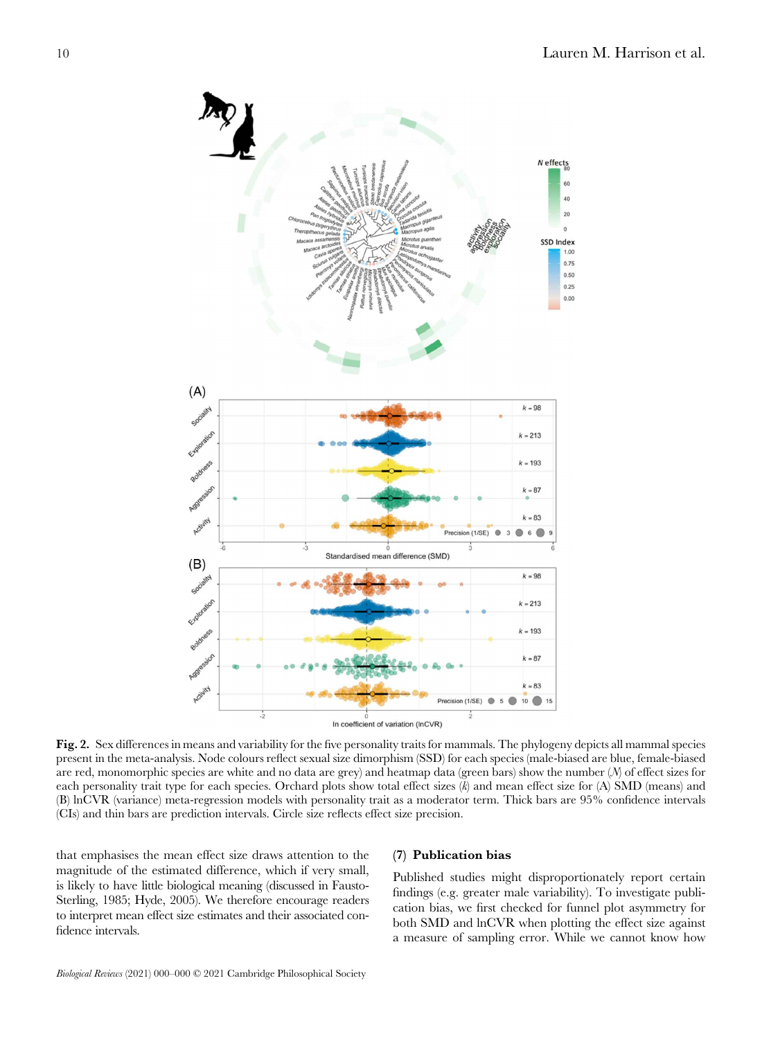

Fig. 2. Sex differences in means and variability for the five personality traits for mammals. The phylogeny depicts all mammal species present in the meta-analysis. Node colours reflect sexual size dimorphism (SSD) for each species (male-biased are blue, female-biased are red, monomorphic species are white and no data are grey) and heatmap data (green bars) show the number (N) of effect sizes for each personality trait type for each species. Orchard plots show total effect sizes  $(k)$  and mean effect size for  $(A)$  SMD (means) and (B) lnCVR (variance) meta-regression models with personality trait as a moderator term. Thick bars are 95% confidence intervals (CIs) and thin bars are prediction intervals. Circle size reflects effect size precision.

that emphasises the mean effect size draws attention to the magnitude of the estimated difference, which if very small, is likely to have little biological meaning (discussed in Fausto-Sterling, 1985; Hyde, 2005). We therefore encourage readers to interpret mean effect size estimates and their associated confidence intervals.

# (7) Publication bias

Published studies might disproportionately report certain findings (e.g. greater male variability). To investigate publication bias, we first checked for funnel plot asymmetry for both SMD and lnCVR when plotting the effect size against a measure of sampling error. While we cannot know how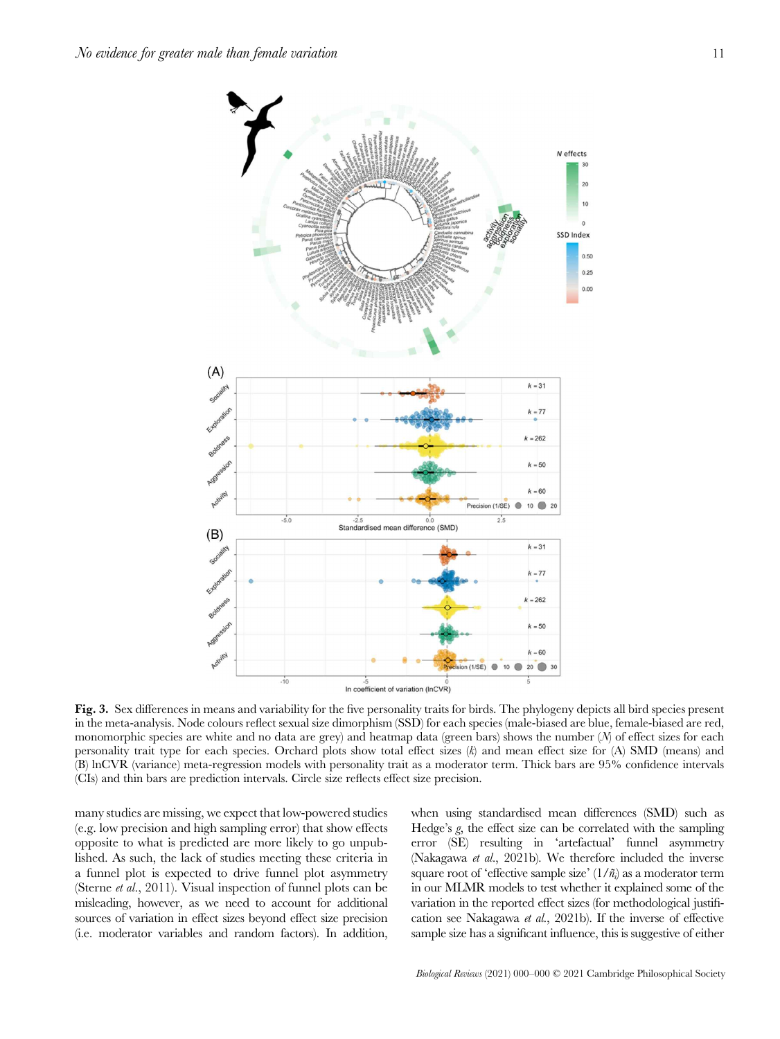

Fig. 3. Sex differences in means and variability for the five personality traits for birds. The phylogeny depicts all bird species present in the meta-analysis. Node colours reflect sexual size dimorphism (SSD) for each species (male-biased are blue, female-biased are red, monomorphic species are white and no data are grey) and heatmap data (green bars) shows the number (N) of effect sizes for each personality trait type for each species. Orchard plots show total effect sizes  $(k)$  and mean effect size for  $(A)$  SMD (means) and (B) lnCVR (variance) meta-regression models with personality trait as a moderator term. Thick bars are 95% confidence intervals (CIs) and thin bars are prediction intervals. Circle size reflects effect size precision.

many studies are missing, we expect that low-powered studies (e.g. low precision and high sampling error) that show effects opposite to what is predicted are more likely to go unpublished. As such, the lack of studies meeting these criteria in a funnel plot is expected to drive funnel plot asymmetry (Sterne et al., 2011). Visual inspection of funnel plots can be misleading, however, as we need to account for additional sources of variation in effect sizes beyond effect size precision (i.e. moderator variables and random factors). In addition,

when using standardised mean differences (SMD) such as Hedge's g, the effect size can be correlated with the sampling error (SE) resulting in 'artefactual' funnel asymmetry (Nakagawa *et al.*, 2021b). We therefore included the inverse square root of 'effective sample size'  $(1/\tilde{n}_i)$  as a moderator term in our MLMR models to test whether it explained some of the variation in the reported effect sizes (for methodological justification see Nakagawa et al., 2021b). If the inverse of effective sample size has a significant influence, this is suggestive of either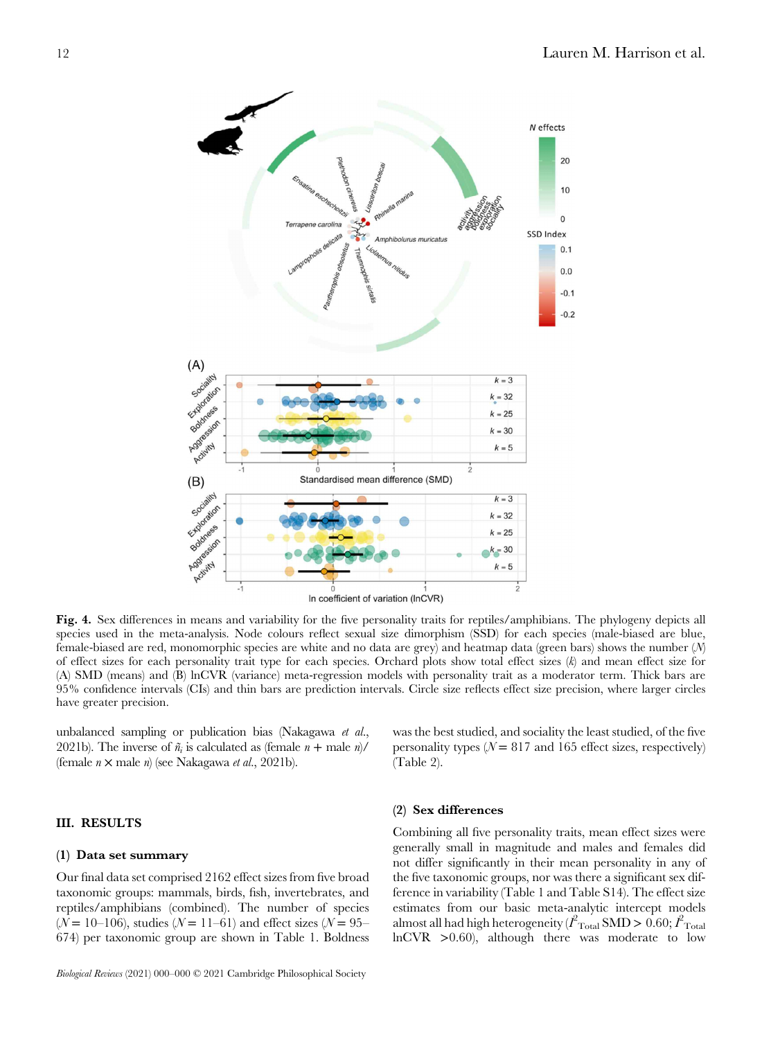

Fig. 4. Sex differences in means and variability for the five personality traits for reptiles/amphibians. The phylogeny depicts all species used in the meta-analysis. Node colours reflect sexual size dimorphism (SSD) for each species (male-biased are blue, female-biased are red, monomorphic species are white and no data are grey) and heatmap data (green bars) shows the number (N) of effect sizes for each personality trait type for each species. Orchard plots show total effect sizes  $(k)$  and mean effect size for (A) SMD (means) and (B) lnCVR (variance) meta-regression models with personality trait as a moderator term. Thick bars are 95% confidence intervals (CIs) and thin bars are prediction intervals. Circle size reflects effect size precision, where larger circles have greater precision.

unbalanced sampling or publication bias (Nakagawa et al., 2021b). The inverse of  $\tilde{n}_i$  is calculated as (female  $n +$  male  $n$ )/ (female  $n \times$  male  $n$ ) (see Nakagawa *et al.*, 2021b).

# III. RESULTS

#### (1) Data set summary

Our final data set comprised 2162 effect sizes from five broad taxonomic groups: mammals, birds, fish, invertebrates, and reptiles/amphibians (combined). The number of species  $(N = 10 - 106)$ , studies  $(N = 11 - 61)$  and effect sizes  $(N = 95 - 10)$ 674) per taxonomic group are shown in Table 1. Boldness was the best studied, and sociality the least studied, of the five personality types ( $N = 817$  and 165 effect sizes, respectively) (Table 2).

#### (2) Sex differences

Combining all five personality traits, mean effect sizes were generally small in magnitude and males and females did not differ significantly in their mean personality in any of the five taxonomic groups, nor was there a significant sex difference in variability (Table 1 and Table S14). The effect size estimates from our basic meta-analytic intercept models almost all had high heterogeneity ( $\overrightarrow{I}_{\rm Total}$  SMD > 0.60;  $\overrightarrow{I}_{\rm Total}$  $lnCVR$   $>0.60$ , although there was moderate to low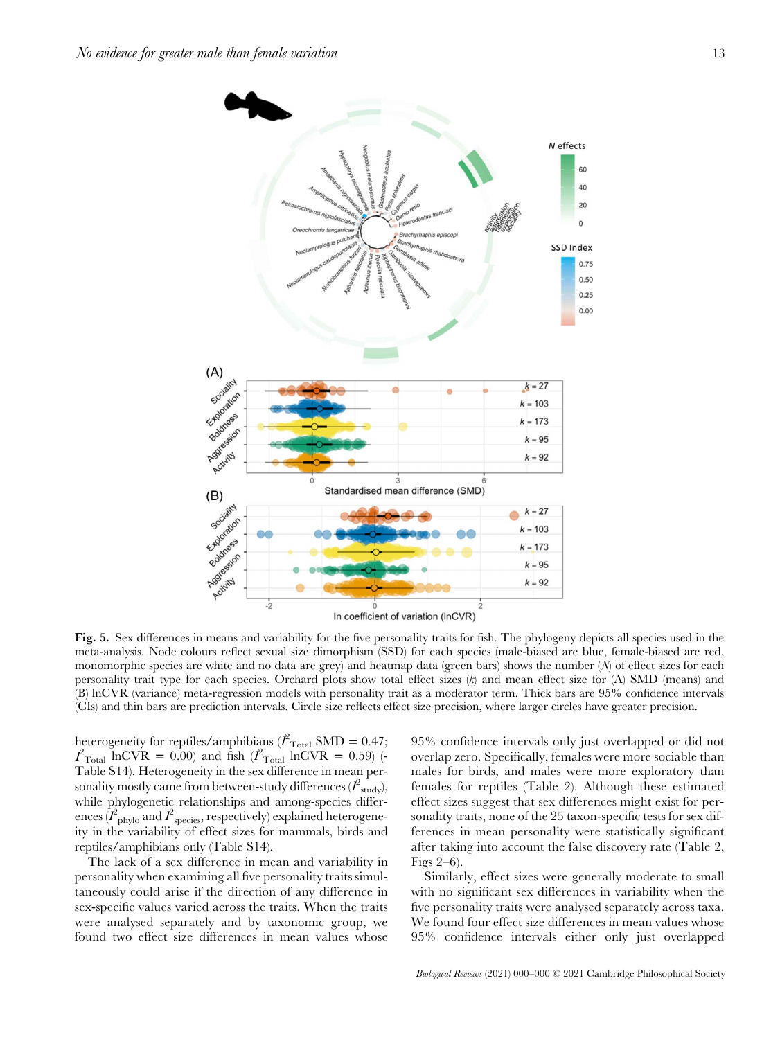

Fig. 5. Sex differences in means and variability for the five personality traits for fish. The phylogeny depicts all species used in the meta-analysis. Node colours reflect sexual size dimorphism (SSD) for each species (male-biased are blue, female-biased are red, monomorphic species are white and no data are grey) and heatmap data (green bars) shows the number (N) of effect sizes for each personality trait type for each species. Orchard plots show total effect sizes  $(k)$  and mean effect size for  $(A)$  SMD (means) and (B) lnCVR (variance) meta-regression models with personality trait as a moderator term. Thick bars are 95% confidence intervals (CIs) and thin bars are prediction intervals. Circle size reflects effect size precision, where larger circles have greater precision.

heterogeneity for reptiles/amphibians ( $l^2_{\text{Total}}$  SMD = 0.47;  $I_{\text{Total}}^2$  InCVR = 0.00) and fish  $(I_{\text{Total}}^2$  InCVR = 0.59) (-Table S14). Heterogeneity in the sex difference in mean personality mostly came from between-study differences  $(\hat{I}^2_{\rm study}),$ while phylogenetic relationships and among-species differences  $(\overline{l}_{\rm phylo}^2$  and  $\overline{l}_{\rm species}^2$ , respectively) explained heterogeneity in the variability of effect sizes for mammals, birds and reptiles/amphibians only (Table S14).

The lack of a sex difference in mean and variability in personality when examining all five personality traits simultaneously could arise if the direction of any difference in sex-specific values varied across the traits. When the traits were analysed separately and by taxonomic group, we found two effect size differences in mean values whose

95% confidence intervals only just overlapped or did not overlap zero. Specifically, females were more sociable than males for birds, and males were more exploratory than females for reptiles (Table 2). Although these estimated effect sizes suggest that sex differences might exist for personality traits, none of the 25 taxon-specific tests for sex differences in mean personality were statistically significant after taking into account the false discovery rate (Table 2, Figs 2–6).

Similarly, effect sizes were generally moderate to small with no significant sex differences in variability when the five personality traits were analysed separately across taxa. We found four effect size differences in mean values whose 95% confidence intervals either only just overlapped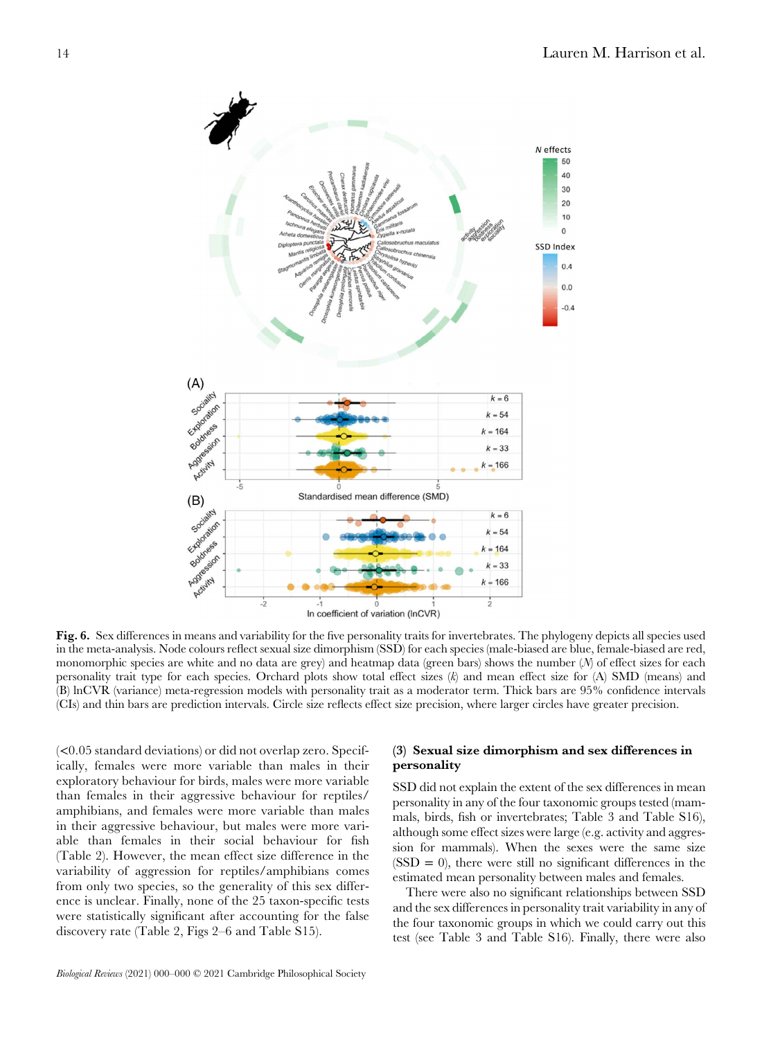

Fig. 6. Sex differences in means and variability for the five personality traits for invertebrates. The phylogeny depicts all species used in the meta-analysis. Node colours reflect sexual size dimorphism (SSD) for each species (male-biased are blue, female-biased are red, monomorphic species are white and no data are grey) and heatmap data (green bars) shows the number (N) of effect sizes for each personality trait type for each species. Orchard plots show total effect sizes  $(k)$  and mean effect size for  $(A)$  SMD (means) and (B) lnCVR (variance) meta-regression models with personality trait as a moderator term. Thick bars are 95% confidence intervals (CIs) and thin bars are prediction intervals. Circle size reflects effect size precision, where larger circles have greater precision.

(<0.05 standard deviations) or did not overlap zero. Specifically, females were more variable than males in their exploratory behaviour for birds, males were more variable than females in their aggressive behaviour for reptiles/ amphibians, and females were more variable than males in their aggressive behaviour, but males were more variable than females in their social behaviour for fish (Table 2). However, the mean effect size difference in the variability of aggression for reptiles/amphibians comes from only two species, so the generality of this sex difference is unclear. Finally, none of the 25 taxon-specific tests were statistically significant after accounting for the false discovery rate (Table 2, Figs 2–6 and Table S15).

# (3) Sexual size dimorphism and sex differences in personality

SSD did not explain the extent of the sex differences in mean personality in any of the four taxonomic groups tested (mammals, birds, fish or invertebrates; Table 3 and Table S16), although some effect sizes were large (e.g. activity and aggression for mammals). When the sexes were the same size  $(SSD = 0)$ , there were still no significant differences in the estimated mean personality between males and females.

There were also no significant relationships between SSD and the sex differences in personality trait variability in any of the four taxonomic groups in which we could carry out this test (see Table 3 and Table S16). Finally, there were also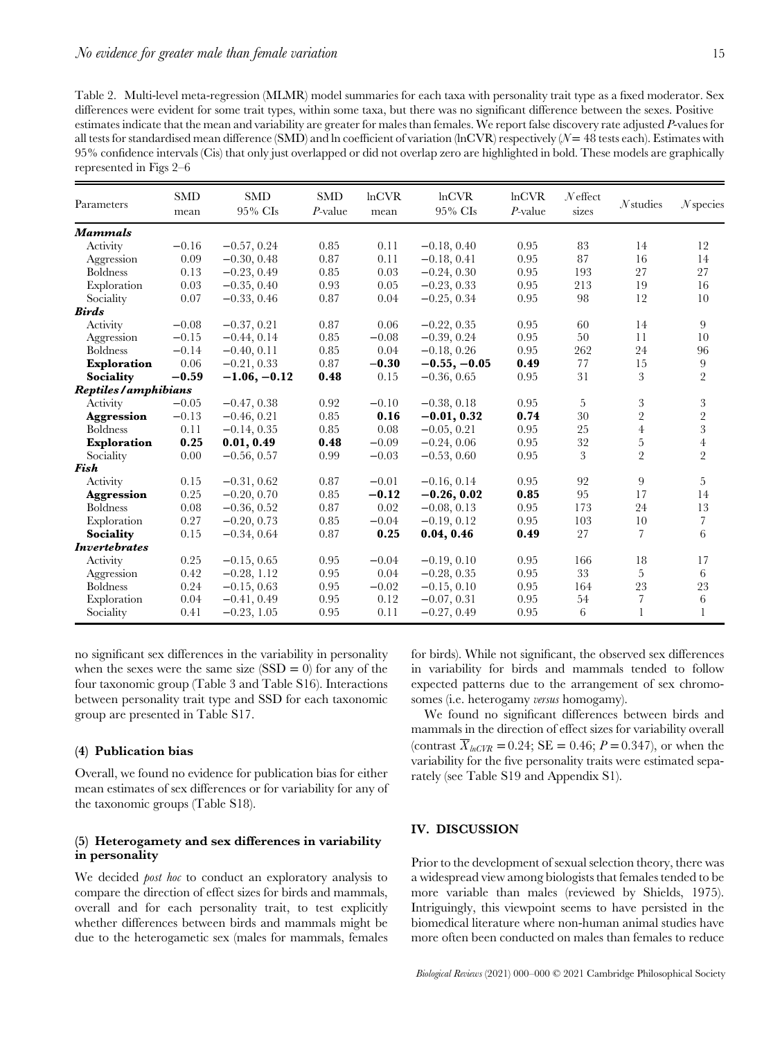Table 2. Multi-level meta-regression (MLMR) model summaries for each taxa with personality trait type as a fixed moderator. Sex differences were evident for some trait types, within some taxa, but there was no significant difference between the sexes. Positive estimates indicate that the mean and variability are greater for males than females. We report false discovery rate adjusted P-values for all tests for standardised mean difference (SMD) and ln coefficient of variation (lnCVR) respectively ( $\mathcal{N}=48$  tests each). Estimates with 95% confidence intervals (Cis) that only just overlapped or did not overlap zero are highlighted in bold. These models are graphically represented in Figs 2–6

| Parameters           | <b>SMD</b><br>mean | <b>SMD</b><br>95% CIs | <b>SMD</b><br>$P$ -value | lnCVR<br>mean | lnCVR<br>95% CIs | $ln$ CVR<br>$P$ -value | $N$ effect<br>sizes | $N$ studies    | $N$ species    |
|----------------------|--------------------|-----------------------|--------------------------|---------------|------------------|------------------------|---------------------|----------------|----------------|
| <b>Mammals</b>       |                    |                       |                          |               |                  |                        |                     |                |                |
| Activity             | $-0.16$            | $-0.57, 0.24$         | 0.85                     | 0.11          | $-0.18, 0.40$    | 0.95                   | 83                  | 14             | 12             |
| Aggression           | 0.09               | $-0.30, 0.48$         | 0.87                     | 0.11          | $-0.18, 0.41$    | 0.95                   | 87                  | 16             | 14             |
| <b>Boldness</b>      | 0.13               | $-0.23, 0.49$         | 0.85                     | 0.03          | $-0.24, 0.30$    | 0.95                   | 193                 | 27             | 27             |
| Exploration          | 0.03               | $-0.35, 0.40$         | 0.93                     | 0.05          | $-0.23, 0.33$    | 0.95                   | 213                 | 19             | 16             |
| Sociality            | 0.07               | $-0.33, 0.46$         | 0.87                     | 0.04          | $-0.25, 0.34$    | 0.95                   | 98                  | 12             | 10             |
| <b>Birds</b>         |                    |                       |                          |               |                  |                        |                     |                |                |
| Activity             | $-0.08$            | $-0.37, 0.21$         | 0.87                     | 0.06          | $-0.22, 0.35$    | 0.95                   | 60                  | 14             | 9              |
| Aggression           | $-0.15$            | $-0.44, 0.14$         | 0.85                     | $-0.08$       | $-0.39, 0.24$    | 0.95                   | 50                  | 11             | 10             |
| <b>Boldness</b>      | $-0.14$            | $-0.40, 0.11$         | 0.85                     | 0.04          | $-0.18, 0.26$    | 0.95                   | 262                 | 24             | 96             |
| Exploration          | 0.06               | $-0.21, 0.33$         | 0.87                     | $-0.30$       | $-0.55, -0.05$   | 0.49                   | 77                  | 15             | 9              |
| <b>Sociality</b>     | $-0.59$            | $-1.06, -0.12$        | 0.48                     | 0.15          | $-0.36, 0.65$    | 0.95                   | 31                  | 3              | $\overline{2}$ |
| Reptiles/amphibians  |                    |                       |                          |               |                  |                        |                     |                |                |
| Activity             | $-0.05$            | $-0.47, 0.38$         | 0.92                     | $-0.10$       | $-0.38, 0.18$    | 0.95                   | 5                   | 3              | $\sqrt{3}$     |
| Aggression           | $-0.13$            | $-0.46, 0.21$         | 0.85                     | 0.16          | $-0.01, 0.32$    | 0.74                   | 30                  | $\overline{2}$ | $\frac{2}{3}$  |
| <b>Boldness</b>      | 0.11               | $-0.14, 0.35$         | 0.85                     | 0.08          | $-0.05, 0.21$    | 0.95                   | 25                  | $\overline{4}$ |                |
| Exploration          | 0.25               | 0.01, 0.49            | 0.48                     | $-0.09$       | $-0.24, 0.06$    | 0.95                   | 32                  | $\overline{5}$ | $\overline{4}$ |
| Sociality            | 0.00               | $-0.56, 0.57$         | 0.99                     | $-0.03$       | $-0.53, 0.60$    | 0.95                   | 3                   | $\overline{2}$ | $\overline{2}$ |
| Fish                 |                    |                       |                          |               |                  |                        |                     |                |                |
| Activity             | 0.15               | $-0.31, 0.62$         | 0.87                     | $-0.01$       | $-0.16, 0.14$    | 0.95                   | 92                  | 9              | 5              |
| Aggression           | 0.25               | $-0.20, 0.70$         | 0.85                     | $-0.12$       | $-0.26, 0.02$    | 0.85                   | 95                  | 17             | 14             |
| <b>Boldness</b>      | 0.08               | $-0.36, 0.52$         | 0.87                     | 0.02          | $-0.08, 0.13$    | 0.95                   | 173                 | 24             | 13             |
| Exploration          | 0.27               | $-0.20, 0.73$         | 0.85                     | $-0.04$       | $-0.19, 0.12$    | 0.95                   | 103                 | 10             | $\sqrt{ }$     |
| Sociality            | 0.15               | $-0.34, 0.64$         | 0.87                     | 0.25          | 0.04, 0.46       | 0.49                   | 27                  | 7              | $\sqrt{6}$     |
| <i>Invertebrates</i> |                    |                       |                          |               |                  |                        |                     |                |                |
| Activity             | 0.25               | $-0.15, 0.65$         | 0.95                     | $-0.04$       | $-0.19, 0.10$    | 0.95                   | 166                 | 18             | 17             |
| Aggression           | 0.42               | $-0.28, 1.12$         | 0.95                     | 0.04          | $-0.28, 0.35$    | 0.95                   | 33                  | 5              | 6              |
| <b>Boldness</b>      | 0.24               | $-0.15, 0.63$         | 0.95                     | $-0.02$       | $-0.15, 0.10$    | 0.95                   | 164                 | 23             | 23             |
| Exploration          | 0.04               | $-0.41, 0.49$         | 0.95                     | 0.12          | $-0.07, 0.31$    | 0.95                   | 54                  | 7              | $\,6\,$        |
| Sociality            | 0.41               | $-0.23, 1.05$         | 0.95                     | 0.11          | $-0.27, 0.49$    | 0.95                   | 6                   | 1              | $\mathbf{1}$   |

no significant sex differences in the variability in personality when the sexes were the same size  $(SSD = 0)$  for any of the four taxonomic group (Table 3 and Table S16). Interactions between personality trait type and SSD for each taxonomic group are presented in Table S17.

#### (4) Publication bias

Overall, we found no evidence for publication bias for either mean estimates of sex differences or for variability for any of the taxonomic groups (Table S18).

# (5) Heterogamety and sex differences in variability in personality

We decided *post hoc* to conduct an exploratory analysis to compare the direction of effect sizes for birds and mammals, overall and for each personality trait, to test explicitly whether differences between birds and mammals might be due to the heterogametic sex (males for mammals, females for birds). While not significant, the observed sex differences in variability for birds and mammals tended to follow expected patterns due to the arrangement of sex chromosomes (i.e. heterogamy *versus* homogamy).

We found no significant differences between birds and mammals in the direction of effect sizes for variability overall (contrast  $\overline{X}_{hCVR} = 0.24$ ; SE = 0.46;  $P = 0.347$ ), or when the variability for the five personality traits were estimated separately (see Table S19 and Appendix S1).

# IV. DISCUSSION

Prior to the development of sexual selection theory, there was a widespread view among biologists that females tended to be more variable than males (reviewed by Shields, 1975). Intriguingly, this viewpoint seems to have persisted in the biomedical literature where non-human animal studies have more often been conducted on males than females to reduce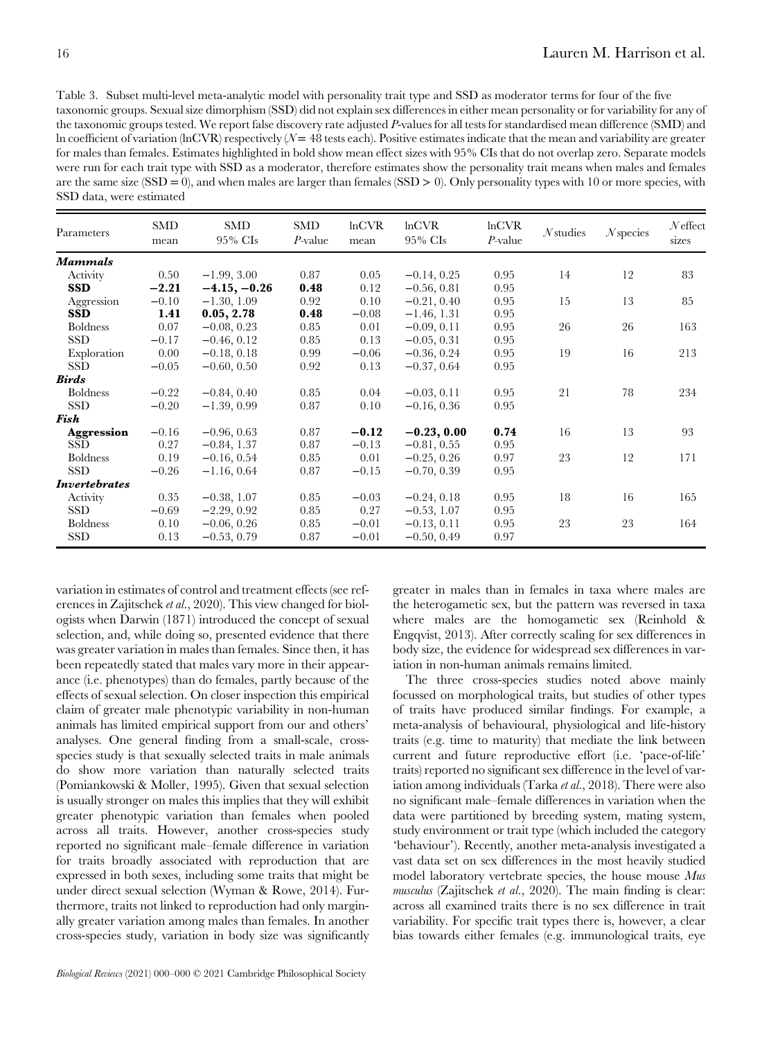Table 3. Subset multi-level meta-analytic model with personality trait type and SSD as moderator terms for four of the five taxonomic groups. Sexual size dimorphism (SSD) did not explain sex differences in either mean personality or for variability for any of the taxonomic groups tested. We report false discovery rate adjusted P-values for all tests for standardised mean difference (SMD) and ln coefficient of variation (lnCVR) respectively ( $\mathcal{N} = 48$  tests each). Positive estimates indicate that the mean and variability are greater for males than females. Estimates highlighted in bold show mean effect sizes with 95% CIs that do not overlap zero. Separate models were run for each trait type with SSD as a moderator, therefore estimates show the personality trait means when males and females are the same size  $(SSD = 0)$ , and when males are larger than females  $(SSD > 0)$ . Only personality types with 10 or more species, with SSD data, were estimated

| Parameters           | SMD<br>mean | <b>SMD</b><br>$95\%$ CIs | SMD<br>$P$ -value | lnCVR<br>mean | lnCVR<br>$95\%$ CIs | $ln$ CVR<br>$P$ -value | $N$ studies | $N$ species | $N$ effect<br>sizes |
|----------------------|-------------|--------------------------|-------------------|---------------|---------------------|------------------------|-------------|-------------|---------------------|
| <b>Mammals</b>       |             |                          |                   |               |                     |                        |             |             |                     |
| Activity             | 0.50        | $-1.99, 3.00$            | 0.87              | 0.05          | $-0.14, 0.25$       | 0.95                   | 14          | 12          | 83                  |
| <b>SSD</b>           | $-2.21$     | $-4.15, -0.26$           | 0.48              | 0.12          | $-0.56, 0.81$       | 0.95                   |             |             |                     |
| Aggression           | $-0.10$     | $-1.30, 1.09$            | 0.92              | 0.10          | $-0.21, 0.40$       | 0.95                   | 15          | 13          | 85                  |
| <b>SSD</b>           | 1.41        | 0.05, 2.78               | 0.48              | $-0.08$       | $-1.46, 1.31$       | 0.95                   |             |             |                     |
| <b>Boldness</b>      | 0.07        | $-0.08, 0.23$            | 0.85              | 0.01          | $-0.09, 0.11$       | 0.95                   | 26          | 26          | 163                 |
| <b>SSD</b>           | $-0.17$     | $-0.46, 0.12$            | 0.85              | 0.13          | $-0.05, 0.31$       | 0.95                   |             |             |                     |
| Exploration          | 0.00        | $-0.18, 0.18$            | 0.99              | $-0.06$       | $-0.36, 0.24$       | 0.95                   | 19          | 16          | 213                 |
| SSD                  | $-0.05$     | $-0.60, 0.50$            | 0.92              | 0.13          | $-0.37, 0.64$       | 0.95                   |             |             |                     |
| <b>Birds</b>         |             |                          |                   |               |                     |                        |             |             |                     |
| <b>Boldness</b>      | $-0.22$     | $-0.84, 0.40$            | 0.85              | 0.04          | $-0.03, 0.11$       | 0.95                   | 21          | 78          | 234                 |
| SSD                  | $-0.20$     | $-1.39, 0.99$            | 0.87              | 0.10          | $-0.16, 0.36$       | 0.95                   |             |             |                     |
| Fish                 |             |                          |                   |               |                     |                        |             |             |                     |
| Aggression           | $-0.16$     | $-0.96, 0.63$            | 0.87              | $-0.12$       | $-0.23, 0.00$       | 0.74                   | 16          | 13          | 93                  |
| SSD.                 | 0.27        | $-0.84, 1.37$            | 0.87              | $-0.13$       | $-0.81, 0.55$       | 0.95                   |             |             |                     |
| <b>Boldness</b>      | 0.19        | $-0.16, 0.54$            | 0.85              | 0.01          | $-0.25, 0.26$       | 0.97                   | 23          | 12          | 171                 |
| SSD                  | $-0.26$     | $-1.16, 0.64$            | 0.87              | $-0.15$       | $-0.70, 0.39$       | 0.95                   |             |             |                     |
| <b>Invertebrates</b> |             |                          |                   |               |                     |                        |             |             |                     |
| Activity             | 0.35        | $-0.38, 1.07$            | 0.85              | $-0.03$       | $-0.24, 0.18$       | 0.95                   | 18          | 16          | 165                 |
| <b>SSD</b>           | $-0.69$     | $-2.29, 0.92$            | 0.85              | 0.27          | $-0.53, 1.07$       | 0.95                   |             |             |                     |
| <b>Boldness</b>      | 0.10        | $-0.06, 0.26$            | 0.85              | $-0.01$       | $-0.13, 0.11$       | 0.95                   | 23          | 23          | 164                 |
| SSD                  | 0.13        | $-0.53, 0.79$            | 0.87              | $-0.01$       | $-0.50, 0.49$       | 0.97                   |             |             |                     |

variation in estimates of control and treatment effects (see references in Zajitschek et al., 2020). This view changed for biologists when Darwin (1871) introduced the concept of sexual selection, and, while doing so, presented evidence that there was greater variation in males than females. Since then, it has been repeatedly stated that males vary more in their appearance (i.e. phenotypes) than do females, partly because of the effects of sexual selection. On closer inspection this empirical claim of greater male phenotypic variability in non-human animals has limited empirical support from our and others' analyses. One general finding from a small-scale, crossspecies study is that sexually selected traits in male animals do show more variation than naturally selected traits (Pomiankowski & Moller, 1995). Given that sexual selection is usually stronger on males this implies that they will exhibit greater phenotypic variation than females when pooled across all traits. However, another cross-species study reported no significant male–female difference in variation for traits broadly associated with reproduction that are expressed in both sexes, including some traits that might be under direct sexual selection (Wyman & Rowe, 2014). Furthermore, traits not linked to reproduction had only marginally greater variation among males than females. In another cross-species study, variation in body size was significantly

greater in males than in females in taxa where males are the heterogametic sex, but the pattern was reversed in taxa where males are the homogametic sex (Reinhold & Engqvist, 2013). After correctly scaling for sex differences in body size, the evidence for widespread sex differences in variation in non-human animals remains limited.

The three cross-species studies noted above mainly focussed on morphological traits, but studies of other types of traits have produced similar findings. For example, a meta-analysis of behavioural, physiological and life-history traits (e.g. time to maturity) that mediate the link between current and future reproductive effort (i.e. 'pace-of-life' traits) reported no significant sex difference in the level of variation among individuals (Tarka et al., 2018). There were also no significant male–female differences in variation when the data were partitioned by breeding system, mating system, study environment or trait type (which included the category 'behaviour'). Recently, another meta-analysis investigated a vast data set on sex differences in the most heavily studied model laboratory vertebrate species, the house mouse Mus musculus (Zajitschek et al., 2020). The main finding is clear: across all examined traits there is no sex difference in trait variability. For specific trait types there is, however, a clear bias towards either females (e.g. immunological traits, eye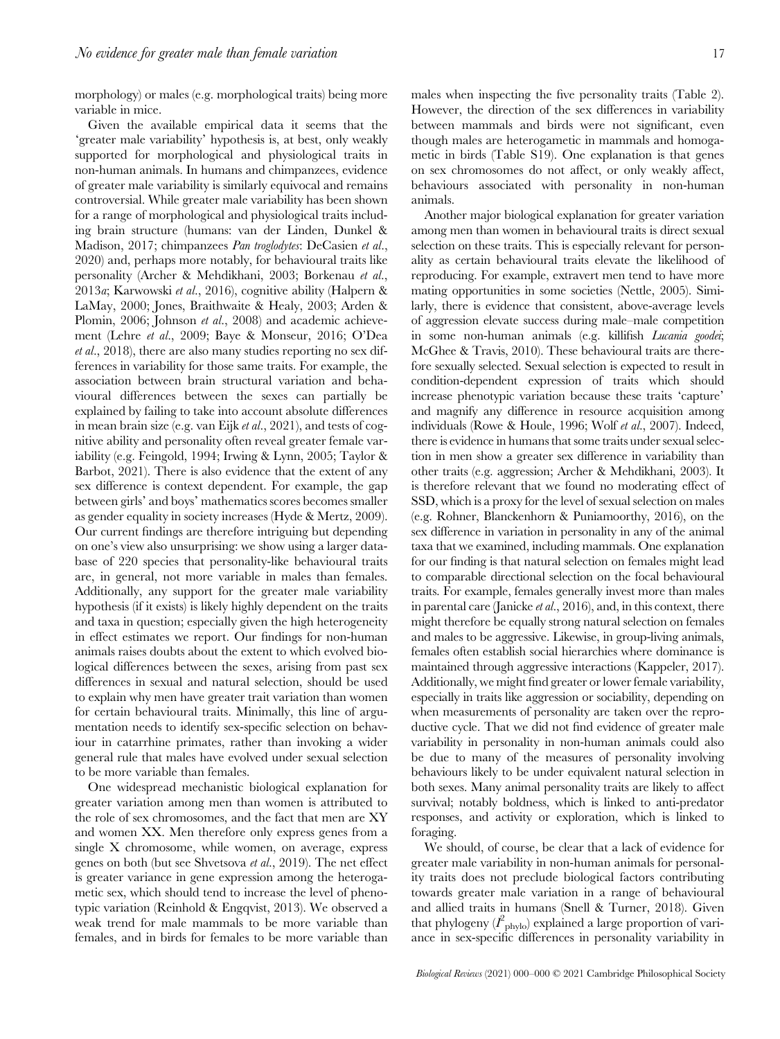morphology) or males (e.g. morphological traits) being more variable in mice.

Given the available empirical data it seems that the 'greater male variability' hypothesis is, at best, only weakly supported for morphological and physiological traits in non-human animals. In humans and chimpanzees, evidence of greater male variability is similarly equivocal and remains controversial. While greater male variability has been shown for a range of morphological and physiological traits including brain structure (humans: van der Linden, Dunkel & Madison, 2017; chimpanzees *Pan troglodytes*: DeCasien et al., 2020) and, perhaps more notably, for behavioural traits like personality (Archer & Mehdikhani, 2003; Borkenau et al., 2013a; Karwowski et al., 2016), cognitive ability (Halpern & LaMay, 2000; Jones, Braithwaite & Healy, 2003; Arden & Plomin, 2006; Johnson et al., 2008) and academic achievement (Lehre et al., 2009; Baye & Monseur, 2016; O'Dea et al., 2018), there are also many studies reporting no sex differences in variability for those same traits. For example, the association between brain structural variation and behavioural differences between the sexes can partially be explained by failing to take into account absolute differences in mean brain size (e.g. van Eijk et al., 2021), and tests of cognitive ability and personality often reveal greater female variability (e.g. Feingold, 1994; Irwing & Lynn, 2005; Taylor & Barbot, 2021). There is also evidence that the extent of any sex difference is context dependent. For example, the gap between girls' and boys' mathematics scores becomes smaller as gender equality in society increases (Hyde & Mertz, 2009). Our current findings are therefore intriguing but depending on one's view also unsurprising: we show using a larger database of 220 species that personality-like behavioural traits are, in general, not more variable in males than females. Additionally, any support for the greater male variability hypothesis (if it exists) is likely highly dependent on the traits and taxa in question; especially given the high heterogeneity in effect estimates we report. Our findings for non-human animals raises doubts about the extent to which evolved biological differences between the sexes, arising from past sex differences in sexual and natural selection, should be used to explain why men have greater trait variation than women for certain behavioural traits. Minimally, this line of argumentation needs to identify sex-specific selection on behaviour in catarrhine primates, rather than invoking a wider general rule that males have evolved under sexual selection to be more variable than females.

One widespread mechanistic biological explanation for greater variation among men than women is attributed to the role of sex chromosomes, and the fact that men are XY and women XX. Men therefore only express genes from a single X chromosome, while women, on average, express genes on both (but see Shvetsova et al., 2019). The net effect is greater variance in gene expression among the heterogametic sex, which should tend to increase the level of phenotypic variation (Reinhold & Engqvist, 2013). We observed a weak trend for male mammals to be more variable than females, and in birds for females to be more variable than

males when inspecting the five personality traits (Table 2). However, the direction of the sex differences in variability between mammals and birds were not significant, even though males are heterogametic in mammals and homogametic in birds (Table S19). One explanation is that genes on sex chromosomes do not affect, or only weakly affect,

behaviours associated with personality in non-human

animals. Another major biological explanation for greater variation among men than women in behavioural traits is direct sexual selection on these traits. This is especially relevant for personality as certain behavioural traits elevate the likelihood of reproducing. For example, extravert men tend to have more mating opportunities in some societies (Nettle, 2005). Similarly, there is evidence that consistent, above-average levels of aggression elevate success during male–male competition in some non-human animals (e.g. killifish Lucania goodei; McGhee & Travis, 2010). These behavioural traits are therefore sexually selected. Sexual selection is expected to result in condition-dependent expression of traits which should increase phenotypic variation because these traits 'capture' and magnify any difference in resource acquisition among individuals (Rowe & Houle, 1996; Wolf et al., 2007). Indeed, there is evidence in humans that some traits under sexual selection in men show a greater sex difference in variability than other traits (e.g. aggression; Archer & Mehdikhani, 2003). It is therefore relevant that we found no moderating effect of SSD, which is a proxy for the level of sexual selection on males (e.g. Rohner, Blanckenhorn & Puniamoorthy, 2016), on the sex difference in variation in personality in any of the animal taxa that we examined, including mammals. One explanation for our finding is that natural selection on females might lead to comparable directional selection on the focal behavioural traits. For example, females generally invest more than males in parental care (Janicke et al., 2016), and, in this context, there might therefore be equally strong natural selection on females and males to be aggressive. Likewise, in group-living animals, females often establish social hierarchies where dominance is maintained through aggressive interactions (Kappeler, 2017). Additionally, we might find greater or lower female variability, especially in traits like aggression or sociability, depending on when measurements of personality are taken over the reproductive cycle. That we did not find evidence of greater male variability in personality in non-human animals could also be due to many of the measures of personality involving behaviours likely to be under equivalent natural selection in both sexes. Many animal personality traits are likely to affect survival; notably boldness, which is linked to anti-predator responses, and activity or exploration, which is linked to foraging.

We should, of course, be clear that a lack of evidence for greater male variability in non-human animals for personality traits does not preclude biological factors contributing towards greater male variation in a range of behavioural and allied traits in humans (Snell & Turner, 2018). Given that phylogeny  $(I_{\text{phys}})$  explained a large proportion of variance in sex-specific differences in personality variability in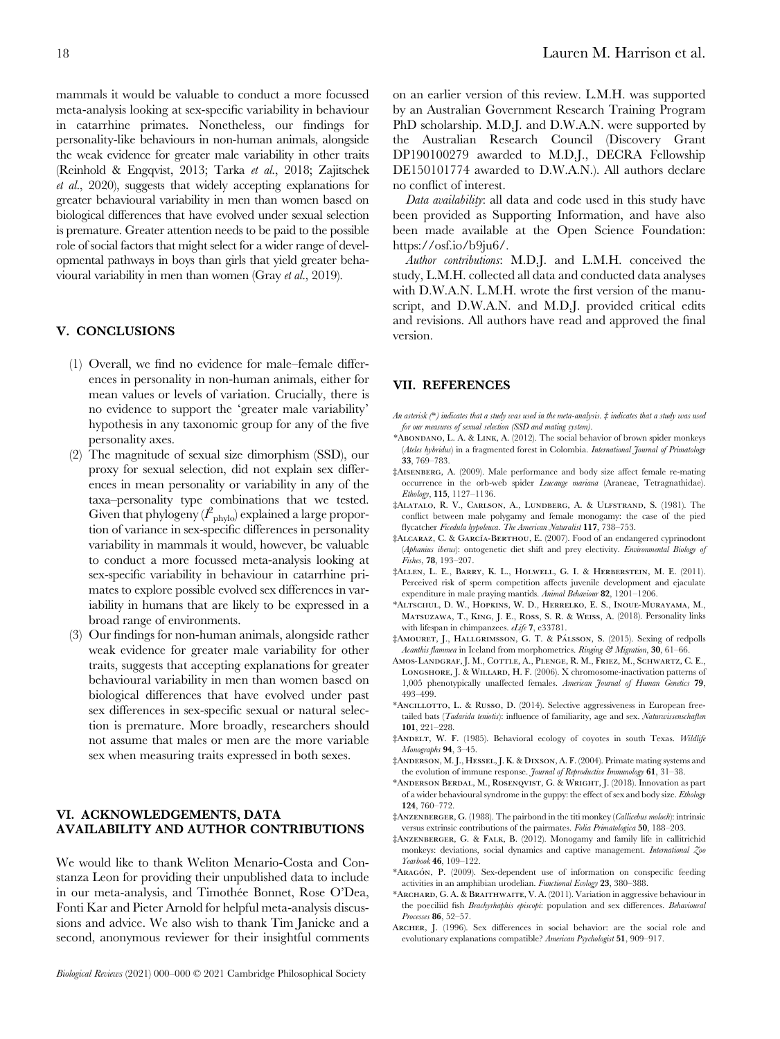mammals it would be valuable to conduct a more focussed meta-analysis looking at sex-specific variability in behaviour in catarrhine primates. Nonetheless, our findings for personality-like behaviours in non-human animals, alongside the weak evidence for greater male variability in other traits (Reinhold & Engqvist, 2013; Tarka et al., 2018; Zajitschek et al., 2020), suggests that widely accepting explanations for greater behavioural variability in men than women based on biological differences that have evolved under sexual selection is premature. Greater attention needs to be paid to the possible role of social factors that might select for a wider range of developmental pathways in boys than girls that yield greater behavioural variability in men than women (Gray et al., 2019).

# V. CONCLUSIONS

- (1) Overall, we find no evidence for male–female differences in personality in non-human animals, either for mean values or levels of variation. Crucially, there is no evidence to support the 'greater male variability' hypothesis in any taxonomic group for any of the five personality axes.
- (2) The magnitude of sexual size dimorphism (SSD), our proxy for sexual selection, did not explain sex differences in mean personality or variability in any of the taxa–personality type combinations that we tested. Given that phylogeny  $(I_{\text{phylo}})$  explained a large proportion of variance in sex-specific differences in personality variability in mammals it would, however, be valuable to conduct a more focussed meta-analysis looking at sex-specific variability in behaviour in catarrhine primates to explore possible evolved sex differences in variability in humans that are likely to be expressed in a broad range of environments.
- (3) Our findings for non-human animals, alongside rather weak evidence for greater male variability for other traits, suggests that accepting explanations for greater behavioural variability in men than women based on biological differences that have evolved under past sex differences in sex-specific sexual or natural selection is premature. More broadly, researchers should not assume that males or men are the more variable sex when measuring traits expressed in both sexes.

# VI. ACKNOWLEDGEMENTS, DATA AVAILABILITY AND AUTHOR CONTRIBUTIONS

We would like to thank Weliton Menario-Costa and Constanza Leon for providing their unpublished data to include in our meta-analysis, and Timothée Bonnet, Rose O'Dea, Fonti Kar and Pieter Arnold for helpful meta-analysis discussions and advice. We also wish to thank Tim Janicke and a second, anonymous reviewer for their insightful comments on an earlier version of this review. L.M.H. was supported by an Australian Government Research Training Program PhD scholarship. M.D.J. and D.W.A.N. were supported by the Australian Research Council (Discovery Grant DP190100279 awarded to M.D.J., DECRA Fellowship DE150101774 awarded to D.W.A.N.). All authors declare no conflict of interest.

Data availability: all data and code used in this study have been provided as Supporting Information, and have also been made available at the Open Science Foundation: https://osf.io/b9ju6/.

Author contributions: M.D.J. and L.M.H. conceived the study, L.M.H. collected all data and conducted data analyses with D.W.A.N. L.M.H. wrote the first version of the manuscript, and D.W.A.N. and M.D.J. provided critical edits and revisions. All authors have read and approved the final version.

#### VII. REFERENCES

- An asterisk (\*) indicates that a study was used in the meta-analysis. ‡ indicates that a study was used for our measures of sexual selection (SSD and mating system).
- \*Abondano, L. A. & Link, A. (2012). The social behavior of brown spider monkeys (Ateles hybridus) in a fragmented forest in Colombia. International Journal of Primatology 33, 769–783.
- ‡Aisenberg, A. (2009). Male performance and body size affect female re-mating occurrence in the orb-web spider Leucauge mariana (Araneae, Tetragnathidae). Ethology, 115, 1127–1136.
- ‡Alatalo, R. V., Carlson, A., Lundberg, A. & Ulfstrand, S. (1981). The conflict between male polygamy and female monogamy: the case of the pied flycatcher Ficedula hypoleuca. The American Naturalist 117, 738-753.
- ‡Alcaraz, C. & Garcı´a-Berthou, E. (2007). Food of an endangered cyprinodont (Aphanius iberus): ontogenetic diet shift and prey electivity. Environmental Biology of Fishes, 78, 193–207.
- ‡Allen, L. E., Barry, K. L., Holwell, G. I. & Herberstein, M. E. (2011). Perceived risk of sperm competition affects juvenile development and ejaculate expenditure in male praying mantids. Animal Behaviour 82, 1201–1206.
- \*Altschul, D. W., Hopkins, W. D., Herrelko, E. S., Inoue-Murayama, M., Matsuzawa, T., King, J. E., Ross, S. R. & Weiss, A. (2018). Personality links with lifespan in chimpanzees. eLife 7, e33781.
- ‡AMOURET, J., HALLGRIMSSON, G. T. & PÁLSSON, S. (2015). Sexing of redpolls Acanthis flammea in Iceland from morphometrics. Ringing & Migration, 30, 61-66.
- Amos-Landgraf, J. M., Cottle, A., Plenge, R. M., Friez, M., Schwartz, C. E., LONGSHORE, J. & WILLARD, H. F. (2006). X chromosome-inactivation patterns of 1,005 phenotypically unaffected females. American Journal of Human Genetics 79, 493–499.
- \*Ancillotto, L. & Russo, D. (2014). Selective aggressiveness in European freetailed bats (Tadarida teniotis): influence of familiarity, age and sex. Naturwissenschaften 101, 221–228.
- ‡Andelt, W. F. (1985). Behavioral ecology of coyotes in south Texas. Wildlife Monographs 94, 3–45.
- ‡Anderson, M. J., Hessel, J. K. & Dixson, A. F. (2004). Primate mating systems and the evolution of immune response. Journal of Reproductive Immunology 61, 31-38.
- \*Anderson Berdal, M., Rosenqvist, G. & Wright, J. (2018). Innovation as part of a wider behavioural syndrome in the guppy: the effect of sex and body size. Ethology 124, 760–772.
- ‡Anzenberger, G. (1988). The pairbond in the titi monkey (Callicebus moloch): intrinsic versus extrinsic contributions of the pairmates. Folia Primatologica 50, 188–203.
- ‡Anzenberger, G. & Falk, B. (2012). Monogamy and family life in callitrichid monkeys: deviations, social dynamics and captive management. International Zoo Yearbook 46, 109–122.
- \*ARAGÓN, P. (2009). Sex-dependent use of information on conspecific feeding activities in an amphibian urodelian. Functional Ecology 23, 380–388.
- \*Archard, G. A. & Braithwaite, V. A. (2011). Variation in aggressive behaviour in the poeciliid fish Brachyrhaphis episcopi: population and sex differences. Behavioural Processes 86, 52–57.
- Archer, J. (1996). Sex differences in social behavior: are the social role and evolutionary explanations compatible? American Psychologist 51, 909–917.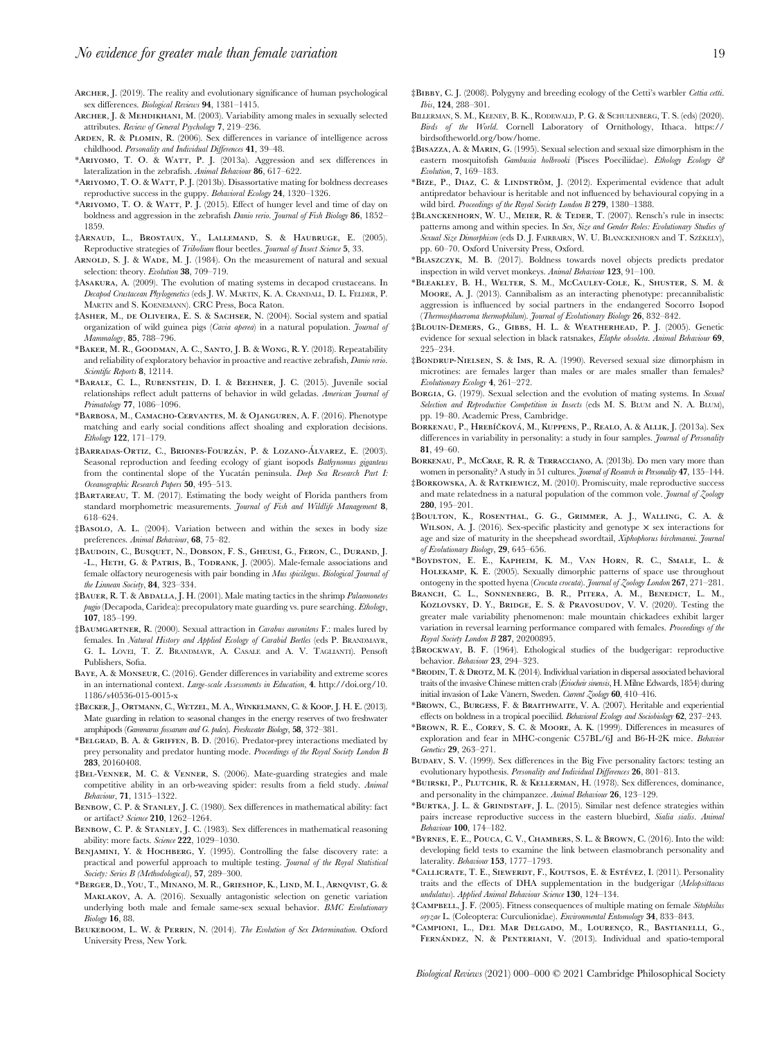ARCHER, J. (2019). The reality and evolutionary significance of human psychological sex differences. Biological Reviews 94, 1381–1415.

- Archer, J. & Mehdikhani, M. (2003). Variability among males in sexually selected attributes. Review of General Psychology 7, 219–236.
- Arden, R. & Plomin, R. (2006). Sex differences in variance of intelligence across childhood. Personality and Individual Differences 41, 39–48.
- \*ARIYOMO, T. O. & WATT, P. J. (2013a). Aggression and sex differences in lateralization in the zebrafish. Animal Behaviour 86, 617–622.
- \*Ariyomo, T. O. & Watt, P. J. (2013b). Disassortative mating for boldness decreases reproductive success in the guppy. Behavioral Ecology 24, 1320–1326.
- \*ARIYOMO, T. O. & WATT, P. J. (2015). Effect of hunger level and time of day on boldness and aggression in the zebrafish Danio rerio. Journal of Fish Biology 86, 1852– 1859.
- ‡Arnaud, L., Brostaux, Y., Lallemand, S. & Haubruge, E. (2005). Reproductive strategies of Tribolium flour beetles. Journal of Insect Science 5, 33.
- ARNOLD, S. J. & WADE, M. J. (1984). On the measurement of natural and sexual selection: theory. Evolution 38, 709-719.
- ‡Asakura, A. (2009). The evolution of mating systems in decapod crustaceans. In Decapod Crustacean Phylogenetics (eds J. W. MARTIN, K. A. CRANDALL, D. L. FELDER, P. MARTIN and S. KOENEMANN). CRC Press, Boca Raton.
- ‡Asher, M., de Oliveira, E. S. & Sachser, N. (2004). Social system and spatial organization of wild guinea pigs (Cavia aperea) in a natural population. Journal of Mammalogy, 85, 788–796.
- \*Baker, M. R., Goodman, A. C., Santo, J. B. & Wong, R. Y. (2018). Repeatability and reliability of exploratory behavior in proactive and reactive zebrafish, Danio rerio. Scientific Reports 8, 12114.
- \*Barale, C. L., Rubenstein, D. I. & Beehner, J. C. (2015). Juvenile social relationships reflect adult patterns of behavior in wild geladas. American Journal of Primatology 77, 1086–1096.
- \*Barbosa, M., Camacho-Cervantes, M. & Ojanguren, A. F. (2016). Phenotype matching and early social conditions affect shoaling and exploration decisions. Ethology 122, 171–179.
- ‡Barradas-Ortiz, C., Briones-Fourzán, P. & Lozano-Álvarez, E. (2003). Seasonal reproduction and feeding ecology of giant isopods Bathynomus giganteus from the continental slope of the Yucatán peninsula. Deep Sea Research Part I. Oceanographic Research Papers 50, 495–513.
- ‡Bartareau, T. M. (2017). Estimating the body weight of Florida panthers from standard morphometric measurements. Journal of Fish and Wildlife Management 8, 618–624.
- ‡Basolo, A. L. (2004). Variation between and within the sexes in body size preferences. Animal Behaviour, 68, 75–82.
- ‡Baudoin, C., Busquet, N., Dobson, F. S., Gheusi, G., Feron, C., Durand, J. -L., HETH, G. & PATRIS, B., TODRANK, J. (2005). Male-female associations and female olfactory neurogenesis with pair bonding in Mus spicilegus. Biological Journal of the Linnean Society, 84, 323-334.
- ‡Bauer, R. T. & Abdalla, J. H. (2001). Male mating tactics in the shrimp Palaemonetes pugio (Decapoda, Caridea): precopulatory mate guarding vs. pure searching. Ethology, 107, 185–199.
- ‡Baumgartner, R. (2000). Sexual attraction in Carabus auronitens F.: males lured by females. In Natural History and Applied Ecology of Carabid Beetles (eds P. BRANDMAYR, G. L. LÖVEI, T. Z. BRANDMAYR, A. CASALE and A. V. TAGLIANTI). Pensoft Publishers, Sofia.
- Baye, A. & Monseur, C. (2016). Gender differences in variability and extreme scores in an international context. Large-scale Assessments in Education, 4. http://doi.org/10. 1186/s40536-015-0015-x
- ‡Becker, J., Ortmann, C., Wetzel, M. A., Winkelmann, C. & Koop, J. H. E. (2013). Mate guarding in relation to seasonal changes in the energy reserves of two freshwater amphipods (Gammarus fossarum and G. pulex). Freshwater Biology, 58, 372–381.
- \*Belgrad, B. A. & Griffen, B. D. (2016). Predator-prey interactions mediated by prey personality and predator hunting mode. Proceedings of the Royal Society London B 283, 20160408.
- ‡Bel-Venner, M. C. & Venner, S. (2006). Mate-guarding strategies and male competitive ability in an orb-weaving spider: results from a field study. Animal Behaviour, 71, 1315–1322.
- BENBOW, C. P. & STANLEY, J. C. (1980). Sex differences in mathematical ability: fact or artifact? Science 210, 1262–1264.
- BENBOW, C. P. & STANLEY, J. C. (1983). Sex differences in mathematical reasoning ability: more facts. Science 222, 1029-1030.
- BENJAMINI, Y. & HOCHBERG, Y. (1995). Controlling the false discovery rate: a practical and powerful approach to multiple testing. Journal of the Royal Statistical Society: Series B (Methodological), 57, 289–300.
- \*Berger, D., You, T., Minano, M. R., Grieshop, K., Lind, M. I., Arnqvist, G. & Maklakov, A. A. (2016). Sexually antagonistic selection on genetic variation underlying both male and female same-sex sexual behavior. BMC Evolutionary Biology 16, 88.
- BEUKEBOOM, L. W. & PERRIN, N. (2014). The Evolution of Sex Determination. Oxford University Press, New York.
- ‡Bibby, C. J. (2008). Polygyny and breeding ecology of the Cetti's warbler Cettia cetti. Ibis, 124, 288–301.
- BILLERMAN, S. M., KEENEY, B. K., RODEWALD, P. G. & SCHULENBERG, T. S. (eds) (2020). Birds of the World. Cornell Laboratory of Ornithology, Ithaca. https:// birdsoftheworld.org/bow/home.
- ‡Bisazza, A. & Marin, G. (1995). Sexual selection and sexual size dimorphism in the eastern mosquitofish Gambusia holbrooki (Pisces Poeciliidae). Ethology Ecology & Evolution, 7, 169–183.
- \*BIZE, P., DIAZ, C. & LINDSTRÖM, J. (2012). Experimental evidence that adult antipredator behaviour is heritable and not influenced by behavioural copying in a wild bird. Proceedings of the Royal Society London B 279, 1380-1388.
- ‡Blanckenhorn, W. U., Meier, R. & Teder, T. (2007). Rensch's rule in insects: patterns among and within species. In Sex, Size and Gender Roles: Evolutionary Studies of Sexual Size Dimorphism (eds D.J. FAIRBAIRN, W. U. BLANCKENHORN and T. SZÉKELY), pp. 60–70. Oxford University Press, Oxford.
- \*Blaszczyk, M. B. (2017). Boldness towards novel objects predicts predator inspection in wild vervet monkeys. Animal Behaviour 123, 91–100.
- \*Bleakley, B. H., Welter, S. M., McCauley-Cole, K., Shuster, S. M. & Moore, A. J. (2013). Cannibalism as an interacting phenotype: precannibalistic aggression is influenced by social partners in the endangered Socorro Isopod (Thermosphaeroma thermophilum). Journal of Evolutionary Biology 26, 832–842.
- ‡Blouin-Demers, G., Gibbs, H. L. & Weatherhead, P. J. (2005). Genetic evidence for sexual selection in black ratsnakes, Elaphe obsoleta. Animal Behaviour 69, 225–234.
- ‡Bondrup-Nielsen, S. & Ims, R. A. (1990). Reversed sexual size dimorphism in microtines: are females larger than males or are males smaller than females? Evolutionary Ecology 4, 261–272.
- BORGIA, G. (1979). Sexual selection and the evolution of mating systems. In Sexual Selection and Reproductive Competition in Insects (eds M. S. BLUM and N. A. BLUM), pp. 19–80. Academic Press, Cambridge.
- BORKENAU, P., HREBÍČKOVÁ, M., KUPPENS, P., REALO, A. & ALLIK, J. (2013a). Sex differences in variability in personality: a study in four samples. Journal of Personality 81, 49–60.
- Borkenau, P., McCrae, R. R. & Terracciano, A. (2013b). Do men vary more than women in personality? A study in 51 cultures. Journal of Research in Personality 47, 135-144.
- ‡Borkowska, A. & Ratkiewicz, M. (2010). Promiscuity, male reproductive success and mate relatedness in a natural population of the common vole. Journal of Zoology 280, 195–201.
- ‡Boulton, K., Rosenthal, G. G., Grimmer, A. J., Walling, C. A. & WILSON, A. J. (2016). Sex-specific plasticity and genotype  $\times$  sex interactions for age and size of maturity in the sheepshead swordtail, Xiphophorus birchmanni. Journal of Evolutionary Biology, 29, 645–656.
- \*Boydston, E. E., Kapheim, K. M., Van Horn, R. C., Smale, L. & Holekamp, K. E. (2005). Sexually dimorphic patterns of space use throughout ontogeny in the spotted hyena (Crocuta crocuta). Journal of  $\zeta$ oology London 267, 271–281.
- Branch, C. L., Sonnenberg, B. R., Pitera, A. M., Benedict, L. M., KOZLOVSKY, D. Y., BRIDGE, E. S. & PRAVOSUDOV, V. V. (2020). Testing the greater male variability phenomenon: male mountain chickadees exhibit larger variation in reversal learning performance compared with females. Proceedings of the Royal Society London B 287, 20200895.
- ‡Brockway, B. F. (1964). Ethological studies of the budgerigar: reproductive behavior. Behaviour 23, 294–323.
- \*Brodin, T.& Drotz, M. K. (2014). Individual variation in dispersal associated behavioral traits of the invasive Chinese mitten crab (Eriocheir sinensis, H. Milne Edwards, 1854) during initial invasion of Lake Vänern, Sweden. Current Zoology 60, 410–416.
- \*Brown, C., Burgess, F. & Braithwaite, V. A. (2007). Heritable and experiential effects on boldness in a tropical poeciliid. Behavioral Ecology and Sociobiology 62, 237-243.
- \*Brown, R. E., Corey, S. C. & Moore, A. K. (1999). Differences in measures of exploration and fear in MHC-congenic C57BL/6J and B6-H-2K mice. Behavior Genetics 29, 263–271.
- Budaev, S. V. (1999). Sex differences in the Big Five personality factors: testing an evolutionary hypothesis. Personality and Individual Differences 26, 801-813.
- \*Buirski, P., Plutchik, R. & Kellerman, H. (1978). Sex differences, dominance, and personality in the chimpanzee. Animal Behaviour 26, 123–129.
- \*Burtka, J. L. & Grindstaff, J. L. (2015). Similar nest defence strategies within pairs increase reproductive success in the eastern bluebird, Sialia sialis. Animal Behaviour 100, 174–182.
- \*Byrnes, E. E., Pouca, C. V., Chambers, S. L. & Brown, C. (2016). Into the wild: developing field tests to examine the link between elasmobranch personality and laterality. Behaviour 153, 1777–1793.
- \*CALLICRATE, T. E., SIEWERDT, F., KOUTSOS, E. & ESTÉVEZ, I. (2011). Personality traits and the effects of DHA supplementation in the budgerigar (Melopsittacus undulatus). Applied Animal Behaviour Science 130, 124-134.
- ‡САМРВЕLL, J. F. (2005). Fitness consequences of multiple mating on female Sitophilus oryzae L. (Coleoptera: Curculionidae). Environmental Entomology 34, 833–843.
- \*CAMPIONI, L., DEL MAR DELGADO, M., LOURENÇO, R., BASTIANELLI, G., FERNÁNDEZ, N. & PENTERIANI, V. (2013). Individual and spatio-temporal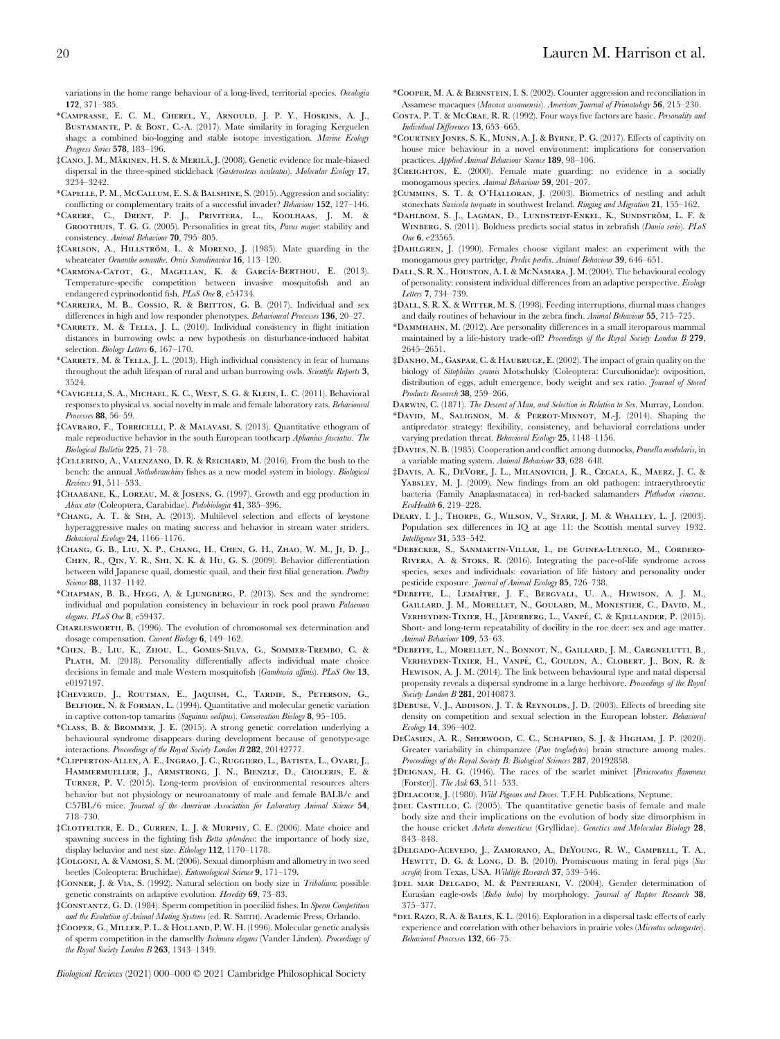- \*Camprasse, E. C. M., Cherel, Y., Arnould, J. P. Y., Hoskins, A. J., Bustamante, P. & Bost, C.-A. (2017). Mate similarity in foraging Kerguelen shags: a combined bio-logging and stable isotope investigation. Marine Ecology Progress Series 578, 183–196.
- ‡Cano, J. M., Ma¨kinen, H. S. & Merila¨, J. (2008). Genetic evidence for male-biased dispersal in the three-spined stickleback (Gasterosteus aculeatus). Molecular Ecology 17, 3234–3242.
- \*Capelle, P. M., McCallum, E. S. & Balshine, S. (2015). Aggression and sociality: conflicting or complementary traits of a successful invader? Behaviour 152, 127–146.
- \*Carere, C., Drent, P. J., Privitera, L., Koolhaas, J. M. & Groothuis, T. G. G. (2005). Personalities in great tits, Parus major: stability and consistency. Animal Behaviour 70, 795–805.
- ‡CARLSON, A., HILLSTRÖM, L. & MORENO, J. (1985). Mate guarding in the wheateater Oenanthe oenanthe. Ornis Scandinavica 16, 113–120.
- \*CARMONA-CATOT, G., MAGELLAN, K. & GARCÍA-BERTHOU, E. (2013). Temperature-specific competition between invasive mosquitofish and an endangered cyprinodontid fish. PLoS One 8, e54734.
- \*Carreira, M. B., Cossio, R. & Britton, G. B. (2017). Individual and sex differences in high and low responder phenotypes. Behavioural Processes 136, 20–27.
- \*Carrete, M. & Tella, J. L. (2010). Individual consistency in flight initiation distances in burrowing owls: a new hypothesis on disturbance-induced habitat selection. Biology Letters 6, 167-170.
- \*Carrete, M. & Tella, J. L. (2013). High individual consistency in fear of humans throughout the adult lifespan of rural and urban burrowing owls. Scientific Reports 3, 3524.
- \*Cavigelli, S. A., Michael, K. C., West, S. G. & Klein, L. C. (2011). Behavioral responses to physical vs. social novelty in male and female laboratory rats. Behavioural Processes 88, 56–59.
- ‡Cavraro, F., Torricelli, P. & Malavasi, S. (2013). Quantitative ethogram of male reproductive behavior in the south European toothcarp Aphanius fasciatus. The Biological Bulletin 225, 71–78.
- ‡Cellerino, A., Valenzano, D. R. & Reichard, M. (2016). From the bush to the bench: the annual Nothobranchius fishes as a new model system in biology. Biological Reviews 91, 511–533.
- ‡Chaabane, K., Loreau, M. & Josens, G. (1997). Growth and egg production in Abax ater (Coleoptera, Carabidae). Pedobiologia 41, 385–396.
- \*Chang, A. T. & Sih, A. (2013). Multilevel selection and effects of keystone hyperaggressive males on mating success and behavior in stream water striders. Behavioral Ecology 24, 1166–1176.
- ‡Chang, G. B., Liu, X. P., Chang, H., Chen, G. H., Zhao, W. M., Ji, D. J., Chen, R., Qin, Y. R., Shi, X. K. & Hu, G. S. (2009). Behavior differentiation between wild Japanese quail, domestic quail, and their first filial generation. Poultry Science 88, 1137–1142.
- \*Chapman, B. B., Hegg, A. & Ljungberg, P. (2013). Sex and the syndrome: individual and population consistency in behaviour in rock pool prawn Palaemon elegans. PLoS One 8, e59437.
- Charlesworth, B. (1996). The evolution of chromosomal sex determination and dosage compensation. Current Biology 6, 149–162.
- \*Chen, B., Liu, K., Zhou, L., Gomes-Silva, G., Sommer-Trembo, C. & PLATH, M. (2018). Personality differentially affects individual mate choice decisions in female and male Western mosquitofish (Gambusia affinis). PLoS One 13, e0197197.
- ‡Cheverud, J., Routman, E., Jaquish, C., Tardif, S., Peterson, G., BELFIORE, N. & FORMAN, L. (1994). Quantitative and molecular genetic variation in captive cotton-top tamarins (Saguinus oedipus). Conservation Biology 8, 95–105.
- \*Class, B. & Brommer, J. E. (2015). A strong genetic correlation underlying a behavioural syndrome disappears during development because of genotype-age interactions. Proceedings of the Royal Society London B 282, 20142777.
- \*Clipperton-Allen, A. E., Ingrao, J. C., Ruggiero, L., Batista, L., Ovari, J., Hammermueller, J., Armstrong, J. N., Bienzle, D., Choleris, E. & Turner, P. V. (2015). Long-term provision of environmental resources alters behavior but not physiology or neuroanatomy of male and female BALB/c and C57BL/6 mice. Journal of the American Association for Laboratory Animal Science 54, 718–730.
- ‡Clotfelter, E. D., Curren, L. J. & Murphy, C. E. (2006). Mate choice and spawning success in the fighting fish Betta splendens: the importance of body size, display behavior and nest size. Ethology 112, 1170–1178.
- ‡Colgoni, A. & Vamosi, S. M. (2006). Sexual dimorphism and allometry in two seed beetles (Coleoptera: Bruchidae). Entomological Science 9, 171-179.
- ‡Conner, J. & Via, S. (1992). Natural selection on body size in Tribolium: possible genetic constraints on adaptive evolution. Heredity 69, 73-83.
- ‡Constantz, G. D. (1984). Sperm competition in poeciliid fishes. In Sperm Competition and the Evolution of Animal Mating Systems (ed. R. SMITH). Academic Press, Orlando.
- ‡Cooper, G., Miller, P. L. & Holland, P. W. H. (1996). Molecular genetic analysis of sperm competition in the damselfly Ischnura elegans (Vander Linden). Proceedings of the Royal Society London B 263, 1343–1349.

Biological Reviews (2021) 000–000 © 2021 Cambridge Philosophical Society

- \*Cooper, M. A. & Bernstein, I. S. (2002). Counter aggression and reconciliation in Assamese macaques (Macaca assamensis). American Journal of Primatology 56, 215–230.
- Costa, P. T. & McCrae, R. R. (1992). Four ways five factors are basic. Personality and Individual Differences 13, 653–665.
- \*Courtney Jones, S. K., Munn, A. J. & Byrne, P. G. (2017). Effects of captivity on house mice behaviour in a novel environment: implications for conservation practices. Applied Animal Behaviour Science 189, 98–106.
- ‡CREIGHTON, E. (2000). Female mate guarding: no evidence in a socially monogamous species. Animal Behaviour 59, 201–207.
- ‡Cummins, S. T. & O'Halloran, J. (2003). Biometrics of nestling and adult stonechats Saxicola torquata in southwest Ireland. Ringing and Migration 21, 155–162.
- \*DAHLBOM, S. J., LAGMAN, D., LUNDSTEDT-ENKEL, K., SUNDSTRÖM, L. F. & WINBERG, S. (2011). Boldness predicts social status in zebrafish (Danio rerio). PLoS One 6, e23565.
- ‡Dahlgren, J. (1990). Females choose vigilant males: an experiment with the monogamous grey partridge, Perdix perdix. Animal Behaviour 39, 646–651.
- Dall, S. R. X., Houston, A. I. & McNamara, J. M. (2004). The behavioural ecology of personality: consistent individual differences from an adaptive perspective. Ecology Letters 7, 734–739.
- ‡Dall, S. R. X. & Witter, M. S. (1998). Feeding interruptions, diurnal mass changes and daily routines of behaviour in the zebra finch. Animal Behaviour 55, 715–725.
- \*Dammhahn, M. (2012). Are personality differences in a small iteroparous mammal maintained by a life-history trade-off? Proceedings of the Royal Society London B 279, 2645–2651.
- ‡Danho, M., Gaspar, C. & Haubruge, E. (2002). The impact of grain quality on the biology of Sitophilus zeamis Motschulsky (Coleoptera: Curculionidae): oviposition, distribution of eggs, adult emergence, body weight and sex ratio. Journal of Stored Products Research 38, 259–266.
- DARWIN, C. (1871). The Descent of Man, and Selection in Relation to Sex. Murray, London.
- \*David, M., Salignon, M. & Perrot-Minnot, M.-J. (2014). Shaping the antipredator strategy: flexibility, consistency, and behavioral correlations under varying predation threat. Behavioral Ecology 25, 1148–1156.
- ‡Davies, N. B. (1985). Cooperation and conflict among dunnocks, Prunella modularis, in a variable mating system. Animal Behaviour 33, 628–648.
- ‡Davis, A. K., DeVore, J. L., Milanovich, J. R., Cecala, K., Maerz, J. C. & YABSLEY, M. J. (2009). New findings from an old pathogen: intraerythrocytic bacteria (Family Anaplasmatacea) in red-backed salamanders Plethodon cinereus. EcoHealth 6, 219–228.
- Deary, I. J., Thorpe, G., Wilson, V., Starr, J. M. & Whalley, L. J. (2003). Population sex differences in IQ at age 11: the Scottish mental survey 1932. Intelligence 31, 533–542.
- \*Debecker, S., Sanmartin-Villar, I., de Guinea-Luengo, M., Cordero-Rivera, A. & Stoks, R. (2016). Integrating the pace-of-life syndrome across species, sexes and individuals: covariation of life history and personality under pesticide exposure. Journal of Animal Ecology 85, 726-738.
- \*Debeffe, L., Lemaıˆtre, J. F., Bergvall, U. A., Hewison, A. J. M., Gaillard, J. M., Morellet, N., Goulard, M., Monestier, C., David, M., VERHEYDEN-TIXIER, H., JÄDERBERG, L., VANPÉ, C. & KJELLANDER, P. (2015). Short- and long-term repeatability of docility in the roe deer: sex and age matter. Animal Behaviour 109, 53–63.
- \*Debeffe, L., Morellet, N., Bonnot, N., Gaillard, J. M., Cargnelutti, B., VERHEYDEN-TIXIER, H., VANPÉ, C., COULON, A., CLOBERT, J., BON, R. & Hewison, A. J. M. (2014). The link between behavioural type and natal dispersal propensity reveals a dispersal syndrome in a large herbivore. Proceedings of the Royal Society London B 281, 20140873.
- ‡Debuse, V. J., Addison, J. T. & Reynolds, J. D. (2003). Effects of breeding site density on competition and sexual selection in the European lobster. Behavioral Ecology 14, 396–402.
- DeCasien, A. R., Sherwood, C. C., Schapiro, S. J. & Higham, J. P. (2020). Greater variability in chimpanzee (Pan troglodytes) brain structure among males. Proceedings of the Royal Society B: Biological Sciences 287, 20192858.
- ‡Deignan, H. G. (1946). The races of the scarlet minivet [Pericrocotus flammeus (Forster)]. The Auk 63, 511–533.
- ‡Delacour, J. (1980). Wild Pigeons and Doves. T.F.H. Publications, Neptune.
- ‡DEL CASTILLO, C. (2005). The quantitative genetic basis of female and male body size and their implications on the evolution of body size dimorphism in the house cricket Acheta domesticus (Gryllidae). Genetics and Molecular Biology 28, 843–848.
- ‡Delgado-Acevedo, J., Zamorano, A., DeYoung, R. W., Campbell, T. A., HEWITT, D. G. & LONG, D. B. (2010). Promiscuous mating in feral pigs (Sus scrofa) from Texas, USA. Wildlife Research 37, 539-546.
- ‡del mar Delgado, M. & Penteriani, V. (2004). Gender determination of Eurasian eagle-owls (Bubo bubo) by morphology. Journal of Raptor Research 38, 375–377.
- \*del Razo, R. A. & Bales, K. L. (2016). Exploration in a dispersal task: effects of early experience and correlation with other behaviors in prairie voles (Microtus ochrogaster). Behavioral Processes 132, 66–75.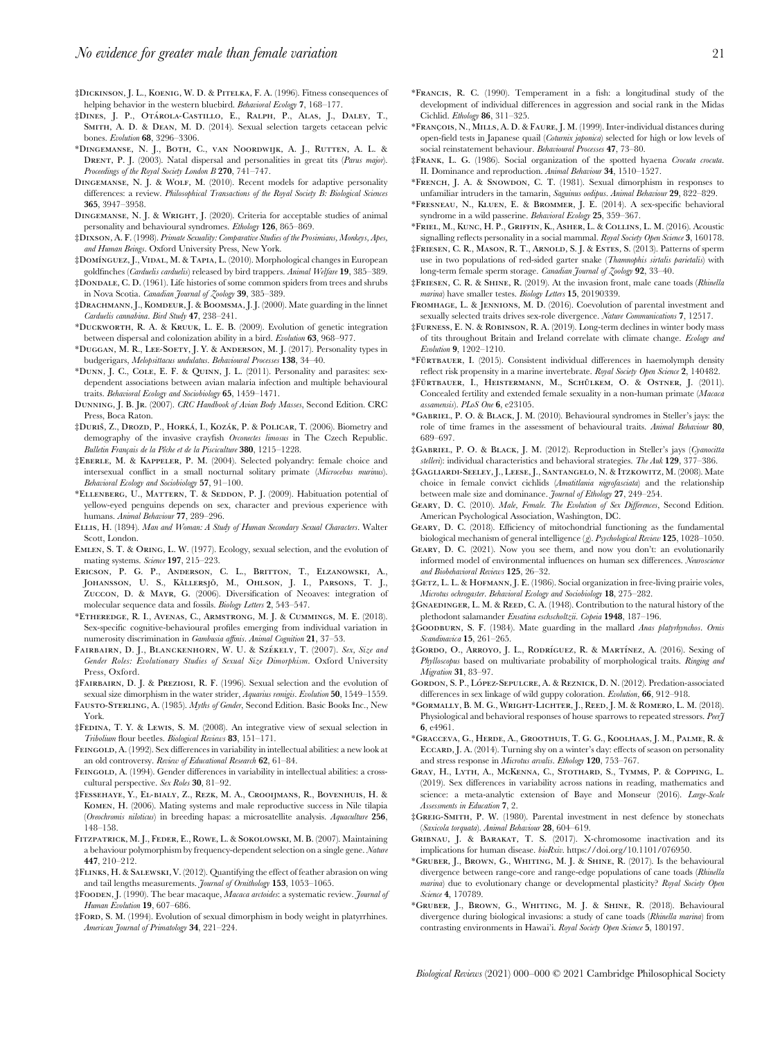- ‡Dickinson, J. L., Koenig, W. D. & Pitelka, F. A. (1996). Fitness consequences of helping behavior in the western bluebird. Behavioral Ecology 7, 168-177.
- ‡Dines, J. P., Otárola-Castillo, E., Ralph, P., Alas, J., Daley, T., SMITH, A. D. & DEAN, M. D. (2014). Sexual selection targets cetacean pelvic bones. Evolution 68, 3296–3306.
- \*Dingemanse, N. J., Both, C., van Noordwijk, A. J., Rutten, A. L. & DRENT, P. J. (2003). Natal dispersal and personalities in great tits (Parus major). Proceedings of the Royal Society London B 270, 741-747.
- DINGEMANSE, N. J. & WOLF, M. (2010). Recent models for adaptive personality differences: a review. Philosophical Transactions of the Royal Society B: Biological Sciences 365, 3947–3958.
- DINGEMANSE, N. J. & WRIGHT, J. (2020). Criteria for acceptable studies of animal personality and behavioural syndromes. Ethology 126, 865–869.
- ‡Dixson, A. F. (1998). Primate Sexuality: Comparative Studies of the Prosimians, Monkeys, Apes, and Human Beings. Oxford University Press, New York.
- ‡Domı´nguez, J., Vidal, M. & Tapia, L. (2010). Morphological changes in European goldfinches (Carduelis carduelis) released by bird trappers. Animal Welfare 19, 385–389.
- ‡Dondale, C. D. (1961). Life histories of some common spiders from trees and shrubs in Nova Scotia. Canadian Journal of Zoology 39, 385–389.
- $\frac{1}{4}D$ RACHMANN, J., KOMDEUR, J. & BOOMSMA, J. J. (2000). Mate guarding in the linnet Carduelis cannabina. Bird Study 47, 238–241.
- \*Duckworth, R. A. & Kruuk, L. E. B. (2009). Evolution of genetic integration between dispersal and colonization ability in a bird. Evolution 63, 968–977.
- \*Duggan, M. R., Lee-Soety, J. Y. & Anderson, M. J. (2017). Personality types in budgerigars, Melopsittacus undulatus. Behavioural Processes 138, 34–40.
- \*Dunn, J. C., Cole, E. F. & Quinn, J. L. (2011). Personality and parasites: sexdependent associations between avian malaria infection and multiple behavioural traits. Behavioral Ecology and Sociobiology 65, 1459–1471.
- Dunning, J. B. Jr. (2007). CRC Handbook of Avian Body Masses, Second Edition. CRC Press, Boca Raton.
- ‡Duriš, Z., Drozd, P., Horká, I., Kozák, P. & Policar, T. (2006). Biometry and demography of the invasive crayfish Orconectes limosus in The Czech Republic. Bulletin Français de la Pêche et de la Pisciculture 380, 1215–1228.
- ‡Eberle, M. & Kappeler, P. M. (2004). Selected polyandry: female choice and intersexual conflict in a small nocturnal solitary primate (Microcebus murinus). Behavioral Ecology and Sociobiology 57, 91–100.
- \*Ellenberg, U., Mattern, T. & Seddon, P. J. (2009). Habituation potential of yellow-eyed penguins depends on sex, character and previous experience with humans. Animal Behaviour 77, 289–296.
- Ellis, H. (1894). Man and Woman: A Study of Human Secondary Sexual Characters. Walter Scott, London.
- Emlen, S. T. & Oring, L. W. (1977). Ecology, sexual selection, and the evolution of mating systems. Science 197, 215-223.
- ERICSON, P. G. P., ANDERSON, C. L., BRITTON, T., ELZANOWSKI, A., JOHANSSON, U. S., KÄLLERSJÖ, M., OHLSON, J. I., PARSONS, T. J., Zuccon, D. & Mayr, G. (2006). Diversification of Neoaves: integration of molecular sequence data and fossils. Biology Letters 2, 543–547.
- \*Etheredge, R. I., Avenas, C., Armstrong, M. J. & Cummings, M. E. (2018). Sex-specific cognitive-behavioural profiles emerging from individual variation in numerosity discrimination in Gambusia affinis. Animal Cognition 21, 37–53.
- FAIRBAIRN, D. J., BLANCKENHORN, W. U. & SZÉKELY, T. (2007). Sex, Size and Gender Roles: Evolutionary Studies of Sexual Size Dimorphism. Oxford University Press, Oxford.
- ‡Fairbairn, D. J. & Preziosi, R. F. (1996). Sexual selection and the evolution of sexual size dimorphism in the water strider, Aquarius remigis. Evolution 50, 1549-1559.
- FAUSTO-STERLING, A. (1985). Myths of Gender, Second Edition. Basic Books Inc., New York.
- ‡Fedina, T. Y. & Lewis, S. M. (2008). An integrative view of sexual selection in Tribolium flour beetles. Biological Reviews 83, 151–171.
- FEINGOLD, A. (1992). Sex differences in variability in intellectual abilities: a new look at an old controversy. Review of Educational Research 62, 61-84.
- FEINGOLD, A. (1994). Gender differences in variability in intellectual abilities: a crosscultural perspective. Sex Roles 30, 81–92.
- ‡Fessehaye, Y., El-bialy, Z., Rezk, M. A., Crooijmans, R., Bovenhuis, H. & Komen, H. (2006). Mating systems and male reproductive success in Nile tilapia (Oreochromis niloticus) in breeding hapas: a microsatellite analysis. Aquaculture 256, 148–158.
- Fitzpatrick, M. J., Feder, E., Rowe, L. & Sokolowski, M. B. (2007). Maintaining a behaviour polymorphism by frequency-dependent selection on a single gene. Nature 447, 210–212.
- ‡Flinks, H. & Salewski, V. (2012). Quantifying the effect of feather abrasion on wing and tail lengths measurements. Journal of Ornithology 153, 1053–1065.
- ‡Fooden, J. (1990). The bear macaque, Macaca arctoides: a systematic review. Journal of Human Evolution 19, 607-686.
- $\frac{4}{3}$ FORD, S. M. (1994). Evolution of sexual dimorphism in body weight in platyrrhines. American Journal of Primatology 34, 221–224.
- \*Francis, R. C. (1990). Temperament in a fish: a longitudinal study of the development of individual differences in aggression and social rank in the Midas Cichlid. Ethology 86, 311–325.
- \*Franc¸ ois, N., Mills, A. D. & Faure, J. M. (1999). Inter-individual distances during open-field tests in Japanese quail (Coturnix japonica) selected for high or low levels of social reinstatement behaviour. Behavioural Processes 47, 73–80.
- ‡Frank, L. G. (1986). Social organization of the spotted hyaena Crocuta crocuta. II. Dominance and reproduction. Animal Behaviour 34, 1510–1527.
- \*French, J. A. & Snowdon, C. T. (1981). Sexual dimorphism in responses to unfamiliar intruders in the tamarin, Saguinus oedipus. Animal Behaviour 29, 822-829.
- \*Fresneau, N., Kluen, E. & Brommer, J. E. (2014). A sex-specific behavioral syndrome in a wild passerine. Behavioral Ecology 25, 359-367.
- \*Friel, M., Kunc, H. P., Griffin, K., Asher, L. & Collins, L. M. (2016). Acoustic signalling reflects personality in a social mammal. Royal Society Open Science 3, 160178.
- ‡Friesen, C. R., Mason, R. T., Arnold, S. J. & Estes, S. (2013). Patterns of sperm use in two populations of red-sided garter snake (Thamnophis sirtalis parietalis) with long-term female sperm storage. Canadian Journal of Zoology 92, 33–40.
- ‡Friesen, C. R. & Shine, R. (2019). At the invasion front, male cane toads (Rhinella marina) have smaller testes. Biology Letters 15, 20190339.
- Fromhage, L. & Jennions, M. D. (2016). Coevolution of parental investment and sexually selected traits drives sex-role divergence. Nature Communications 7, 12517.
- ‡Furness, E. N. & Robinson, R. A. (2019). Long-term declines in winter body mass of tits throughout Britain and Ireland correlate with climate change. Ecology and Evolution 9, 1202–1210.
- \*FÜRTBAUER, I. (2015). Consistent individual differences in haemolymph density reflect risk propensity in a marine invertebrate. Royal Society Open Science 2, 140482.
- ‡Fu¨rtbauer, I., Heistermann, M., Schu¨lkem, O. & Ostner, J. (2011). Concealed fertility and extended female sexuality in a non-human primate (Macaca assamensis). PLoS One 6, e23105.
- \*Gabriel, P. O. & Black, J. M. (2010). Behavioural syndromes in Steller's jays: the role of time frames in the assessment of behavioural traits. Animal Behaviour 80, 689–697.
- ‡Gabriel, P. O. & Black, J. M. (2012). Reproduction in Steller's jays (Cyanocitta stelleri): individual characteristics and behavioral strategies. The Auk 129, 377-386.
- ‡Gagliardi-Seeley, J., Leese, J., Santangelo, N. & Itzkowitz, M. (2008). Mate choice in female convict cichlids (Amatitlania nigrofasciata) and the relationship between male size and dominance. Journal of Ethology 27, 249-254.
- GEARY, D. C. (2010). Male, Female. The Evolution of Sex Differences, Second Edition. American Psychological Association, Washington, DC.
- Geary, D. C. (2018). Efficiency of mitochondrial functioning as the fundamental biological mechanism of general intelligence (g). Psychological Review 125, 1028–1050.
- Geary, D. C. (2021). Now you see them, and now you don't: an evolutionarily informed model of environmental influences on human sex differences. Neuroscience and Biobehavioral Reviews 125, 26–32.
- ‡Getz, L. L. & Hofmann, J. E. (1986). Social organization in free-living prairie voles, Microtus ochrogaster. Behavioral Ecology and Sociobiology 18, 275–282.
- ‡Gnaedinger, L. M. & Reed, C. A. (1948). Contribution to the natural history of the plethodont salamander Ensatina eschscholtzii. Copeia 1948, 187–196.
- ‡Goodburn, S. F. (1984). Mate guarding in the mallard Anas platyrhynchos. Ornis Scandinavica 15, 261-265.
- ‡Gordo, O., Arroyo, J. L., Rodrı´guez, R. & Martı´nez, A. (2016). Sexing of Phylloscopus based on multivariate probability of morphological traits. Ringing and Migration 31, 83-97.
- GORDON, S. P., LÓPEZ-SEPULCRE, A. & REZNICK, D. N. (2012). Predation-associated differences in sex linkage of wild guppy coloration. Evolution, 66, 912–918.
- \*Gormally, B. M. G., Wright-Lichter, J., Reed, J. M. & Romero, L. M. (2018). Physiological and behavioral responses of house sparrows to repeated stressors. Peerf 6, e4961.
- \*Gracceva, G., Herde, A., Groothuis, T. G. G., Koolhaas, J. M., Palme, R. & Eccard, J. A. (2014). Turning shy on a winter's day: effects of season on personality and stress response in Microtus arvalis. Ethology 120, 753–767.
- Gray, H., Lyth, A., McKenna, C., Stothard, S., Tymms, P. & Copping, L. (2019). Sex differences in variability across nations in reading, mathematics and science: a meta-analytic extension of Baye and Monseur (2016). Large-Scale Assessments in Education 7, 2.
- ‡GREIG-SMITH, P. W. (1980). Parental investment in nest defence by stonechats (Saxicola torquata). Animal Behaviour 28, 604–619.
- Gribnau, J. & Barakat, T. S. (2017). X-chromosome inactivation and its implications for human disease. bioRxiv. https://doi.org/10.1101/076950.
- \*Gruber, J., Brown, G., Whiting, M. J. & Shine, R. (2017). Is the behavioural divergence between range-core and range-edge populations of cane toads (Rhinella marina) due to evolutionary change or developmental plasticity? Royal Society Open Science 4, 170789.
- \*Gruber, J., Brown, G., Whiting, M. J. & Shine, R. (2018). Behavioural divergence during biological invasions: a study of cane toads (Rhinella marina) from contrasting environments in Hawai'i. Royal Society Open Science 5, 180197.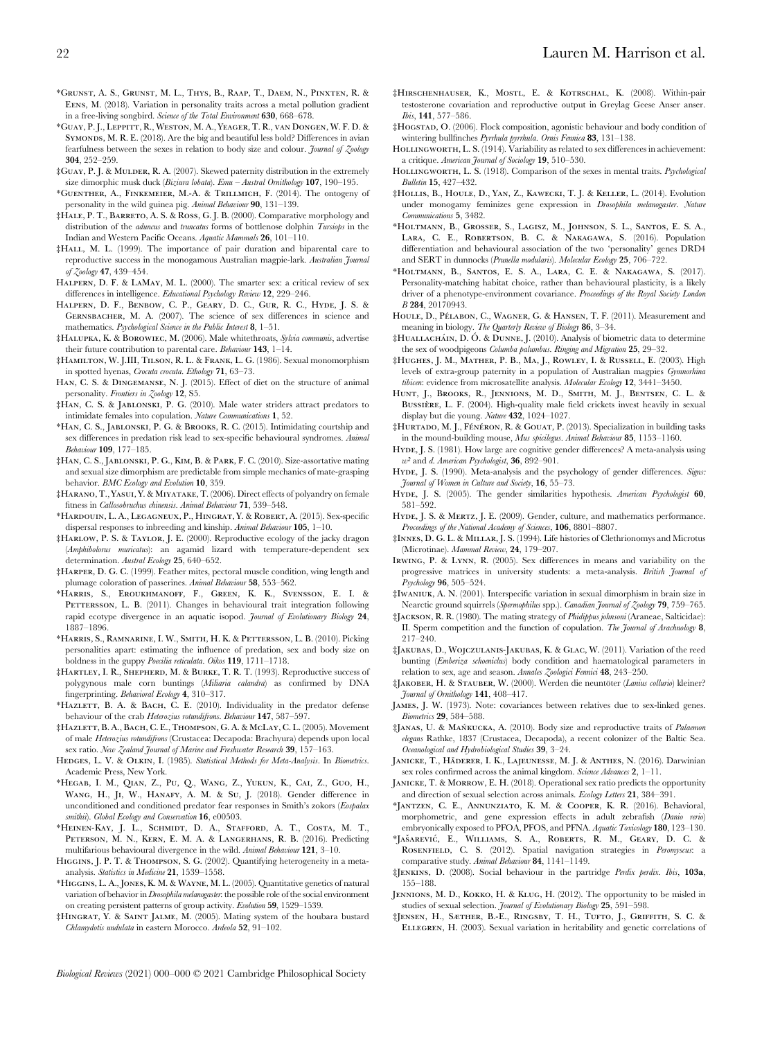- \*Grunst, A. S., Grunst, M. L., Thys, B., Raap, T., Daem, N., Pinxten, R. & Eens, M. (2018). Variation in personality traits across a metal pollution gradient in a free-living songbird. Science of the Total Environment 630, 668–678.
- \*Guay, P. J., Leppitt, R., Weston, M. A., Yeager, T. R., van Dongen, W. F. D. & SYMONDS, M. R. E. (2018). Are the big and beautiful less bold? Differences in avian fearfulness between the sexes in relation to body size and colour. Journal of Zoology 304, 252–259.
- ‡Guay, P. J. & Mulder, R. A. (2007). Skewed paternity distribution in the extremely size dimorphic musk duck (Biziura lobata). Emu – Austral Ornithology 107, 190-195.
- \*Guenther, A., Finkemeier, M.-A. & Trillmich, F. (2014). The ontogeny of personality in the wild guinea pig. Animal Behaviour 90, 131–139.
- ‡Hale, P. T., Barreto, A. S. & Ross, G. J. B. (2000). Comparative morphology and distribution of the *aduncus* and *truncatus* forms of bottlenose dolphin *Tursiops* in the Indian and Western Pacific Oceans. Aquatic Mammals 26, 101–110.
- ‡Hall, M. L. (1999). The importance of pair duration and biparental care to reproductive success in the monogamous Australian magpie-lark. Australian Journal of Zoology 47, 439–454.
- Halpern, D. F. & LaMay, M. L. (2000). The smarter sex: a critical review of sex differences in intelligence. Educational Psychology Review 12, 229-246.
- Halpern, D. F., Benbow, C. P., Geary, D. C., Gur, R. C., Hyde, J. S. & Gernsbacher, M. A. (2007). The science of sex differences in science and mathematics. Psychological Science in the Public Interest 8, 1–51.
- ‡Halupka, K. & Borowiec, M. (2006). Male whitethroats, Sylvia communis, advertise their future contribution to parental care. Behaviour 143, 1–14.
- ‡Hamilton, W. J.III, Tilson, R. L. & Frank, L. G. (1986). Sexual monomorphism in spotted hyenas, Crocuta crocuta. Ethology 71, 63–73.
- Han, C. S. & Dingemanse, N. J. (2015). Effect of diet on the structure of animal personality. Frontiers in Zoology 12, S5.
- ‡Han, C. S. & Jablonski, P. G. (2010). Male water striders attract predators to intimidate females into copulation. Nature Communications 1, 52.
- \*Han, C. S., Jablonski, P. G. & Brooks, R. C. (2015). Intimidating courtship and sex differences in predation risk lead to sex-specific behavioural syndromes. Animal Behaviour 109, 177–185.
- ‡Han, C. S., Jablonski, P. G., Kim, B. & Park, F. C. (2010). Size-assortative mating and sexual size dimorphism are predictable from simple mechanics of mate-grasping behavior. BMC Ecology and Evolution 10, 359.
- ‡Harano, T., Yasui, Y. & Miyatake, T. (2006). Direct effects of polyandry on female fitness in Callosobruchus chinensis. Animal Behaviour 71, 539–548.
- \*Hardouin, L. A., Legagneux, P., Hingrat, Y. & Robert, A. (2015). Sex-specific dispersal responses to inbreeding and kinship. Animal Behaviour 105, 1–10.
- ‡Harlow, P. S. & Taylor, J. E. (2000). Reproductive ecology of the jacky dragon (Amphibolorus muricatus): an agamid lizard with temperature-dependent sex determination. Austral Ecology 25, 640–652.
- ‡Harper, D. G. C. (1999). Feather mites, pectoral muscle condition, wing length and plumage coloration of passerines. Animal Behaviour 58, 553–562.
- \*Harris, S., Eroukhmanoff, F., Green, K. K., Svensson, E. I. & PETTERSSON, L. B. (2011). Changes in behavioural trait integration following rapid ecotype divergence in an aquatic isopod. Journal of Evolutionary Biology 24, 1887–1896.
- \*Harris, S., Ramnarine, I. W., Smith, H. K. & Pettersson, L. B. (2010). Picking personalities apart: estimating the influence of predation, sex and body size on boldness in the guppy Poecilia reticulata. Oikos 119, 1711–1718.
- ‡Hartley, I. R., Shepherd, M. & Burke, T. R. T. (1993). Reproductive success of polygynous male corn buntings (Miliaria calandra) as confirmed by DNA fingerprinting. Behavioral Ecology 4, 310–317.
- \*Hazlett, B. A. & Bach, C. E. (2010). Individuality in the predator defense behaviour of the crab Heterozius rotundifrons. Behaviour 147, 587-597.
- ‡Hazlett, B. A., Bach, C. E., Thompson, G. A. & McLay, C. L. (2005). Movement of male Heterozius rotundifrons (Crustacea: Decapoda: Brachyura) depends upon local sex ratio. New Zealand Journal of Marine and Freshwater Research 39, 157-163.
- HEDGES, L. V. & OLKIN, I. (1985). Statistical Methods for Meta-Analysis. In Biometrics. Academic Press, New York.
- \*Hegab, I. M., Qian, Z., Pu, Q., Wang, Z., Yukun, K., Cai, Z., Guo, H., Wang, H., Ji, W., Hanafy, A. M. & Su, J. (2018). Gender difference in unconditioned and conditioned predator fear responses in Smith's zokors (Eospalax smithii). Global Ecology and Conservation 16, e00503.
- \*Heinen-Kay, J. L., Schmidt, D. A., Stafford, A. T., Costa, M. T., PETERSON, M. N., KERN, E. M. A. & LANGERHANS, R. B. (2016). Predicting multifarious behavioural divergence in the wild. Animal Behaviour 121, 3–10.
- HIGGINS, J. P. T. & THOMPSON, S. G. (2002). Quantifying heterogeneity in a metaanalysis. Statistics in Medicine 21, 1539–1558.
- \*Higgins, L. A., Jones, K. M. & Wayne, M. L. (2005). Quantitative genetics of natural variation of behavior inDrosophila melanogaster: the possible role of the social environment on creating persistent patterns of group activity. Evolution 59, 1529–1539.
- ‡Hingrat, Y. & Saint Jalme, M. (2005). Mating system of the houbara bustard Chlamydotis undulata in eastern Morocco. Ardeola 52, 91–102.
- ‡Hirschenhauser, K., Mostl, E. & Kotrschal, K. (2008). Within-pair testosterone covariation and reproductive output in Greylag Geese Anser anser. Ibis, 141, 577–586.
- ‡Hogstad, O. (2006). Flock composition, agonistic behaviour and body condition of wintering bullfinches Pyrrhula pyrrhula. Ornis Fennica 83, 131-138.
- HOLLINGWORTH, L. S. (1914). Variability as related to sex differences in achievement: a critique. American Journal of Sociology 19, 510–530.
- HOLLINGWORTH, L. S. (1918). Comparison of the sexes in mental traits. Psychological Bulletin 15, 427–432.
- ‡Hollis, B., Houle, D., Yan, Z., Kawecki, T. J. & Keller, L. (2014). Evolution under monogamy feminizes gene expression in Drosophila melanogaster. Nature Communications 5, 3482.
- \*Holtmann, B., Grosser, S., Lagisz, M., Johnson, S. L., Santos, E. S. A., LARA, C. E., ROBERTSON, B. C. & NAKAGAWA, S. (2016). Population differentiation and behavioural association of the two 'personality' genes DRD4 and SERT in dunnocks (Prunella modularis). Molecular Ecology 25, 706–722.
- \*Holtmann, B., Santos, E. S. A., Lara, C. E. & Nakagawa, S. (2017). Personality-matching habitat choice, rather than behavioural plasticity, is a likely driver of a phenotype-environment covariance. Proceedings of the Royal Society London B 284, 20170943.
- HOULE, D., PÉLABON, C., WAGNER, G. & HANSEN, T. F. (2011). Measurement and meaning in biology. The Quarterly Review of Biology 86, 3–34.
- ‡HUALLACHÁIN, D. Ó. & DUNNE, J. (2010). Analysis of biometric data to determine the sex of woodpigeons Columba palumbus. Ringing and Migration 25, 29–32.
- ‡Hughes, J. M., Mather, P. B., Ma, J., Rowley, I. & Russell, E. (2003). High levels of extra-group paternity in a population of Australian magpies Gymnorhina tibicen: evidence from microsatellite analysis. Molecular Ecology 12, 3441–3450.
- HUNT, J., BROOKS, R., JENNIONS, M. D., SMITH, M. J., BENTSEN, C. L. & BUSSIÈRE, L. F. (2004). High-quality male field crickets invest heavily in sexual display but die young. Nature 432, 1024–1027.
- $\ddagger$ HURTADO, M. J., FÉNÉRON, R. & GOUAT, P. (2013). Specialization in building tasks in the mound-building mouse, Mus spicilegus. Animal Behaviour 85, 1153–1160.
- HYDE, J. S. (1981). How large are cognitive gender differences? A meta-analysis using  $w^2$  and d. American Psychologist, 36, 892-901.
- HYDE, J. S. (1990). Meta-analysis and the psychology of gender differences. Signs: Journal of Women in Culture and Society, 16, 55–73.
- HYDE, J. S. (2005). The gender similarities hypothesis. American Psychologist 60, 581–592.
- HYDE, J. S. & MERTZ, J. E. (2009). Gender, culture, and mathematics performance. Proceedings of the National Academy of Sciences, **106**, 8801–8807.
- ‡Innes, D. G. L. & Millar, J. S. (1994). Life histories of Clethrionomys and Microtus (Microtinae). Mammal Review, 24, 179–207.
- Irwing, P. & Lynn, R. (2005). Sex differences in means and variability on the progressive matrices in university students: a meta-analysis. British Journal of Psychology 96, 505–524.
- ‡Iwaniuk, A. N. (2001). Interspecific variation in sexual dimorphism in brain size in Nearctic ground squirrels (Spermophilus spp.). Canadian Journal of Zoology 79, 759–765.
- ‡Jackson, R. R. (1980). The mating strategy of Phidippus johnsoni (Araneae, Salticidae): II. Sperm competition and the function of copulation. The Journal of Arachnology 8, 217–240.
- ‡Jakubas, D., Wojczulanis-Jakubas, K. & Glac, W. (2011). Variation of the reed bunting (Emberiza schoeniclus) body condition and haematological parameters in relation to sex, age and season. Annales Zoologici Fennici 48, 243–250.
- ‡Jakober, H. & Stauber, W. (2000). Werden die neuntöter (Lanius collurio) kleiner? Journal of Ornithology 141, 408–417.
- James, J. W. (1973). Note: covariances between relatives due to sex-linked genes. Biometrics 29, 584–588.
- ‡JANAS, U. & MAŃKUCKA, A. (2010). Body size and reproductive traits of *Palaemon* elegans Rathke, 1837 (Crustacea, Decapoda), a recent colonizer of the Baltic Sea. Oceanological and Hydrobiological Studies 39, 3–24.
- JANICKE, T., HÄDERER, I. K., LAJEUNESSE, M. J. & ANTHES, N. (2016). Darwinian sex roles confirmed across the animal kingdom. Science Advances 2, 1-11.
- JANICKE, T. & MORROW, E. H. (2018). Operational sex ratio predicts the opportunity and direction of sexual selection across animals. Ecology Letters 21, 384–391.
- \*Jantzen, C. E., Annunziato, K. M. & Cooper, K. R. (2016). Behavioral, morphometric, and gene expression effects in adult zebrafish (Danio rerio) embryonically exposed to PFOA, PFOS, and PFNA. Aquatic Toxicology 180, 123–130.
- \*Jašarević, E., Williams, S. A., Roberts, R. M., Geary, D. C. & ROSENFIELD, C. S. (2012). Spatial navigation strategies in Peromyscus: a comparative study. Animal Behaviour 84, 1141–1149.
- ‡Jenkins, D. (2008). Social behaviour in the partridge Perdix perdix. Ibis, 103a, 155–188.
- Jennions, M. D., Kokko, H. & Klug, H. (2012). The opportunity to be misled in studies of sexual selection. Journal of Evolutionary Biology 25, 591–598.
- ‡Jensen, H., Sæther, B.-E., Ringsby, T. H., Tufto, J., Griffith, S. C. & ELLEGREN, H. (2003). Sexual variation in heritability and genetic correlations of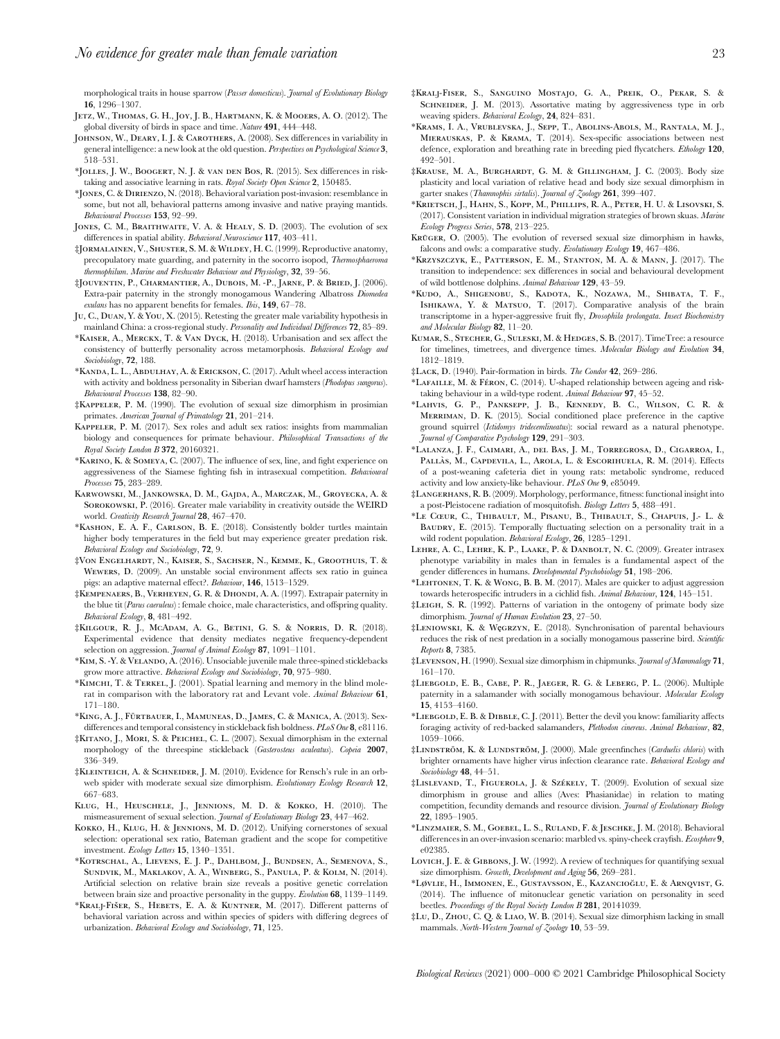morphological traits in house sparrow (Passer domesticus). Journal of Evolutionary Biology 16, 1296–1307.

- Jetz, W., Thomas, G. H., Joy, J. B., Hartmann, K. & Mooers, A. O. (2012). The global diversity of birds in space and time. Nature 491, 444–448.
- JOHNSON, W., DEARY, I. J. & CAROTHERS, A. (2008). Sex differences in variability in general intelligence: a new look at the old question. Perspectives on Psychological Science 3, 518–531.
- \*Jolles, J. W., Boogert, N. J. & van den Bos, R. (2015). Sex differences in risktaking and associative learning in rats. Royal Society Open Science 2, 150485.
- \*Jones, C. & Dirienzo, N. (2018). Behavioral variation post-invasion: resemblance in some, but not all, behavioral patterns among invasive and native praying mantids. Behavioural Processes 153, 92–99.
- JONES, C. M., BRAITHWAITE, V. A. & HEALY, S. D. (2003). The evolution of sex differences in spatial ability. Behavioral Neuroscience 117, 403–411.
- ‡Jormalainen, V., Shuster, S. M. & Wildey, H. C. (1999). Reproductive anatomy, precopulatory mate guarding, and paternity in the socorro isopod, Thermosphaeroma thermophilum. Marine and Freshwater Behaviour and Physiology, 32, 39–56.
- ‡Jouventin, P., Charmantier, A., Dubois, M. -P., Jarne, P. & Bried, J. (2006). Extra-pair paternity in the strongly monogamous Wandering Albatross Diomedea exulans has no apparent benefits for females. Ibis, 149, 67–78.
- Ju, C., Duan, Y. & You, X. (2015). Retesting the greater male variability hypothesis in mainland China: a cross-regional study. Personality and Individual Differences 72, 85–89.
- \*Kaiser, A., Merckx, T. & Van Dyck, H. (2018). Urbanisation and sex affect the consistency of butterfly personality across metamorphosis. Behavioral Ecology and Sociobiology, 72, 188.
- \*Kanda, L. L., Abdulhay, A. & Erickson, C. (2017). Adult wheel access interaction with activity and boldness personality in Siberian dwarf hamsters (Phodopus sungorus). Behavioural Processes 138, 82–90.
- ‡Kappeler, P. M. (1990). The evolution of sexual size dimorphism in prosimian primates. American Journal of Primatology 21, 201-214.
- Kappeler, P. M. (2017). Sex roles and adult sex ratios: insights from mammalian biology and consequences for primate behaviour. Philosophical Transactions of the Royal Society London B 372, 20160321.
- \*Karino, K. & Someya, C. (2007). The influence of sex, line, and fight experience on aggressiveness of the Siamese fighting fish in intrasexual competition. Behavioural Processes 75, 283–289.
- Karwowski, M., Jankowska, D. M., Gajda, A., Marczak, M., Groyecka, A. & SOROKOWSKI, P. (2016). Greater male variability in creativity outside the WEIRD world. Creativity Research Journal 28, 467–470.
- \*Kashon, E. A. F., Carlson, B. E. (2018). Consistently bolder turtles maintain higher body temperatures in the field but may experience greater predation risk. Behavioral Ecology and Sociobiology, 72, 9.
- ‡Von Engelhardt, N., Kaiser, S., Sachser, N., Kemme, K., Groothuis, T. & Wewers, D. (2009). An unstable social environment affects sex ratio in guinea pigs: an adaptive maternal effect?. Behaviour, 146, 1513–1529.
- ‡Kempenaers, B., Verheyen, G. R. & Dhondi, A. A. (1997). Extrapair paternity in the blue tit (Parus caeruleus) : female choice, male characteristics, and offspring quality. Behavioral Ecology, 8, 481–492.
- ‡Kilgour, R. J., McAdam, A. G., Betini, G. S. & Norris, D. R. (2018). Experimental evidence that density mediates negative frequency-dependent selection on aggression. Journal of Animal Ecology 87, 1091-1101.
- \*Kim, S. -Y. & Velando, A. (2016). Unsociable juvenile male three-spined sticklebacks grow more attractive. Behavioral Ecology and Sociobiology, 70, 975–980.
- \*Kimchi, T. & Terkel, J. (2001). Spatial learning and memory in the blind molerat in comparison with the laboratory rat and Levant vole. Animal Behaviour 61, 171–180.
- \*KING, A. J., FÜRTBAUER, I., MAMUNEAS, D., JAMES, C. & MANICA, A. (2013). Sexdifferences and temporal consistency in stickleback fish boldness. PLoS One 8, e81116.
- ‡Kitano, J., Mori, S. & Peichel, C. L. (2007). Sexual dimorphism in the external morphology of the threespine stickleback (Gasterosteus aculeatus). Copeia 2007, 336–349.
- ‡KLEINTEICH, A. & SCHNEIDER, J. M. (2010). Evidence for Rensch's rule in an orbweb spider with moderate sexual size dimorphism. Evolutionary Ecology Research 12, 667–683.
- Klug, H., Heuschele, J., Jennions, M. D. & Kokko, H. (2010). The mismeasurement of sexual selection. Journal of Evolutionary Biology 23, 447–462.
- KOKKO, H., KLUG, H. & JENNIONS, M. D. (2012). Unifying cornerstones of sexual selection: operational sex ratio, Bateman gradient and the scope for competitive investment. Ecology Letters 15, 1340–1351.
- \*Kotrschal, A., Lievens, E. J. P., Dahlbom, J., Bundsen, A., Semenova, S., Sundvik, M., Maklakov, A. A., Winberg, S., Panula, P. & Kolm, N. (2014). Artificial selection on relative brain size reveals a positive genetic correlation between brain size and proactive personality in the guppy. Evolution 68, 1139–1149.
- \*KRALJ-FIŠER, S., HEBETS, E. A. & KUNTNER, M. (2017). Different patterns of behavioral variation across and within species of spiders with differing degrees of urbanization. Behavioral Ecology and Sociobiology, 71, 125.
- ‡Kralj-Fiser, S., Sanguino Mostajo, G. A., Preik, O., Pekar, S. & SCHNEIDER, J. M. (2013). Assortative mating by aggressiveness type in orb weaving spiders. Behavioral Ecology, 24, 824–831.
- \*Krams, I. A., Vrublevska, J., Sepp, T., Abolins-Abols, M., Rantala, M. J., Mierauskas, P. & Krama, T. (2014). Sex-specific associations between nest defence, exploration and breathing rate in breeding pied flycatchers. Ethology 120, 492–501.
- ‡Krause, M. A., Burghardt, G. M. & Gillingham, J. C. (2003). Body size plasticity and local variation of relative head and body size sexual dimorphism in garter snakes (Thamnophis sirtalis). Journal of Zoology 261, 399-407.
- \*Krietsch, J., Hahn, S., Kopp, M., Phillips, R. A., Peter, H. U. & Lisovski, S. (2017). Consistent variation in individual migration strategies of brown skuas. Marine Ecology Progress Series, 578, 213–225.
- KRÜGER, O. (2005). The evolution of reversed sexual size dimorphism in hawks, falcons and owls: a comparative study. Evolutionary Ecology 19, 467-486.
- \*Krzyszczyk, E., Patterson, E. M., Stanton, M. A. & Mann, J. (2017). The transition to independence: sex differences in social and behavioural development of wild bottlenose dolphins. Animal Behaviour 129, 43–59.
- \*Kudo, A., Shigenobu, S., Kadota, K., Nozawa, M., Shibata, T. F., Ishikawa, Y. & Matsuo, T. (2017). Comparative analysis of the brain transcriptome in a hyper-aggressive fruit fly, Drosophila prolongata. Insect Biochemistry and Molecular Biology 82, 11–20.
- Kumar, S., Stecher, G., Suleski, M. & Hedges, S. B. (2017). TimeTree: a resource for timelines, timetrees, and divergence times. Molecular Biology and Evolution 34, 1812–1819.
- ‡Lack, D. (1940). Pair-formation in birds. The Condor 42, 269–286.
- \*LAFAILLE, M. & FÉRON, C. (2014). U-shaped relationship between ageing and risktaking behaviour in a wild-type rodent. Animal Behaviour 97, 45-52.
- \*Lahvis, G. P., Panksepp, J. B., Kennedy, B. C., Wilson, C. R. & Merriman, D. K. (2015). Social conditioned place preference in the captive ground squirrel (Ictidomys tridecemlineatus): social reward as a natural phenotype. Journal of Comparative Psychology 129, 291–303.
- \*Lalanza, J. F., Caimari, A., del Bas, J. M., Torregrosa, D., Cigarroa, I., PALLÀS, M., CAPDEVILA, L., AROLA, L. & ESCORIHUELA, R. M. (2014). Effects of a post-weaning cafeteria diet in young rats: metabolic syndrome, reduced activity and low anxiety-like behaviour. PLoS One 9, e85049.
- ‡Langerhans, R. B. (2009). Morphology, performance, fitness: functional insight into a post-Pleistocene radiation of mosquitofish. Biology Letters 5, 488–491.
- \*Le Cœur, C., Thibault, M., Pisanu, B., Thibault, S., Chapuis, J.- L. & BAUDRY, E. (2015). Temporally fluctuating selection on a personality trait in a wild rodent population. Behavioral Ecology, 26, 1285-1291.
- Lehre, A. C., Lehre, K. P., Laake, P. & Danbolt, N. C. (2009). Greater intrasex phenotype variability in males than in females is a fundamental aspect of the gender differences in humans. Developmental Psychobiology 51, 198-206.
- \*Lehtonen, T. K. & Wong, B. B. M. (2017). Males are quicker to adjust aggression towards heterospecific intruders in a cichlid fish. Animal Behaviour, 124, 145–151.
- ‡Leigh, S. R. (1992). Patterns of variation in the ontogeny of primate body size dimorphism. Journal of Human Evolution 23, 27-50.
- ‡Leniowski, K. & Węgrzyn, E. (2018). Synchronisation of parental behaviours reduces the risk of nest predation in a socially monogamous passerine bird. Scientific Reports 8, 7385.
- ‡Levenson, H. (1990). Sexual size dimorphism in chipmunks. Journal of Mammalogy 71, 161–170.
- ‡Liebgold, E. B., Cabe, P. R., Jaeger, R. G. & Leberg, P. L. (2006). Multiple paternity in a salamander with socially monogamous behaviour. Molecular Ecology 15, 4153–4160.
- \*LIEBGOLD, E. B. & DIBBLE, C. J. (2011). Better the devil you know: familiarity affects foraging activity of red-backed salamanders, Plethodon cinereus. Animal Behaviour, 82, 1059–1066.
- ‡LINDSTRÖM, K. & LUNDSTRÖM, J. (2000). Male greenfinches (Carduelis chloris) with brighter ornaments have higher virus infection clearance rate. Behavioral Ecology and Sociobiology **48**, 44-51.
- $\ddagger$ LISLEVAND, T., FIGUEROLA, J. & SZÉKELY, T. (2009). Evolution of sexual size dimorphism in grouse and allies (Aves: Phasianidae) in relation to mating competition, fecundity demands and resource division. Journal of Evolutionary Biology 22, 1895–1905.
- \*Linzmaier, S. M., Goebel, L. S., Ruland, F. & Jeschke, J. M. (2018). Behavioral differences in an over-invasion scenario: marbled vs. spiny-cheek crayfish. Ecosphere 9. e02385.
- LOVICH, J. E. & GIBBONS, J. W. (1992). A review of techniques for quantifying sexual size dimorphism. Growth, Development and Aging 56, 269-281.
- \*Løvlie, H., Immonen, E., Gustavsson, E., Kazancioglu, E. & Arnqvist, G. (2014). The influence of mitonuclear genetic variation on personality in seed beetles. Proceedings of the Royal Society London B 281, 20141039.
- ‡Lu, D., Zhou, C. Q. & Liao, W. B. (2014). Sexual size dimorphism lacking in small mammals. North-Western Journal of Zoology 10, 53-59.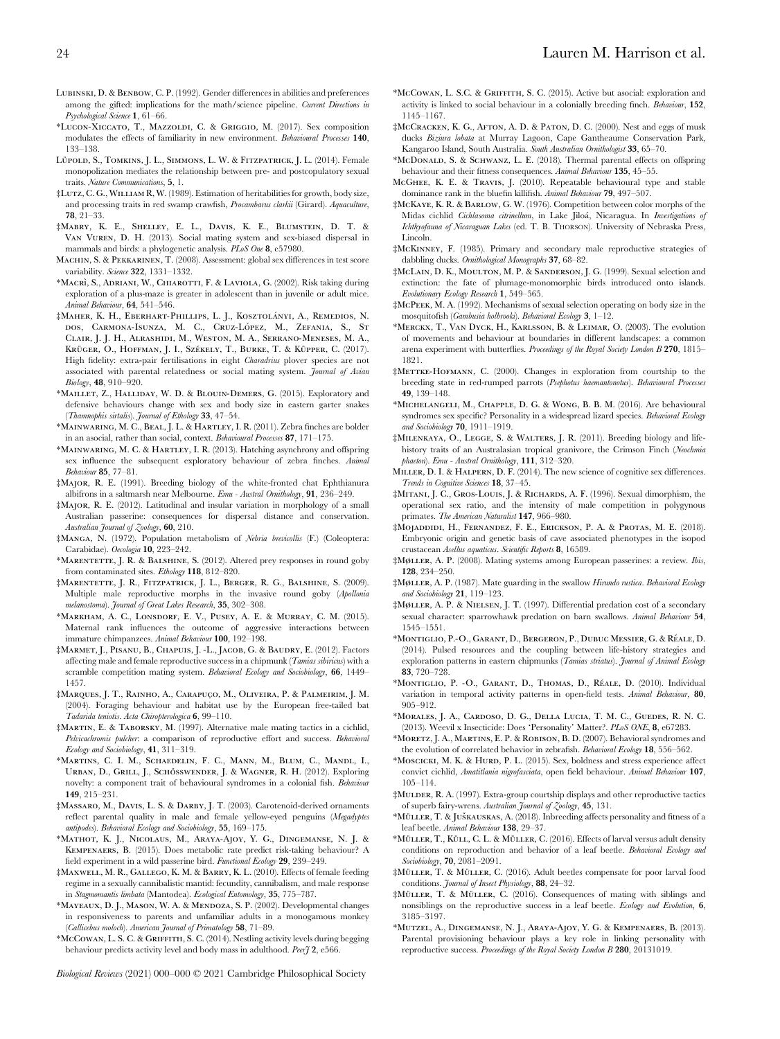- LUBINSKI, D. & BENBOW, C. P. (1992). Gender differences in abilities and preferences among the gifted: implications for the math/science pipeline. Current Directions in Psychological Science 1, 61–66.
- \*Lucon-Xiccato, T., Mazzoldi, C. & Griggio, M. (2017). Sex composition modulates the effects of familiarity in new environment. Behavioural Processes 140, 133–138.
- LÜPOLD, S., TOMKINS, J. L., SIMMONS, L. W. & FITZPATRICK, J. L. (2014). Female monopolization mediates the relationship between pre- and postcopulatory sexual traits. Nature Communications, 5, 1.
- ‡Lutz, C. G., William R, W. (1989). Estimation of heritabilities for growth, body size, and processing traits in red swamp crawfish, Procambarus clarkii (Girard). Aquaculture, 78, 21–33.
- ‡Mabry, K. E., Shelley, E. L., Davis, K. E., Blumstein, D. T. & Van Vuren, D. H. (2013). Social mating system and sex-biased dispersal in mammals and birds: a phylogenetic analysis. PLoS One 8, e57980.
- Machin, S. & Pekkarinen, T. (2008). Assessment: global sex differences in test score variability. Science 322, 1331-1332.
- \*MACRÌ, S., ADRIANI, W., CHIAROTTI, F. & LAVIOLA, G. (2002). Risk taking during exploration of a plus-maze is greater in adolescent than in juvenile or adult mice. Animal Behaviour, 64, 541–546.
- ‡Maher, K. H., Eberhart-Phillips, L. J., Kosztolányi, A., Remedios, N. dos, Carmona-Isunza, M. C., Cruz-López, M., Zefania, S., St Clair, J. J. H., Alrashidi, M., Weston, M. A., Serrano-Meneses, M. A., KRÜGER, O., HOFFMAN, J. I., SZÉKELY, T., BURKE, T. & KÜPPER, C. (2017). High fidelity: extra-pair fertilisations in eight Charadrius plover species are not associated with parental relatedness or social mating system. Journal of Avian Biology, 48, 910–920.
- \*Maillet, Z., Halliday, W. D. & Blouin-Demers, G. (2015). Exploratory and defensive behaviours change with sex and body size in eastern garter snakes (Thamnophis sirtalis). Journal of Ethology 33, 47-54.
- \*Mainwaring, M. C., Beal, J. L. & Hartley, I. R. (2011). Zebra finches are bolder in an asocial, rather than social, context. Behavioural Processes 87, 171–175.
- \*Mainwaring, M. C. & Hartley, I. R. (2013). Hatching asynchrony and offspring sex influence the subsequent exploratory behaviour of zebra finches. Animal Behaviour 85, 77–81.
- ‡Major, R. E. (1991). Breeding biology of the white-fronted chat Ephthianura albifrons in a saltmarsh near Melbourne. Emu - Austral Ornithology, 91, 236–249.
- ‡Major, R. E. (2012). Latitudinal and insular variation in morphology of a small Australian passerine: consequences for dispersal distance and conservation. Australian Journal of Zoology, 60, 210.
- ‡Manga, N. (1972). Population metabolism of Nebria brevicollis (F.) (Coleoptera: Carabidae). Oecologia 10, 223–242.
- \*MARENTETTE, J. R. & BALSHINE, S. (2012). Altered prey responses in round goby from contaminated sites. *Ethology* 118, 812-820.
- ‡Marentette, J. R., Fitzpatrick, J. L., Berger, R. G., Balshine, S. (2009). Multiple male reproductive morphs in the invasive round goby (Apollonia melanostoma). Journal of Great Lakes Research, 35, 302–308.
- \*Markham, A. C., Lonsdorf, E. V., Pusey, A. E. & Murray, C. M. (2015). Maternal rank influences the outcome of aggressive interactions between immature chimpanzees. Animal Behaviour 100, 192–198.
- ‡Marmet, J., Pisanu, B., Chapuis, J. -L., Jacob, G. & Baudry, E. (2012). Factors affecting male and female reproductive success in a chipmunk (Tamias sibiricus) with a scramble competition mating system. Behavioral Ecology and Sociobiology, 66, 1449– 1457.
- ‡Marques, J. T., Rainho, A., Carapuc¸ o, M., Oliveira, P. & Palmeirim, J. M. (2004). Foraging behaviour and habitat use by the European free-tailed bat Tadarida teniotis. Acta Chiropterologica 6, 99–110.
- ‡Martin, E. & Taborsky, M. (1997). Alternative male mating tactics in a cichlid, Pelvicachromis pulcher: a comparison of reproductive effort and success. Behavioral Ecology and Sociobiology, 41, 311–319.
- \*Martins, C. I. M., Schaedelin, F. C., Mann, M., Blum, C., Mandl, I., URBAN, D., GRILL, J., SCHÖSSWENDER, J. & WAGNER, R. H. (2012). Exploring novelty: a component trait of behavioural syndromes in a colonial fish. Behaviour 149, 215–231.
- ‡Massaro, M., Davis, L. S. & Darby, J. T. (2003). Carotenoid-derived ornaments reflect parental quality in male and female yellow-eyed penguins (Megadyptes antipodes). Behavioral Ecology and Sociobiology, 55, 169–175.
- \*Mathot, K. J., Nicolaus, M., Araya-Ajoy, Y. G., Dingemanse, N. J. & Kempenaers, B. (2015). Does metabolic rate predict risk-taking behaviour? A field experiment in a wild passerine bird. Functional Ecology 29, 239–249.
- ‡Maxwell, M. R., Gallego, K. M. & Barry, K. L. (2010). Effects of female feeding regime in a sexually cannibalistic mantid: fecundity, cannibalism, and male response in Stagmomantis limbata (Mantodea). Ecological Entomology, 35, 775–787.
- \*Mayeaux, D. J., Mason, W. A. & Mendoza, S. P. (2002). Developmental changes in responsiveness to parents and unfamiliar adults in a monogamous monkey (Callicebus moloch). American Journal of Primatology 58, 71–89.
- \*McCowan, L. S. C. & Griffith, S. C. (2014). Nestling activity levels during begging behaviour predicts activity level and body mass in adulthood. Peerf 2, e566.

Biological Reviews (2021) 000–000 © 2021 Cambridge Philosophical Society

- \*McCowan, L. S.C. & Griffith, S. C. (2015). Active but asocial: exploration and activity is linked to social behaviour in a colonially breeding finch. Behaviour, 152, 1145–1167.
- ‡McCracken, K. G., Afton, A. D. & Paton, D. C. (2000). Nest and eggs of musk ducks Biziura lobata at Murray Lagoon, Cape Gantheaume Conservation Park, Kangaroo Island, South Australia. South Australian Ornithologist 33, 65–70.
- \*McDonald, S. & Schwanz, L. E. (2018). Thermal parental effects on offspring behaviour and their fitness consequences. Animal Behaviour 135, 45–55.
- McGhee, K. E. & Travis, J. (2010). Repeatable behavioural type and stable dominance rank in the bluefin killifish. Animal Behaviour 79, 497–507.
- ‡McKaye, K. R. & Barlow, G. W. (1976). Competition between color morphs of the Midas cichlid Cichlasoma citrinellum, in Lake Jiloá, Nicaragua. In Investigations of Ichthyofauna of Nicaraguan Lakes (ed. T. B. THORSON). University of Nebraska Press, Lincoln.
- ‡McKinney, F. (1985). Primary and secondary male reproductive strategies of dabbling ducks. Ornithological Monographs 37, 68–82.
- ‡McLain, D. K., Moulton, M. P. & Sanderson, J. G. (1999). Sexual selection and extinction: the fate of plumage-monomorphic birds introduced onto islands. Evolutionary Ecology Research 1, 549–565.
- ‡McPeek, M. A. (1992). Mechanisms of sexual selection operating on body size in the mosquitofish (Gambusia holbrooki). Behavioral Ecology 3, 1–12.
- \*Merckx, T., Van Dyck, H., Karlsson, B. & Leimar, O. (2003). The evolution of movements and behaviour at boundaries in different landscapes: a common arena experiment with butterflies. Proceedings of the Royal Society London B 270, 1815– 1821.
- ‡Mettke-Hofmann, C. (2000). Changes in exploration from courtship to the breeding state in red-rumped parrots (Psephotus haemantonotus). Behavioural Processes 49, 139–148.
- \*Michelangeli, M., Chapple, D. G. & Wong, B. B. M. (2016). Are behavioural syndromes sex specific? Personality in a widespread lizard species. Behavioral Ecology and Sociobiology 70, 1911–1919.
- ‡Milenkaya, O., Legge, S. & Walters, J. R. (2011). Breeding biology and lifehistory traits of an Australasian tropical granivore, the Crimson Finch (Neochmia phaeton). Emu - Austral Ornithology, 111, 312–320.
- Miller, D. I. & Halpern, D. F. (2014). The new science of cognitive sex differences. Trends in Cognitive Sciences 18, 37–45.
- ‡Mitani, J. C., Gros-Louis, J. & Richards, A. F. (1996). Sexual dimorphism, the operational sex ratio, and the intensity of male competition in polygynous primates. The American Naturalist 147, 966–980.
- ‡Mojaddidi, H., Fernandez, F. E., Erickson, P. A. & Protas, M. E. (2018). Embryonic origin and genetic basis of cave associated phenotypes in the isopod crustacean Asellus aquaticus. Scientific Reports 8, 16589.
- ‡Møller, A. P. (2008). Mating systems among European passerines: a review. Ibis, 128, 234–250.
- ‡Møller, A. P. (1987). Mate guarding in the swallow Hirundo rustica. Behavioral Ecology and Sociobiology 21, 119–123.
- ‡Møller, A. P. & Nielsen, J. T. (1997). Differential predation cost of a secondary sexual character: sparrowhawk predation on barn swallows. Animal Behaviour 54, 1545–1551.
- \*MONTIGLIO, P.-O., GARANT, D., BERGERON, P., DUBUC MESSIER, G. & RÉALE, D. (2014). Pulsed resources and the coupling between life-history strategies and exploration patterns in eastern chipmunks (Tamias striatus). Journal of Animal Ecology 83, 720–728.
- \*MONTIGLIO, P. -O., GARANT, D., THOMAS, D., RÉALE, D. (2010). Individual variation in temporal activity patterns in open-field tests. Animal Behaviour, 80, 905–912.
- \*Morales, J. A., Cardoso, D. G., Della Lucia, T. M. C., Guedes, R. N. C. (2013). Weevil x Insecticide: Does 'Personality' Matter?. PLoS ONE, 8, e67283.
- \*Moretz, J. A., Martins, E. P. & Robison, B. D. (2007). Behavioral syndromes and the evolution of correlated behavior in zebrafish. Behavioral Ecology 18, 556–562.
- \*Moscicki, M. K. & HURD, P. L. (2015). Sex, boldness and stress experience affect convict cichlid, Amatitlania nigrofasciata, open field behaviour. Animal Behaviour 107, 105–114.
- ‡Mulder, R. A. (1997). Extra-group courtship displays and other reproductive tactics of superb fairy-wrens. Australian Journal of Zoology, 45, 131.
- \*MÜLLER, T. & JUŠKAUSKAS, A. (2018). Inbreeding affects personality and fitness of a leaf beetle. Animal Behaviour 138, 29–37.
- \*MÜLLER, T., KÜLL, C. L. & MÜLLER, C. (2016). Effects of larval versus adult density conditions on reproduction and behavior of a leaf beetle. Behavioral Ecology and Sociobiology, 70, 2081–2091.
- ‡Mu¨ller, T. & Mu¨ller, C. (2016). Adult beetles compensate for poor larval food conditions. Journal of Insect Physiology, 88, 24-32.
- ‡MÜLLER, T. & MÜLLER, C. (2016). Consequences of mating with siblings and nonsiblings on the reproductive success in a leaf beetle. Ecology and Evolution, 6, 3185–3197.
- \*Mutzel, A., Dingemanse, N. J., Araya-Ajoy, Y. G. & Kempenaers, B. (2013). Parental provisioning behaviour plays a key role in linking personality with reproductive success. Proceedings of the Royal Society London B 280, 20131019.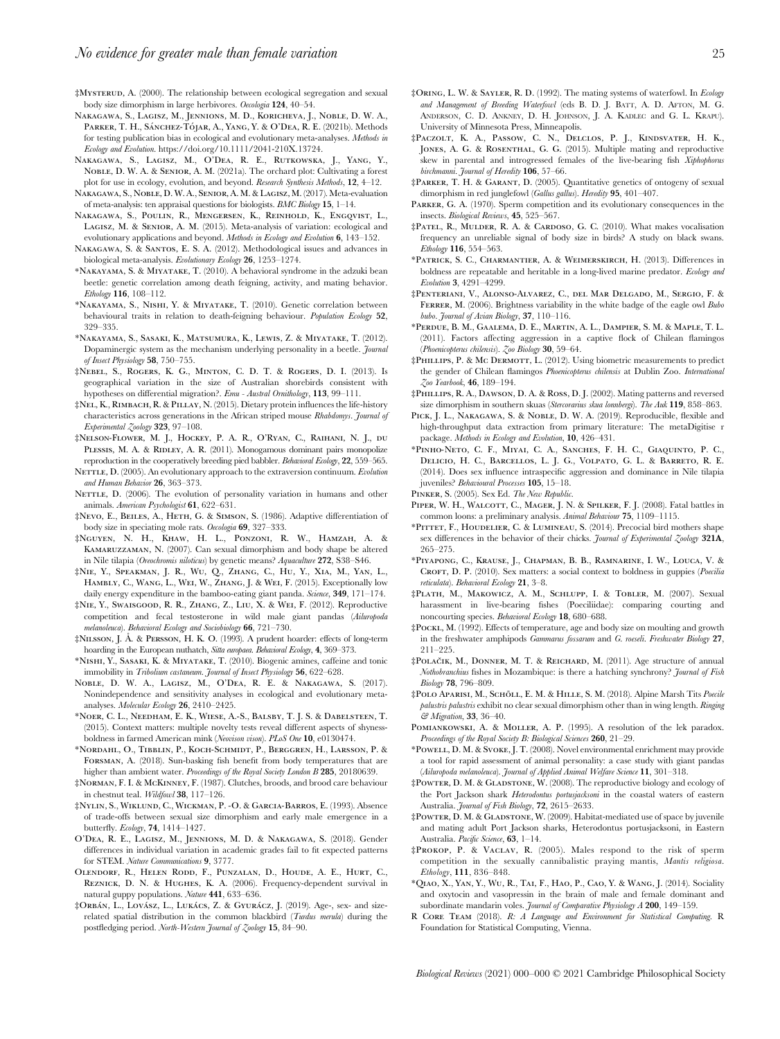‡Mysterud, A. (2000). The relationship between ecological segregation and sexual body size dimorphism in large herbivores. Oecologia 124, 40–54.

- Nakagawa, S., Lagisz, M., Jennions, M. D., Koricheva, J., Noble, D. W. A., PARKER, T. H., SÁNCHEZ-TÓJAR, A., YANG, Y. & O'DEA, R. E. (2021b). Methods for testing publication bias in ecological and evolutionary meta-analyses. Methods in Ecology and Evolution. https://doi.org/10.1111/2041-210X.13724.
- Nakagawa, S., Lagisz, M., O'Dea, R. E., Rutkowska, J., Yang, Y., Noble, D. W. A. & Senior, A. M. (2021a). The orchard plot: Cultivating a forest plot for use in ecology, evolution, and beyond. Research Synthesis Methods, 12, 4–12.
- Nakagawa, S., Noble, D. W. A., Senior, A. M.& Lagisz, M. (2017). Meta-evaluation of meta-analysis: ten appraisal questions for biologists.  $\mathit{BMC}$  Biology  $15,\ 1\!-\!14.$
- Nakagawa, S., Poulin, R., Mengersen, K., Reinhold, K., Engqvist, L., LAGISZ, M. & SENIOR, A. M. (2015). Meta-analysis of variation: ecological and evolutionary applications and beyond. Methods in Ecology and Evolution 6, 143-152.
- Nakagawa, S. & Santos, E. S. A. (2012). Methodological issues and advances in biological meta-analysis. Evolutionary Ecology 26, 1253–1274.
- \*Nakayama, S. & Miyatake, T. (2010). A behavioral syndrome in the adzuki bean beetle: genetic correlation among death feigning, activity, and mating behavior. Ethology 116, 108–112.
- \*Nakayama, S., Nishi, Y. & Miyatake, T. (2010). Genetic correlation between behavioural traits in relation to death-feigning behaviour. Population Ecology 52, 329–335.
- \*Nakayama, S., Sasaki, K., Matsumura, K., Lewis, Z. & Miyatake, T. (2012). Dopaminergic system as the mechanism underlying personality in a beetle. Journal of Insect Physiology 58, 750–755.
- ‡Nebel, S., Rogers, K. G., Minton, C. D. T. & Rogers, D. I. (2013). Is geographical variation in the size of Australian shorebirds consistent with hypotheses on differential migration?. Emu - Austral Ornithology, 113, 99–111.
- ‡Nel, K., Rimbach, R. & Pillay, N. (2015). Dietary protein influences the life-history characteristics across generations in the African striped mouse Rhabdomys. Journal of Experimental Zoology 323, 97–108.
- ‡Nelson-Flower, M. J., Hockey, P. A. R., O'Ryan, C., Raihani, N. J., du PLESSIS, M. A. & RIDLEY, A. R. (2011). Monogamous dominant pairs monopolize reproduction in the cooperatively breeding pied babbler. Behavioral Ecology, 22, 559–565.
- NETTLE, D. (2005). An evolutionary approach to the extraversion continuum. Evolution and Human Behavior 26, 363–373.
- NETTLE, D. (2006). The evolution of personality variation in humans and other animals. American Psychologist 61, 622–631.
- ‡Nevo, E., Beiles, A., Heth, G. & Simson, S. (1986). Adaptive differentiation of body size in speciating mole rats. Oecologia 69, 327–333.
- ‡Nguyen, N. H., Khaw, H. L., Ponzoni, R. W., Hamzah, A. & Kamaruzzaman, N. (2007). Can sexual dimorphism and body shape be altered in Nile tilapia (Oreochromis niloticus) by genetic means? Aquaculture 272, S38–S46.
- ‡Nie, Y., Speakman, J. R., Wu, Q., Zhang, C., Hu, Y., Xia, M., Yan, L., Hambly, C., Wang, L., Wei, W., Zhang, J. & Wei, F. (2015). Exceptionally low daily energy expenditure in the bamboo-eating giant panda. Science, 349, 171-174.
- ‡Nie, Y., Swaisgood, R. R., Zhang, Z., Liu, X. & Wei, F. (2012). Reproductive competition and fecal testosterone in wild male giant pandas (Ailuropoda melanoleuca). Behavioral Ecology and Sociobiology  $66$ ,  $721-730$ .
- ‡Nilsson, J. A˚. & Persson, H. K. O. (1993). A prudent hoarder: effects of long-term hoarding in the European nuthatch, Sitta europaea. Behavioral Ecology, 4, 369–373.
- \*Nishi, Y., Sasaki, K. & Miyatake, T. (2010). Biogenic amines, caffeine and tonic immobility in Tribolium castaneum. Journal of Insect Physiology 56, 622-628.
- Noble, D. W. A., Lagisz, M., O'Dea, R. E. & Nakagawa, S. (2017). Nonindependence and sensitivity analyses in ecological and evolutionary metaanalyses. Molecular Ecology 26, 2410–2425.
- \*Noer, C. L., Needham, E. K., Wiese, A.-S., Balsby, T. J. S. & Dabelsteen, T. (2015). Context matters: multiple novelty tests reveal different aspects of shynessboldness in farmed American mink (Neovison vison). PLoS One 10, e0130474.
- \*Nordahl, O., Tibblin, P., Koch-Schmidt, P., Berggren, H., Larsson, P. & Forsman, A. (2018). Sun-basking fish benefit from body temperatures that are higher than ambient water. Proceedings of the Royal Society London B 285, 20180639.
- ‡Norman, F. I. & McKinney, F. (1987). Clutches, broods, and brood care behaviour in chestnut teal. Wildfowl 38, 117–126.
- ‡Nylin, S., Wiklund, C., Wickman, P. -O. & Garcia-Barros, E. (1993). Absence of trade-offs between sexual size dimorphism and early male emergence in a butterfly. Ecology, 74, 1414–1427.
- O'Dea, R. E., Lagisz, M., Jennions, M. D. & Nakagawa, S. (2018). Gender differences in individual variation in academic grades fail to fit expected patterns for STEM. Nature Communications 9, 3777.
- Olendorf, R., Helen Rodd, F., Punzalan, D., Houde, A. E., Hurt, C., Reznick, D. N. & Hughes, K. A. (2006). Frequency-dependent survival in natural guppy populations. Nature 441, 633–636.
- ‡Orbán, L., Lovász, L., Lukács, Z. & Gyurácz, J. (2019). Age-, sex- and sizerelated spatial distribution in the common blackbird (*Turdus merula*) during the postfledging period. North-Western Journal of Zoology 15, 84–90.
- ‡Oring, L. W. & Sayler, R. D. (1992). The mating systems of waterfowl. In Ecology and Management of Breeding Waterfowl (eds B. D. J. BATT, A. D. AFTON, M. G. ANDERSON, C. D. ANKNEY, D. H. JOHNSON, J. A. KADLEC and G. L. KRAPU). University of Minnesota Press, Minneapolis.
- ‡Paczolt, K. A., Passow, C. N., Delclos, P. J., Kindsvater, H. K., JONES, A. G. & ROSENTHAL, G. G. (2015). Multiple mating and reproductive skew in parental and introgressed females of the live-bearing fish Xiphophorus birchmanni. Journal of Heredity 106, 57-66.
- ‡Parker, T. H. & Garant, D. (2005). Quantitative genetics of ontogeny of sexual dimorphism in red junglefowl (Gallus gallus). Heredity 95, 401-407.
- PARKER, G. A. (1970). Sperm competition and its evolutionary consequences in the insects. Biological Reviews, 45, 525–567.
- ‡Patel, R., Mulder, R. A. & Cardoso, G. C. (2010). What makes vocalisation frequency an unreliable signal of body size in birds? A study on black swans. Ethology 116, 554–563.
- \*Patrick, S. C., Charmantier, A. & Weimerskirch, H. (2013). Differences in boldness are repeatable and heritable in a long-lived marine predator. Ecology and Evolution 3, 4291–4299.
- ‡Penteriani, V., Alonso-Alvarez, C., del Mar Delgado, M., Sergio, F. & FERRER, M. (2006). Brightness variability in the white badge of the eagle owl Bubo bubo. Journal of Avian Biology, 37, 110–116.
- \*Perdue, B. M., Gaalema, D. E., Martin, A. L., Dampier, S. M. & Maple, T. L. (2011). Factors affecting aggression in a captive flock of Chilean flamingos (Phoenicopterus chilensis). Zoo Biology 30, 59-64.
- ‡Phillips, P. & Mc Dermott, L. (2012). Using biometric measurements to predict the gender of Chilean flamingos Phoenicopterus chilensis at Dublin Zoo. International Zoo Yearbook, 46, 189–194.
- ‡Phillips, R. A., Dawson, D. A. & Ross, D. J. (2002). Mating patterns and reversed size dimorphism in southern skuas (Stercorarius skua lonnbergi). The Auk 119, 858-863.
- PICK, J. L., NAKAGAWA, S. & NOBLE, D. W. A. (2019). Reproducible, flexible and high-throughput data extraction from primary literature: The metaDigitise r package. Methods in Ecology and Evolution, 10, 426–431.
- \*Pinho-Neto, C. F., Miyai, C. A., Sanches, F. H. C., Giaquinto, P. C., Delicio, H. C., Barcellos, L. J. G., Volpato, G. L. & Barreto, R. E. (2014). Does sex influence intraspecific aggression and dominance in Nile tilapia juveniles? Behavioural Processes 105, 15–18.
- PINKER, S. (2005). Sex Ed. The New Republic.
- PIPER, W. H., WALCOTT, C., MAGER, J. N. & SPILKER, F. J. (2008). Fatal battles in common loons: a preliminary analysis. Animal Behaviour 75, 1109–1115.
- \*Pittet, F., Houdelier, C. & Lumineau, S. (2014). Precocial bird mothers shape sex differences in the behavior of their chicks. Journal of Experimental Zoology 321A, 265–275.
- \*Piyapong, C., Krause, J., Chapman, B. B., Ramnarine, I. W., Louca, V. & CROFT, D. P. (2010). Sex matters: a social context to boldness in guppies (*Poecilia*) reticulata). Behavioral Ecology 21, 3–8.
- ‡Plath, M., Makowicz, A. M., Schlupp, I. & Tobler, M. (2007). Sexual harassment in live-bearing fishes (Poeciliidae): comparing courting and noncourting species. Behavioral Ecology 18, 680–688.
- ‡Pockl, M. (1992). Effects of temperature, age and body size on moulting and growth in the freshwater amphipods Gammarus fossarum and G. roeseli. Freshwater Biology 27, 211–225.
- ‡Polacˇik, M., Donner, M. T. & Reichard, M. (2011). Age structure of annual Nothobranchius fishes in Mozambique: is there a hatching synchrony? Journal of Fish Biology 78, 796–809.
- ‡POLO APARISI, M., SCHÖLL, E. M. & HILLE, S. M. (2018). Alpine Marsh Tits Poecile palustris palustris exhibit no clear sexual dimorphism other than in wing length. Ringing & Migration, 33, 36–40.
- POMIANKOWSKI, A. & MOLLER, A. P. (1995). A resolution of the lek paradox. Proceedings of the Royal Society B: Biological Sciences 260, 21-29.
- \*Powell, D. M. & Svoke, J. T. (2008). Novel environmental enrichment may provide a tool for rapid assessment of animal personality: a case study with giant pandas (Ailuropoda melanoleuca). Journal of Applied Animal Welfare Science 11, 301-318.
- ‡Powter, D. M. & Gladstone, W. (2008). The reproductive biology and ecology of the Port Jackson shark Heterodontus portusjacksoni in the coastal waters of eastern Australia. Journal of Fish Biology, 72, 2615–2633.
- ‡Powter, D. M. & Gladstone, W. (2009). Habitat-mediated use of space by juvenile and mating adult Port Jackson sharks, Heterodontus portusjacksoni, in Eastern Australia. Pacific Science, 63, 1–14.
- ‡Prokop, P. & Vaclav, R. (2005). Males respond to the risk of sperm competition in the sexually cannibalistic praying mantis, Mantis religiosa. Ethology, 111, 836–848.
- \*Qiao, X., Yan, Y., Wu, R., Tai, F., Hao, P., Cao, Y. & Wang, J. (2014). Sociality and oxytocin and vasopressin in the brain of male and female dominant and subordinate mandarin voles. Journal of Comparative Physiology A 200, 149-159.
- R Core Team (2018). R: A Language and Environment for Statistical Computing. R Foundation for Statistical Computing, Vienna.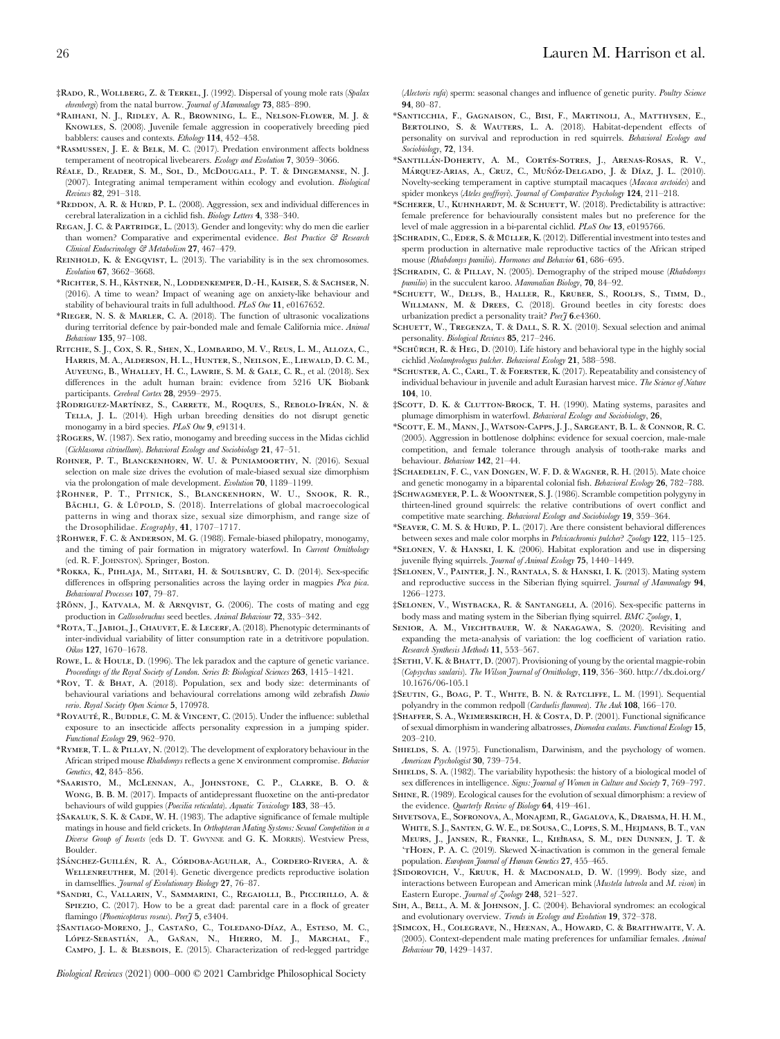- ‡Rado, R., Wollberg, Z. & Terkel, J. (1992). Dispersal of young mole rats (Spalax ehrenbergi) from the natal burrow. Journal of Mammalogy 73, 885-890.
- \*Raihani, N. J., Ridley, A. R., Browning, L. E., Nelson-Flower, M. J. & Knowles, S. (2008). Juvenile female aggression in cooperatively breeding pied babblers: causes and contexts. Ethology 114, 452–458.
- \*Rasmussen, J. E. & Belk, M. C. (2017). Predation environment affects boldness temperament of neotropical livebearers. Ecology and Evolution 7, 3059-3066.
- RÉALE, D., READER, S. M., SOL, D., McDOUGALL, P. T. & DINGEMANSE, N. J. (2007). Integrating animal temperament within ecology and evolution. Biological Reviews 82, 291–318.
- \*Reddon, A. R. & Hurd, P. L. (2008). Aggression, sex and individual differences in cerebral lateralization in a cichlid fish. Biology Letters 4, 338–340.
- REGAN, J. C. & PARTRIDGE, L. (2013). Gender and longevity: why do men die earlier than women? Comparative and experimental evidence. Best Practice & Research Clinical Endocrinology & Metabolism 27, 467–479.
- REINHOLD, K. & ENGQVIST, L. (2013). The variability is in the sex chromosomes. Evolution **67**, 3662–3668.
- \*Richter, S. H., Ka¨stner, N., Loddenkemper, D.-H., Kaiser, S. & Sachser, N. (2016). A time to wean? Impact of weaning age on anxiety-like behaviour and stability of behavioural traits in full adulthood. PLoS One 11, e0167652.
- \*Rieger, N. S. & Marler, C. A. (2018). The function of ultrasonic vocalizations during territorial defence by pair-bonded male and female California mice. Animal Behaviour 135, 97–108.
- Ritchie, S. J., Cox, S. R., Shen, X., Lombardo, M. V., Reus, L. M., Alloza, C., Harris, M. A., Alderson, H. L., Hunter, S., Neilson, E., Liewald, D. C. M., Auyeung, B., Whalley, H. C., Lawrie, S. M. & Gale, C. R., et al. (2018). Sex differences in the adult human brain: evidence from 5216 UK Biobank participants. Cerebral Cortex 28, 2959-2975.
- ‡Rodriguez-Martínez, S., Carrete, M., Roques, S., Rebolo-Ifrán, N. & Tella, J. L. (2014). High urban breeding densities do not disrupt genetic monogamy in a bird species. PLoS One 9, e91314.
- ‡Rogers, W. (1987). Sex ratio, monogamy and breeding success in the Midas cichlid (Cichlasoma citrinellum). Behavioral Ecology and Sociobiology 21, 47–51.
- ROHNER, P. T., BLANCKENHORN, W. U. & PUNIAMOORTHY, N. (2016). Sexual selection on male size drives the evolution of male-biased sexual size dimorphism via the prolongation of male development. Evolution 70, 1189–1199.
- ‡Rohner, P. T., Pitnick, S., Blanckenhorn, W. U., Snook, R. R., BÄCHLI, G. & LÜPOLD, S. (2018). Interrelations of global macroecological patterns in wing and thorax size, sexual size dimorphism, and range size of the Drosophilidae. Ecography, 41, 1707–1717.
- ‡Rohwer, F. C. & Anderson, M. G. (1988). Female-biased philopatry, monogamy, and the timing of pair formation in migratory waterfowl. In Current Ornithology (ed. R. F. JOHNSTON). Springer, Boston.
- \*Rokka, K., Pihlaja, M., Siitari, H. & Soulsbury, C. D. (2014). Sex-specific differences in offspring personalities across the laying order in magpies Pica pica. Behavioural Processes 107, 79–87.
- ‡Ro¨nn, J., Katvala, M. & Arnqvist, G. (2006). The costs of mating and egg production in Callosobruchus seed beetles. Animal Behaviour 72, 335–342.
- \*Rota, T., Jabiol, J., Chauvet, E. & Lecerf, A. (2018). Phenotypic determinants of inter-individual variability of litter consumption rate in a detritivore population. Oikos 127, 1670–1678.
- ROWE, L. & HOULE, D. (1996). The lek paradox and the capture of genetic variance. Proceedings of the Royal Society of London. Series B: Biological Sciences 263, 1415-1421.
- \*Roy, T. & Bhat, A. (2018). Population, sex and body size: determinants of behavioural variations and behavioural correlations among wild zebrafish Danio rerio. Royal Society Open Science 5, 170978.
- \*ROYAUTÉ, R., BUDDLE, C. M. & VINCENT, C. (2015). Under the influence: sublethal exposure to an insecticide affects personality expression in a jumping spider. Functional Ecology 29, 962–970.
- \*Rymer, T. L. & Pillay, N. (2012). The development of exploratory behaviour in the African striped mouse Rhabdomys reflects a gene × environment compromise. Behavior Genetics, 42, 845–856.
- \*Saaristo, M., McLennan, A., Johnstone, C. P., Clarke, B. O. & Wong, B. B. M. (2017). Impacts of antidepressant fluoxetine on the anti-predator behaviours of wild guppies (Poecilia reticulata). Aquatic Toxicology 183, 38–45.
- ‡Sakaluk, S. K. & Cade, W. H. (1983). The adaptive significance of female multiple matings in house and field crickets. In Orthopteran Mating Systems: Sexual Competition in a Diverse Group of Insects (eds D. T. GWYNNE and G. K. MORRIS). Westview Press, Boulder.
- <sup>#</sup>Sánchez-Guillén, R. A., Córdoba-Aguilar, A., Cordero-Rivera, A. & WELLENREUTHER, M. (2014). Genetic divergence predicts reproductive isolation in damselflies. Journal of Evolutionary Biology 27, 76–87.
- \*Sandri, C., Vallarin, V., Sammarini, C., Regaiolli, B., Piccirillo, A. & SPIEZIO, C. (2017). How to be a great dad: parental care in a flock of greater flamingo (Phoenicopterus roseus). Peer<sub>J</sub> 5, e3404.
- ‡Santiago-Moreno, J., Castan˜o, C., Toledano-Dı´az, A., Esteso, M. C., López-Sebastián, A., Gañan, N., Hierro, M. J., Marchal, F., Campo, J. L. & Blesbois, E. (2015). Characterization of red-legged partridge

Biological Reviews (2021) 000–000 © 2021 Cambridge Philosophical Society

(Alectoris rufa) sperm: seasonal changes and influence of genetic purity. Poultry Science 94, 80–87.

- \*Santicchia, F., Gagnaison, C., Bisi, F., Martinoli, A., Matthysen, E., BERTOLINO, S. & WAUTERS, L. A. (2018). Habitat-dependent effects of personality on survival and reproduction in red squirrels. Behavioral Ecology and Sociobiology, 72, 134.
- \*SANTILLÁN-DOHERTY, A. M., CORTÉS-SOTRES, J., ARENAS-ROSAS, R. V., MÁRQUEZ-ARIAS, A., CRUZ, C., MUÑÓZ-DELGADO, J. & DÍAZ, J. L. (2010). Novelty-seeking temperament in captive stumptail macaques (Macaca arctoides) and spider monkeys (Ateles geoffroyi). Journal of Comparative Psychology 124, 211-218.
- \*Scherer, U., Kuhnhardt, M. & Schuett, W. (2018). Predictability is attractive: female preference for behaviourally consistent males but no preference for the level of male aggression in a bi-parental cichlid. PLoS One 13, e0195766.
- ‡SCHRADIN, C., EDER, S. & MÜLLER, K. (2012). Differential investment into testes and sperm production in alternative male reproductive tactics of the African striped mouse (Rhabdomys pumilio). Hormones and Behavior 61, 686-695.
- ‡Schradin, C. & Pillay, N. (2005). Demography of the striped mouse (Rhabdomys pumilio) in the succulent karoo. Mammalian Biology, 70, 84–92.
- \*Schuett, W., Delfs, B., Haller, R., Kruber, S., Roolfs, S., Timm, D., WILLMANN, M. & DREES, C. (2018). Ground beetles in city forests: does urbanization predict a personality trait? Peer7 6.e4360.
- SCHUETT, W., TREGENZA, T. & DALL, S. R. X. (2010). Sexual selection and animal personality. Biological Reviews 85, 217-246.
- \*SCHÜRCH, R. & HEG, D. (2010). Life history and behavioral type in the highly social cichlid Neolamprologus pulcher. Behavioral Ecology 21, 588–598.
- \*Schuster, A. C., Carl, T. & Foerster, K. (2017). Repeatability and consistency of individual behaviour in juvenile and adult Eurasian harvest mice. The Science of Nature 104, 10.
- ‡Scott, D. K. & Clutton-Brock, T. H. (1990). Mating systems, parasites and plumage dimorphism in waterfowl. Behavioral Ecology and Sociobiology, 26,
- \*Scott, E. M., Mann, J., Watson-Capps, J. J., Sargeant, B. L. & Connor, R. C. (2005). Aggression in bottlenose dolphins: evidence for sexual coercion, male-male competition, and female tolerance through analysis of tooth-rake marks and behaviour. Behaviour 142, 21–44.
- ‡Schaedelin, F. C., van Dongen, W. F. D. & Wagner, R. H. (2015). Mate choice and genetic monogamy in a biparental colonial fish. Behavioral Ecology 26, 782–788.
- ‡Schwagmeyer, P. L. & Woontner, S. J. (1986). Scramble competition polygyny in thirteen-lined ground squirrels: the relative contributions of overt conflict and competitive mate searching. Behavioral Ecology and Sociobiology 19, 359–364.
- \*SEAVER, C. M. S. & HURD, P. L. (2017). Are there consistent behavioral differences between sexes and male color morphs in Pelvicachromis pulcher? Zoology 122, 115–125.
- \*Selonen, V. & Hanski, I. K. (2006). Habitat exploration and use in dispersing juvenile flying squirrels. Journal of Animal Ecology 75, 1440-1449.
- ‡Selonen, V., Painter, J. N., Rantala, S. & Hanski, I. K. (2013). Mating system and reproductive success in the Siberian flying squirrel. Journal of Mammalogy 94, 1266–1273.
- ‡Selonen, V., Wistbacka, R. & Santangeli, A. (2016). Sex-specific patterns in body mass and mating system in the Siberian flying squirrel. BMC Zoology, 1,
- SENIOR, A. M., VIECHTBAUER, W. & NAKAGAWA, S. (2020). Revisiting and expanding the meta-analysis of variation: the log coefficient of variation ratio. Research Synthesis Methods 11, 553–567.
- ‡SETHI, V. K. & BHATT, D. (2007). Provisioning of young by the oriental magpie-robin (Copsychus saularis). The Wilson Journal of Ornithology, 119, 356–360. http://dx.doi.org/ 10.1676/06-105.1
- ‡Seutin, G., Boag, P. T., White, B. N. & Ratcliffe, L. M. (1991). Sequential polyandry in the common redpoll (Carduelis flammea). The Auk 108, 166–170.
- ‡Shaffer, S. A., Weimerskirch, H. & Costa, D. P. (2001). Functional significance of sexual dimorphism in wandering albatrosses, Diomedea exulans. Functional Ecology 15, 203–210.
- SHIELDS, S. A. (1975). Functionalism, Darwinism, and the psychology of women. American Psychologist 30, 739–754.
- SHIELDS, S. A. (1982). The variability hypothesis: the history of a biological model of sex differences in intelligence. Signs: Journal of Women in Culture and Society 7, 769–797.
- Shine, R. (1989). Ecological causes for the evolution of sexual dimorphism: a review of the evidence. Quarterly Review of Biology 64, 419-461.
- Shvetsova, E., Sofronova, A., Monajemi, R., Gagalova, K., Draisma, H. H. M., White, S. J., Santen, G. W. E., de Sousa, C., Lopes, S. M., Heijmans, B. T., van Meurs, J., Jansen, R., Franke, L., Kiełbasa, S. M., den Dunnen, J. T. & 'tHoen, P. A. C. (2019). Skewed X-inactivation is common in the general female population. European Journal of Human Genetics 27, 455-465.
- ‡Sidorovich, V., Kruuk, H. & Macdonald, D. W. (1999). Body size, and interactions between European and American mink (Mustela lutreola and M. vison) in Eastern Europe. Journal of Zoology 248, 521-527.
- SIH, A., BELL, A. M. & JOHNSON, J. C. (2004). Behavioral syndromes: an ecological and evolutionary overview. Trends in Ecology and Evolution 19, 372–378.
- ‡Simcox, H., Colegrave, N., Heenan, A., Howard, C. & Braithwaite, V. A. (2005). Context-dependent male mating preferences for unfamiliar females. Animal Behaviour 70, 1429–1437.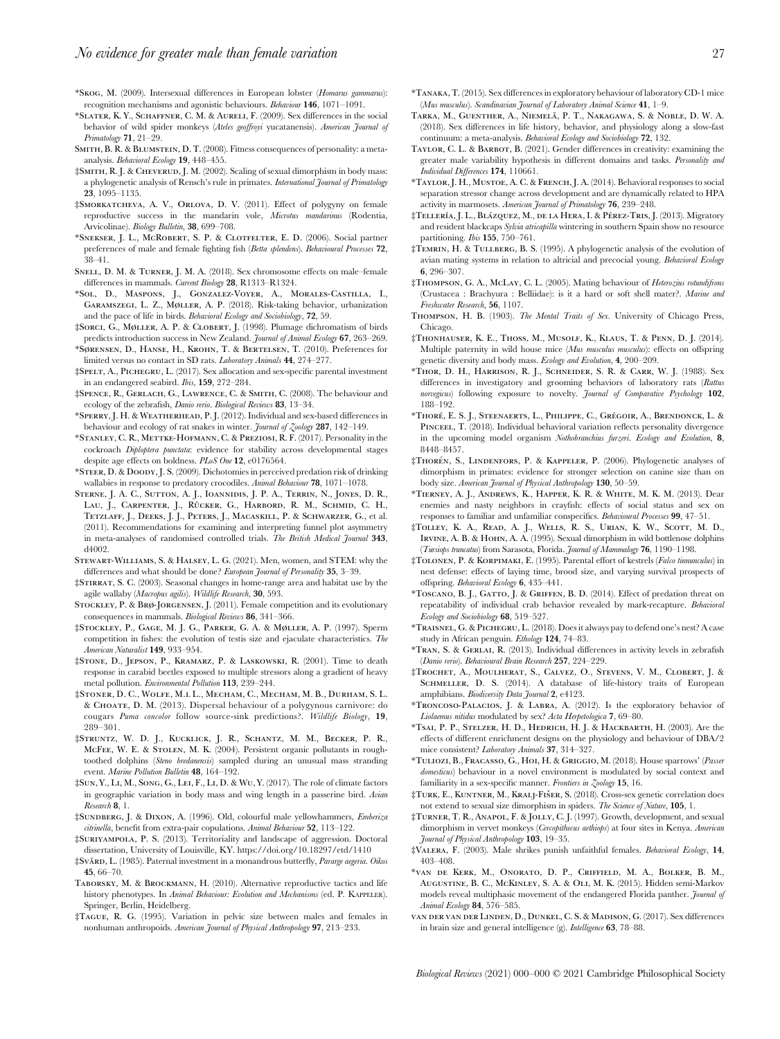- \*Skog, M. (2009). Intersexual differences in European lobster (Homarus gammarus): recognition mechanisms and agonistic behaviours. Behaviour 146, 1071–1091.
- \*Slater, K. Y., Schaffner, C. M. & Aureli, F. (2009). Sex differences in the social behavior of wild spider monkeys (Ateles geoffroyi yucatanensis). American Journal of Primatology 71, 21–29.
- Smith, B. R. & Blumstein, D. T. (2008). Fitness consequences of personality: a metaanalysis. Behavioral Ecology 19, 448–455.
- ‡SMITH, R. J. & CHEVERUD, J. M. (2002). Scaling of sexual dimorphism in body mass: a phylogenetic analysis of Rensch's rule in primates. International Journal of Primatology 23, 1095–1135.
- ‡Smorkatcheva, A. V., Orlova, D. V. (2011). Effect of polygyny on female reproductive success in the mandarin vole, Microtus mandarinus (Rodentia, Arvicolinae). Biology Bulletin, 38, 699–708.
- \*Snekser, J. L., McRobert, S. P. & Clotfelter, E. D. (2006). Social partner preferences of male and female fighting fish (Betta splendens). Behavioural Processes 72, 38–41.
- Snell, D. M. & Turner, J. M. A. (2018). Sex chromosome effects on male–female differences in mammals. Current Biology 28, R1313–R1324.
- \*Sol, D., Maspons, J., Gonzalez-Voyer, A., Morales-Castilla, I., Garamszegi, L. Z., Møller, A. P. (2018). Risk-taking behavior, urbanization and the pace of life in birds. Behavioral Ecology and Sociobiology, 72, 59.
- ‡Sorci, G., Møller, A. P. & Clobert, J. (1998). Plumage dichromatism of birds predicts introduction success in New Zealand. Journal of Animal Ecology 67, 263-269.
- \*Sørensen, D., Hanse, H., Krohn, T. & Bertelsen, T. (2010). Preferences for limited versus no contact in SD rats. Laboratory Animals 44, 274–277.
- ‡Spelt, A., Pichegru, L. (2017). Sex allocation and sex-specific parental investment in an endangered seabird. Ibis, 159, 272–284.
- ‡Spence, R., Gerlach, G., Lawrence, C. & Smith, C. (2008). The behaviour and ecology of the zebrafish, Danio rerio. Biological Reviews 83, 13-34.
- \*Sperry, J. H. & Weatherhead, P. J. (2012). Individual and sex-based differences in behaviour and ecology of rat snakes in winter. *Journal of Zoology* 287, 142–149.
- \*Stanley, C. R., Mettke-Hofmann, C. & Preziosi, R. F. (2017). Personality in the cockroach Diploptera punctata: evidence for stability across developmental stages despite age effects on boldness. PLoS One 12, e0176564.
- \*Steer, D. & Doody, J. S. (2009). Dichotomies in perceived predation risk of drinking wallabies in response to predatory crocodiles. Animal Behaviour 78, 1071–1078.
- Sterne, J. A. C., Sutton, A. J., Ioannidis, J. P. A., Terrin, N., Jones, D. R., LAU, J., CARPENTER, J., RÜCKER, G., HARBORD, R. M., SCHMID, C. H., Tetzlaff, J., Deeks, J. J., Peters, J., Macaskill, P. & Schwarzer, G., et al. (2011). Recommendations for examining and interpreting funnel plot asymmetry in meta-analyses of randomised controlled trials. The British Medical Journal 343, d4002.
- Stewart-Williams, S. & Halsey, L. G. (2021). Men, women, and STEM: why the differences and what should be done? European Journal of Personality 35, 3-39.
- ‡Stirrat, S. C. (2003). Seasonal changes in home-range area and habitat use by the agile wallaby (Macropus agilis). Wildlife Research, 30, 593.
- STOCKLEY, P. & BRØ-JORGENSEN, J. (2011). Female competition and its evolutionary consequences in mammals. Biological Reviews 86, 341–366.
- ‡Stockley, P., Gage, M. J. G., Parker, G. A. & Møller, A. P. (1997). Sperm competition in fishes: the evolution of testis size and ejaculate characteristics. The American Naturalist 149, 933–954.
- ‡Stone, D., Jepson, P., Kramarz, P. & Laskowski, R. (2001). Time to death response in carabid beetles exposed to multiple stressors along a gradient of heavy metal pollution. Environmental Pollution 113, 239–244.
- ‡Stoner, D. C., Wolfe, M.l L., Mecham, C., Mecham, M. B., Durham, S. L. & Choate, D. M. (2013). Dispersal behaviour of a polygynous carnivore: do cougars Puma concolor follow source-sink predictions?. Wildlife Biology, 19, 289–301.
- ‡Struntz, W. D. J., Kucklick, J. R., Schantz, M. M., Becker, P. R., McFee, W. E. & Stolen, M. K. (2004). Persistent organic pollutants in roughtoothed dolphins (Steno bredanensis) sampled during an unusual mass stranding event. Marine Pollution Bulletin 48, 164–192.
- ‡Sun, Y., Li, M., Song, G., Lei, F., Li, D. & Wu, Y. (2017). The role of climate factors in geographic variation in body mass and wing length in a passerine bird. Avian Research 8, 1.
- ‡Sundberg, J. & Dixon, A. (1996). Old, colourful male yellowhammers, Emberiza citrinella, benefit from extra-pair copulations. Animal Behaviour 52, 113–122.
- ‡Suriyampola, P. S. (2013). Territoriality and landscape of aggression. Doctoral dissertation, University of Louisville, KY. https://doi.org/10.18297/etd/1410
- $\frac{4}{3}$ SväRD, L. (1985). Paternal investment in a monandrous butterfly, Pararge aegeria. Oikos 45, 66–70.
- Taborsky, M. & Brockmann, H. (2010). Alternative reproductive tactics and life history phenotypes. In Animal Behaviour: Evolution and Mechanisms (ed. P. KAPPELER). Springer, Berlin, Heidelberg.
- ‡Tague, R. G. (1995). Variation in pelvic size between males and females in nonhuman anthropoids. American Journal of Physical Anthropology 97, 213–233.
- \*Tanaka, T. (2015). Sex differences in exploratory behaviour of laboratory CD-1 mice (Mus musculus). Scandinavian Journal of Laboratory Animal Science 41, 1-9.
- Tarka, M., Guenther, A., Niemela¨, P. T., Nakagawa, S. & Noble, D. W. A. (2018). Sex differences in life history, behavior, and physiology along a slow-fast continuum: a meta-analysis. Behavioral Ecology and Sociobiology 72, 132.
- Taylor, C. L. & Barbot, B. (2021). Gender differences in creativity: examining the greater male variability hypothesis in different domains and tasks. Personality and Individual Differences 174, 110661.
- \*Taylor, J. H., Mustoe, A. C. & French, J. A. (2014). Behavioral responses to social separation stressor change across development and are dynamically related to HPA activity in marmosets. American Journal of Primatology 76, 239–248.
- ‡Tellería, J. L., Blázquez, M., de la Hera, I. & Pérez-Tris, J. (2013). Migratory and resident blackcaps Sylvia atricapilla wintering in southern Spain show no resource partitioning. *Ibis* 155, 750-761.
- ‡Temrin, H. & Tullberg, B. S. (1995). A phylogenetic analysis of the evolution of avian mating systems in relation to altricial and precocial young. Behavioral Ecology 6, 296–307.
- ‡Thompson, G. A., McLay, C. L. (2005). Mating behaviour of Heterozius rotundifrons (Crustacea : Brachyura : Belliidae): is it a hard or soft shell mater?. Marine and Freshwater Research, 56, 1107.
- THOMPSON, H. B. (1903). The Mental Traits of Sex. University of Chicago Press, Chicago.
- ‡Thonhauser, K. E., Thoß, M., Musolf, K., Klaus, T. & Penn, D. J. (2014). Multiple paternity in wild house mice (Mus musculus musculus): effects on offspring genetic diversity and body mass. Ecology and Evolution, 4, 200–209.
- \*Thor, D. H., Harrison, R. J., Schneider, S. R. & Carr, W. J. (1988). Sex differences in investigatory and grooming behaviors of laboratory rats (Rattus norvegicus) following exposure to novelty. Journal of Comparative Psychology 102, 188–192.
- \*Thore´, E. S. J., Steenaerts, L., Philippe, C., Gre´goir, A., Brendonck, L. & Pinceel, T. (2018). Individual behavioral variation reflects personality divergence in the upcoming model organism Nothobranchius furzeri. Ecology and Evolution, 8, 8448–8457.
- ‡Thore´n, S., Lindenfors, P. & Kappeler, P. (2006). Phylogenetic analyses of dimorphism in primates: evidence for stronger selection on canine size than on body size. American Journal of Physical Anthropology 130, 50-59.
- \*Tierney, A. J., Andrews, K., Happer, K. R. & White, M. K. M. (2013). Dear enemies and nasty neighbors in crayfish: effects of social status and sex on responses to familiar and unfamiliar conspecifics. Behavioural Processes 99, 47–51.
- ‡Tolley, K. A., Read, A. J., Wells, R. S., Urian, K. W., Scott, M. D., Irvine, A. B. & Hohn, A. A. (1995). Sexual dimorphism in wild bottlenose dolphins (Tursiops truncatus) from Sarasota, Florida. Journal of Mammalogy 76, 1190-1198.
- ‡Tolonen, P. & Korpimaki, E. (1995). Parental effort of kestrels (Falco tinnunculus) in nest defense: effects of laying time, brood size, and varying survival prospects of offspring. Behavioral Ecology 6, 435–441.
- \*Toscano, B. J., Gatto, J. & Griffen, B. D. (2014). Effect of predation threat on repeatability of individual crab behavior revealed by mark-recapture. Behavioral Ecology and Sociobiology 68, 519–527.
- \*Traisnel, G. & Pichegru, L. (2018). Does it always pay to defend one's nest? A case study in African penguin. Ethology 124, 74–83.
- \*Tran, S. & Gerlai, R. (2013). Individual differences in activity levels in zebrafish (Danio rerio). Behavioural Brain Research 257, 224–229.
- ‡Trochet, A., Moulherat, S., Calvez, O., Stevens, V. M., Clobert, J. & SCHMELLER, D. S. (2014). A database of life-history traits of European amphibians. Biodiversity Data Journal 2, e4123.
- \*Troncoso-Palacios, J. & Labra, A. (2012). Is the exploratory behavior of Liolaemus nitidus modulated by sex? Acta Herpetologica 7, 69–80.
- \*Tsai, P. P., Stelzer, H. D., Hedrich, H. J. & Hackbarth, H. (2003). Are the effects of different enrichment designs on the physiology and behaviour of DBA/2 mice consistent? Laboratory Animals 37, 314–327.
- \*Tuliozi, B., Fracasso, G., Hoi, H. & Griggio, M. (2018). House sparrows' (Passer domesticus) behaviour in a novel environment is modulated by social context and familiarity in a sex-specific manner. Frontiers in Zoology 15, 16.
- $\ddagger$ Turk, E., Kuntner, M., Kralj-Fišer, S. (2018). Cross-sex genetic correlation does not extend to sexual size dimorphism in spiders. The Science of Nature, 105, 1.
- ‡Turner, T. R., Anapol, F. & Jolly, C. J. (1997). Growth, development, and sexual dimorphism in vervet monkeys (Cercopithecus aethiops) at four sites in Kenya. American Journal of Physical Anthropology 103, 19–35.
- ‡Valera, F. (2003). Male shrikes punish unfaithful females. Behavioral Ecology, 14, 403–408.
- \*van de Kerk, M., Onorato, D. P., Criffield, M. A., Bolker, B. M., Augustine, B. C., McKinley, S. A. & Oli, M. K. (2015). Hidden semi-Markov models reveal multiphasic movement of the endangered Florida panther. Journal of Animal Ecology 84, 576–585.
- van der van der Linden, D., Dunkel, C. S. & Madison, G. (2017). Sex differences in brain size and general intelligence (g). Intelligence 63, 78–88.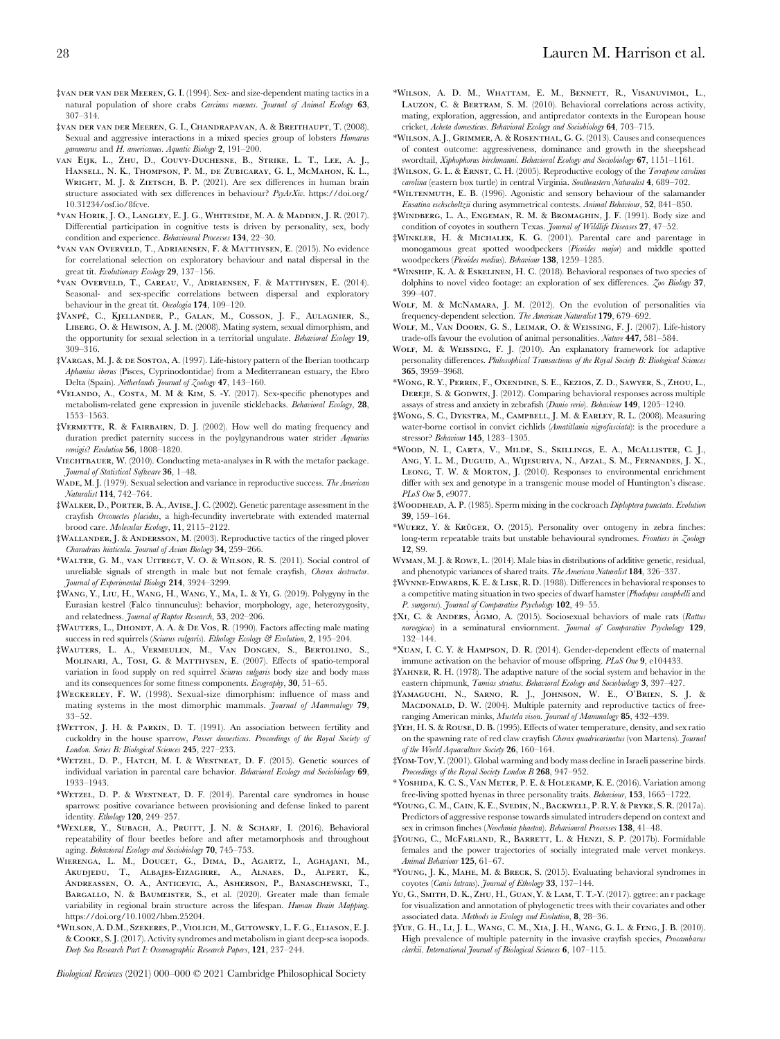- ‡van der van der Meeren, G. I. (1994). Sex- and size-dependent mating tactics in a natural population of shore crabs Carcinus maenas. Journal of Animal Ecology 63, 307–314.
- ‡van der van der Meeren, G. I., Chandrapavan, A. & Breithaupt, T. (2008). Sexual and aggressive interactions in a mixed species group of lobsters *Homarus* gammarus and H. americanus. Aquatic Biology 2, 191–200.
- van Eijk, L., Zhu, D., Couvy-Duchesne, B., Strike, L. T., Lee, A. J., Hansell, N. K., Thompson, P. M., de Zubicaray, G. I., McMahon, K. L., WRIGHT, M. J. & ZIETSCH, B. P. (2021). Are sex differences in human brain structure associated with sex differences in behaviour?  $P_{s\gamma}A_rX_{w}$ . https://doi.org/ 10.31234/osf.io/8fcve.
- \*van Horik, J. O., Langley, E. J. G., Whiteside, M. A. & Madden, J. R. (2017). Differential participation in cognitive tests is driven by personality, sex, body condition and experience. Behavioural Processes 134, 22–30.
- \*van van Overveld, T., Adriaensen, F. & Matthysen, E. (2015). No evidence for correlational selection on exploratory behaviour and natal dispersal in the great tit. Evolutionary Ecology 29, 137–156.
- \*van Overveld, T., Careau, V., Adriaensen, F. & Matthysen, E. (2014). Seasonal- and sex-specific correlations between dispersal and exploratory behaviour in the great tit. Oecologia 174, 109–120.
- ‡Vanpe´, C., Kjellander, P., Galan, M., Cosson, J. F., Aulagnier, S., Liberg, O. & Hewison, A. J. M. (2008). Mating system, sexual dimorphism, and the opportunity for sexual selection in a territorial ungulate. Behavioral Ecology 19, 309–316.
- ‡Vargas, M. J. & de Sostoa, A. (1997). Life-history pattern of the Iberian toothcarp Aphanius iberus (Pisces, Cyprinodontidae) from a Mediterranean estuary, the Ebro Delta (Spain). Netherlands Journal of Zoology 47, 143–160.
- \*Velando, A., Costa, M. M & Kim, S. -Y. (2017). Sex-specific phenotypes and metabolism-related gene expression in juvenile sticklebacks. Behavioral Ecology, 28, 1553–1563.
- ‡Vermette, R. & Fairbairn, D. J. (2002). How well do mating frequency and duration predict paternity success in the poylgynandrous water strider Aquarius remigis? Evolution 56, 1808–1820.
- VIECHTBAUER, W. (2010). Conducting meta-analyses in R with the metafor package. Journal of Statistical Software 36, 1–48.
- WADE, M. L. (1979). Sexual selection and variance in reproductive success. The American Naturalist 114, 742–764.
- ‡Walker, D., Porter, B. A., Avise, J. C. (2002). Genetic parentage assessment in the crayfish Orconectes placidus, a high-fecundity invertebrate with extended maternal brood care. Molecular Ecology, 11, 2115–2122.
- ‡Wallander, J. & Andersson, M. (2003). Reproductive tactics of the ringed plover Charadrius hiaticula. Journal of Avian Biology 34, 259–266.
- \*Walter, G. M., van Uitregt, V. O. & Wilson, R. S. (2011). Social control of unreliable signals of strength in male but not female crayfish, Cherax destructor. Journal of Experimental Biology 214, 3924–3299.
- ‡Wang, Y., Liu, H., Wang, H., Wang, Y., Ma, L. & Yi, G. (2019). Polygyny in the Eurasian kestrel (Falco tinnunculus): behavior, morphology, age, heterozygosity, and relatedness. Journal of Raptor Research, 53, 202–206.
- ‡WAUTERS, L., DHONDT, A. A. & DE VOS, R. (1990). Factors affecting male mating success in red squirrels (Sciurus vulgaris). Ethology Ecology & Evolution, 2, 195-204.
- ‡Wauters, L. A., Vermeulen, M., Van Dongen, S., Bertolino, S., Molinari, A., Tosi, G. & Matthysen, E. (2007). Effects of spatio-temporal variation in food supply on red squirrel Sciurus vulgaris body size and body mass and its consequences for some fitness components. Ecography, 30, 51–65.
- ‡Weckerley, F. W. (1998). Sexual-size dimorphism: influence of mass and mating systems in the most dimorphic mammals. Journal of Mammalogy 79, 33–52.
- ‡Wetton, J. H. & Parkin, D. T. (1991). An association between fertility and cuckoldry in the house sparrow, Passer domesticus. Proceedings of the Royal Society of London. Series B: Biological Sciences 245, 227–233.
- \*Wetzel, D. P., Hatch, M. I. & Westneat, D. F. (2015). Genetic sources of individual variation in parental care behavior. Behavioral Ecology and Sociobiology 69, 1933–1943.
- \*Wetzel, D. P. & Westneat, D. F. (2014). Parental care syndromes in house sparrows: positive covariance between provisioning and defense linked to parent identity. Ethology 120, 249–257.
- \*Wexler, Y., Subach, A., Pruitt, J. N. & Scharf, I. (2016). Behavioral repeatability of flour beetles before and after metamorphosis and throughout aging. Behavioral Ecology and Sociobiology 70, 745–753.
- Wierenga, L. M., Doucet, G., Dima, D., Agartz, I., Aghajani, M., Akudjedu, T., Albajes-Eizagirre, A., Alnaes, D., Alpert, K., Andreassen, O. A., Anticevic, A., Asherson, P., Banaschewski, T., BARGALLO, N. & BAUMEISTER, S., et al. (2020). Greater male than female variability in regional brain structure across the lifespan. Human Brain Mapping. https://doi.org/10.1002/hbm.25204.
- \*Wilson, A. D.M., Szekeres, P., Violich, M., Gutowsky, L. F. G., Eliason, E. J. & Cooke, S. J. (2017). Activity syndromes and metabolism in giant deep-sea isopods. Deep Sea Research Part I: Oceanographic Research Papers, 121, 237–244.

Biological Reviews (2021) 000–000 © 2021 Cambridge Philosophical Society

- \*Wilson, A. D. M., Whattam, E. M., Bennett, R., Visanuvimol, L., Lauzon, C. & Bertram, S. M. (2010). Behavioral correlations across activity, mating, exploration, aggression, and antipredator contexts in the European house cricket, Acheta domesticus. Behavioral Ecology and Sociobiology 64, 703–715.
- \*Wilson, A. J., Grimmer, A. & Rosenthal, G. G. (2013). Causes and consequences of contest outcome: aggressiveness, dominance and growth in the sheepshead swordtail, Xiphophorus birchmanni. Behavioral Ecology and Sociobiology 67, 1151-1161.
- ‡Wilson, G. L. & Ernst, C. H. (2005). Reproductive ecology of the Terrapene carolina carolina (eastern box turtle) in central Virginia. Southeastern Naturalist 4, 689–702.
- \*Wiltenmuth, E. B. (1996). Agonistic and sensory behaviour of the salamander Ensatina eschscholtzii during asymmetrical contests. Animal Behaviour, 52, 841–850.
- ‡Windberg, L. A., Engeman, R. M. & Bromaghin, J. F. (1991). Body size and condition of coyotes in southern Texas. Journal of Wildlife Diseases 27, 47–52.
- ‡Winkler, H. & Michalek, K. G. (2001). Parental care and parentage in monogamous great spotted woodpeckers (Picoides major) and middle spotted woodpeckers (Picoides medius). Behaviour 138, 1259–1285.
- \*Winship, K. A. & Eskelinen, H. C. (2018). Behavioral responses of two species of dolphins to novel video footage: an exploration of sex differences. Zoo Biology 37, 399–407.
- WOLF, M. & McNAMARA, J. M. (2012). On the evolution of personalities via frequency-dependent selection. The American Naturalist 179, 679–692.
- Wolf, M., Van Doorn, G. S., Leimar, O. & Weissing, F. J. (2007). Life-history trade-offs favour the evolution of animal personalities. Nature 447, 581–584.
- WOLF, M. & WEISSING, F. J. (2010). An explanatory framework for adaptive personality differences. Philosophical Transactions of the Royal Society B: Biological Sciences 365, 3959–3968.
- \*Wong, R. Y., Perrin, F., Oxendine, S. E., Kezios, Z. D., Sawyer, S., Zhou, L., DEREJE, S. & GODWIN, J. (2012). Comparing behavioral responses across multiple assays of stress and anxiety in zebrafish (Danio rerio). Behaviour 149, 1205–1240.
- ‡Wong, S. C., Dykstra, M., Campbell, J. M. & Earley, R. L. (2008). Measuring water-borne cortisol in convict cichlids (Amatitlania nigrofasciata): is the procedure a stressor? Behaviour 145, 1283–1305.
- \*Wood, N. I., Carta, V., Milde, S., Skillings, E. A., McAllister, C. J., Ang, Y. L. M., Duguid, A., Wijesuriya, N., Afzal, S. M., Fernandes, J. X., Leong, T. W. & Morton, J. (2010). Responses to environmental enrichment differ with sex and genotype in a transgenic mouse model of Huntington's disease. PLoS One 5, e9077.
- ‡Woodhead, A. P. (1985). Sperm mixing in the cockroach Diploptera punctata. Evolution 39, 159–164.
- \*WUERZ, Y. & KRÜGER, O. (2015). Personality over ontogeny in zebra finches: long-term repeatable traits but unstable behavioural syndromes. Frontiers in Zoology 12, S9.
- Wyman, M. J. & Rowe, L. (2014). Male bias in distributions of additive genetic, residual, and phenotypic variances of shared traits. The American Naturalist 184, 326–337.
- ‡Wynne-Edwards, K. E. & Lisk, R. D. (1988). Differences in behavioral responses to a competitive mating situation in two species of dwarf hamster (Phodopus campbelli and P. sungorus). Journal of Comparative Psychology 102, 49–55.
- $\frac{1}{4}$ XI, C. & ANDERS, AGMO, A. (2015). Sociosexual behaviors of male rats (Rattus norvegicus) in a seminatural enviornment. Journal of Comparative Psychology 129, 132–144.
- \*Xuan, I. C. Y. & Hampson, D. R. (2014). Gender-dependent effects of maternal immune activation on the behavior of mouse offspring. PLoS One 9, e104433.
- ‡Yahner, R. H. (1978). The adaptive nature of the social system and behavior in the eastern chipmunk, Tamias striatus. Behavioral Ecology and Sociobiology 3, 397–427.
- ‡Yamaguchi, N., Sarno, R. J., Johnson, W. E., O'Brien, S. J. & MACDONALD, D. W. (2004). Multiple paternity and reproductive tactics of freeranging American minks, Mustela vison. Journal of Mammalogy 85, 432-439.
- ‡Yeh, H. S. & Rouse, D. B. (1995). Effects of water temperature, density, and sex ratio on the spawning rate of red claw crayfish Cherax quadricarinatus (von Martens). Journal of the World Aquaculture Society 26, 160–164.
- ‡Yom-Tov, Y. (2001). Global warming and body mass decline in Israeli passerine birds. Proceedings of the Royal Society London B 268, 947-952.
- \* Yoshida, K. C. S., Van Meter, P. E. & Holekamp, K. E. (2016). Variation among free-living spotted hyenas in three personality traits. Behaviour, 153, 1665–1722.
- \*Young, C. M., Cain, K. E., Svedin, N., Backwell, P. R. Y. & Pryke, S. R. (2017a). Predictors of aggressive response towards simulated intruders depend on context and sex in crimson finches (Neochmia phaeton). Behavioural Processes 138, 41-48.
- ‡Young, C., McFarland, R., Barrett, L. & Henzi, S. P. (2017b). Formidable females and the power trajectories of socially integrated male vervet monkeys. Animal Behaviour 125, 61–67.
- \*Young, J. K., Mahe, M. & Breck, S. (2015). Evaluating behavioral syndromes in coyotes (Canis latrans). Journal of Ethology 33, 137–144.
- Yu, G., Smith, D. K., Zhu, H., Guan, Y. & Lam, T. T.-Y. (2017). ggtree: an r package for visualization and annotation of phylogenetic trees with their covariates and other associated data. Methods in Ecology and Evolution, 8, 28–36.
- ‡Yue, G. H., Li, J. L., Wang, C. M., Xia, J. H., Wang, G. L. & Feng, J. B. (2010). High prevalence of multiple paternity in the invasive crayfish species, Procambarus clarkii. International Journal of Biological Sciences 6, 107–115.